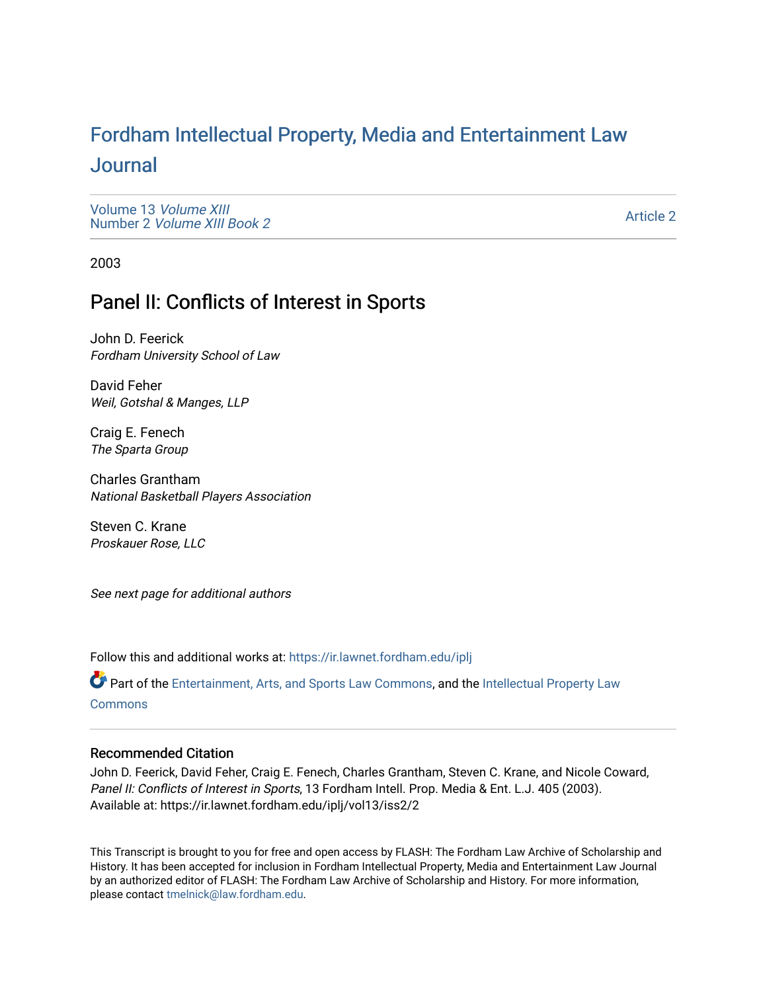# For[dham Intellectual Property, Media and Enter](https://ir.lawnet.fordham.edu/iplj)tainment Law [Journal](https://ir.lawnet.fordham.edu/iplj)

[Volume 13](https://ir.lawnet.fordham.edu/iplj/vol13) Volume XIII Number 2 [Volume XIII Book 2](https://ir.lawnet.fordham.edu/iplj/vol13/iss2)

[Article 2](https://ir.lawnet.fordham.edu/iplj/vol13/iss2/2) 

2003

# Panel II: Conflicts of Interest in Sports

John D. Feerick Fordham University School of Law

David Feher Weil, Gotshal & Manges, LLP

Craig E. Fenech The Sparta Group

Charles Grantham National Basketball Players Association

Steven C. Krane Proskauer Rose, LLC

See next page for additional authors

Follow this and additional works at: [https://ir.lawnet.fordham.edu/iplj](https://ir.lawnet.fordham.edu/iplj?utm_source=ir.lawnet.fordham.edu%2Fiplj%2Fvol13%2Fiss2%2F2&utm_medium=PDF&utm_campaign=PDFCoverPages) 

Part of the [Entertainment, Arts, and Sports Law Commons](http://network.bepress.com/hgg/discipline/893?utm_source=ir.lawnet.fordham.edu%2Fiplj%2Fvol13%2Fiss2%2F2&utm_medium=PDF&utm_campaign=PDFCoverPages), and the [Intellectual Property Law](http://network.bepress.com/hgg/discipline/896?utm_source=ir.lawnet.fordham.edu%2Fiplj%2Fvol13%2Fiss2%2F2&utm_medium=PDF&utm_campaign=PDFCoverPages) **[Commons](http://network.bepress.com/hgg/discipline/896?utm_source=ir.lawnet.fordham.edu%2Fiplj%2Fvol13%2Fiss2%2F2&utm_medium=PDF&utm_campaign=PDFCoverPages)** 

# Recommended Citation

John D. Feerick, David Feher, Craig E. Fenech, Charles Grantham, Steven C. Krane, and Nicole Coward, Panel II: Conflicts of Interest in Sports, 13 Fordham Intell. Prop. Media & Ent. L.J. 405 (2003). Available at: https://ir.lawnet.fordham.edu/iplj/vol13/iss2/2

This Transcript is brought to you for free and open access by FLASH: The Fordham Law Archive of Scholarship and History. It has been accepted for inclusion in Fordham Intellectual Property, Media and Entertainment Law Journal by an authorized editor of FLASH: The Fordham Law Archive of Scholarship and History. For more information, please contact [tmelnick@law.fordham.edu](mailto:tmelnick@law.fordham.edu).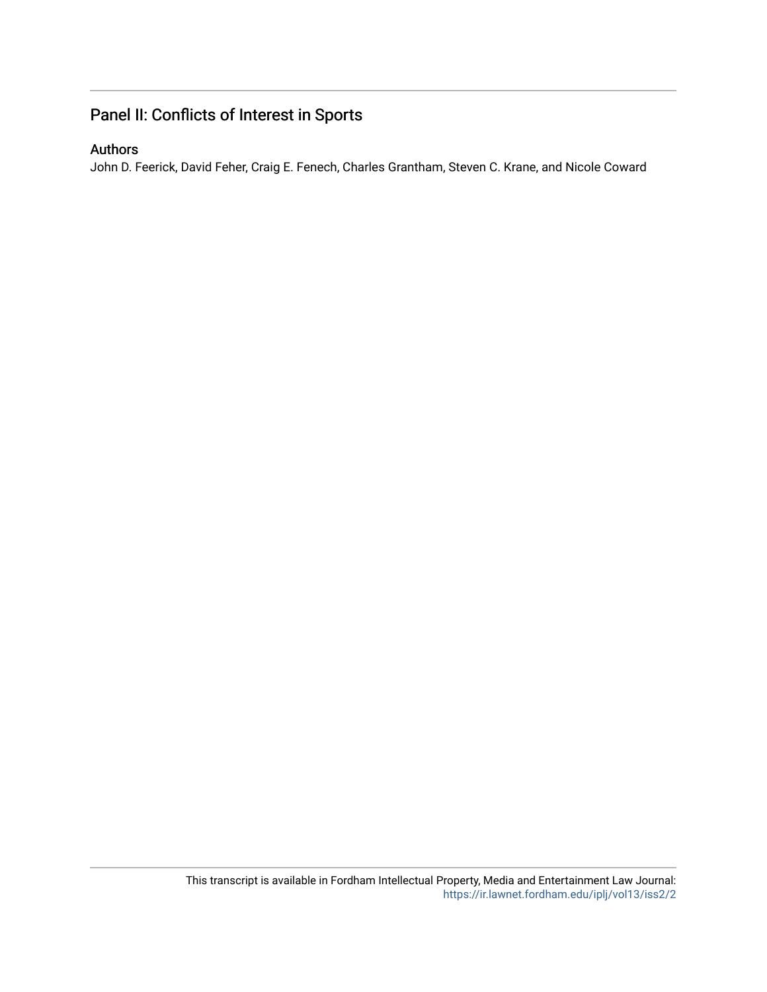# Panel II: Conflicts of Interest in Sports

# Authors

John D. Feerick, David Feher, Craig E. Fenech, Charles Grantham, Steven C. Krane, and Nicole Coward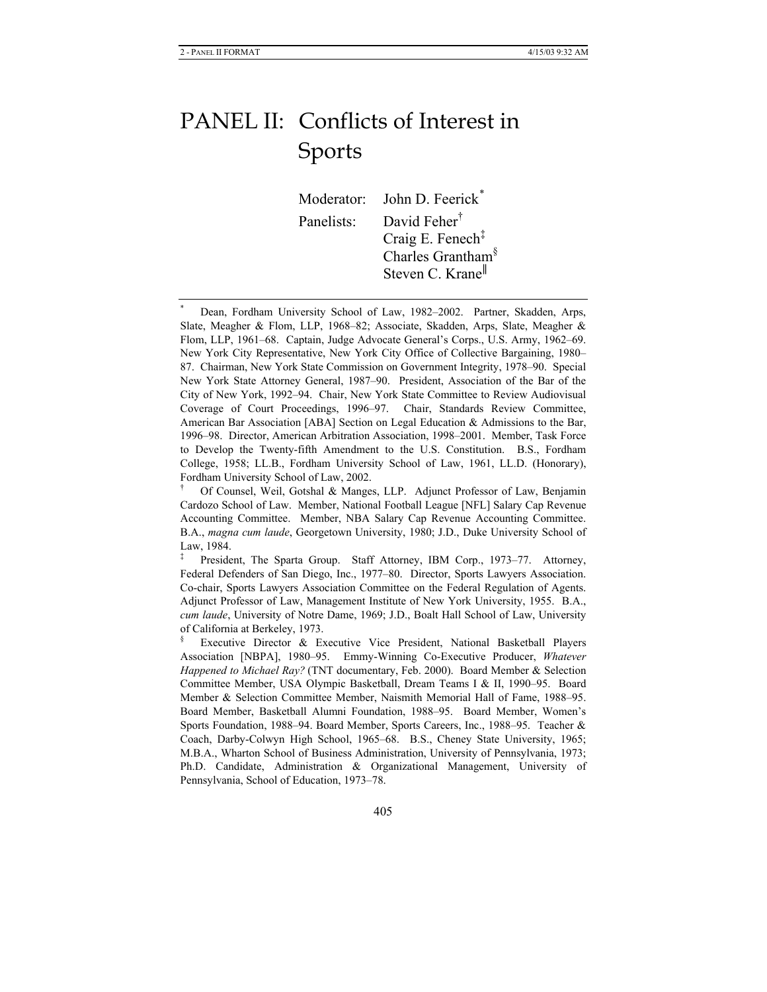# PANEL II: Conflicts of Interest in Sports

Moderator: John D. Feerick*\** Panelists: David Feher<sup>†</sup> Craig E. Fenech‡ Charles Grantham§ Steven C. Krane<sup>||</sup>

\* Dean, Fordham University School of Law, 1982–2002. Partner, Skadden, Arps, Slate, Meagher & Flom, LLP, 1968–82; Associate, Skadden, Arps, Slate, Meagher & Flom, LLP, 1961–68. Captain, Judge Advocate General's Corps., U.S. Army, 1962–69. New York City Representative, New York City Office of Collective Bargaining, 1980– 87. Chairman, New York State Commission on Government Integrity, 1978–90. Special New York State Attorney General, 1987–90. President, Association of the Bar of the City of New York, 1992–94. Chair, New York State Committee to Review Audiovisual Coverage of Court Proceedings, 1996–97. Chair, Standards Review Committee, American Bar Association [ABA] Section on Legal Education & Admissions to the Bar, 1996–98. Director, American Arbitration Association, 1998–2001. Member, Task Force to Develop the Twenty-fifth Amendment to the U.S. Constitution. B.S., Fordham College, 1958; LL.B., Fordham University School of Law, 1961, LL.D. (Honorary), Fordham University School of Law, 2002.

<sup>†</sup> Of Counsel, Weil, Gotshal & Manges, LLP. Adjunct Professor of Law, Benjamin Cardozo School of Law. Member, National Football League [NFL] Salary Cap Revenue Accounting Committee. Member, NBA Salary Cap Revenue Accounting Committee. B.A., *magna cum laude*, Georgetown University, 1980; J.D., Duke University School of Law, 1984.

<sup>‡</sup> President, The Sparta Group. Staff Attorney, IBM Corp., 1973–77. Attorney, Federal Defenders of San Diego, Inc., 1977–80. Director, Sports Lawyers Association. Co-chair, Sports Lawyers Association Committee on the Federal Regulation of Agents. Adjunct Professor of Law, Management Institute of New York University, 1955. B.A., *cum laude*, University of Notre Dame, 1969; J.D., Boalt Hall School of Law, University of California at Berkeley, 1973.

<sup>§</sup> Executive Director & Executive Vice President, National Basketball Players Association [NBPA], 1980–95. Emmy-Winning Co-Executive Producer, *Whatever Happened to Michael Ray?* (TNT documentary, Feb. 2000). Board Member & Selection Committee Member, USA Olympic Basketball, Dream Teams I & II, 1990–95. Board Member & Selection Committee Member, Naismith Memorial Hall of Fame, 1988–95. Board Member, Basketball Alumni Foundation, 1988–95.Board Member, Women's Sports Foundation, 1988–94. Board Member, Sports Careers, Inc., 1988–95.Teacher & Coach, Darby-Colwyn High School, 1965–68.B.S., Cheney State University, 1965; M.B.A., Wharton School of Business Administration, University of Pennsylvania, 1973; Ph.D. Candidate, Administration & Organizational Management, University of Pennsylvania, School of Education, 1973–78.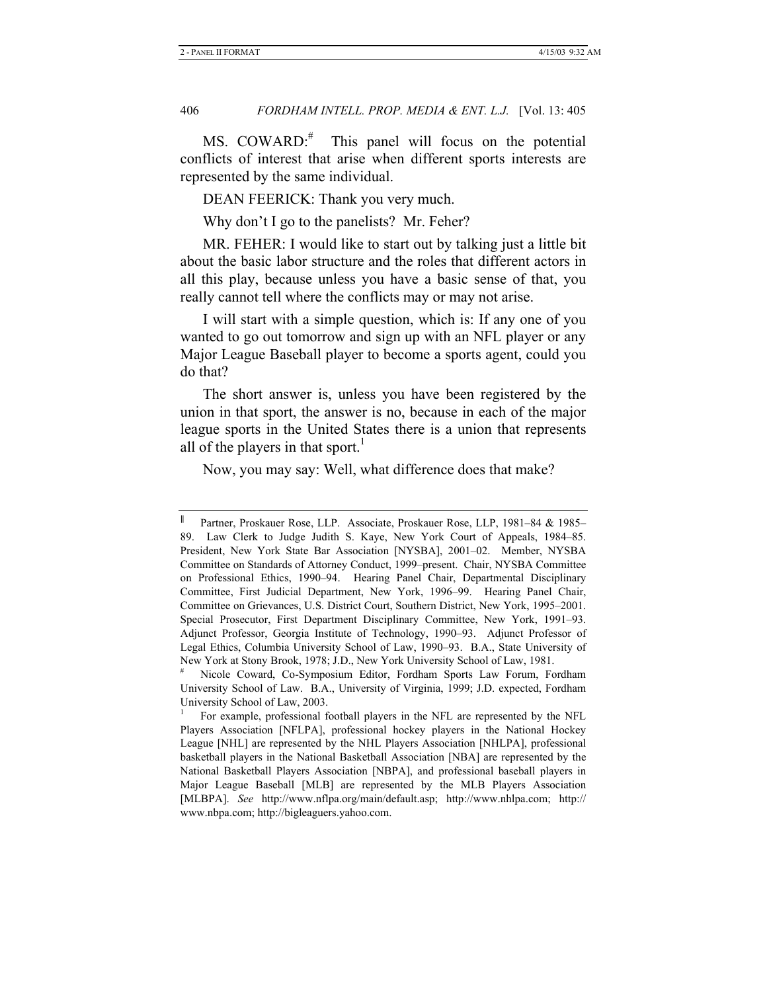MS. COWARD:# This panel will focus on the potential conflicts of interest that arise when different sports interests are represented by the same individual.

DEAN FEERICK: Thank you very much.

Why don't I go to the panelists? Mr. Feher?

MR. FEHER: I would like to start out by talking just a little bit about the basic labor structure and the roles that different actors in all this play, because unless you have a basic sense of that, you really cannot tell where the conflicts may or may not arise.

I will start with a simple question, which is: If any one of you wanted to go out tomorrow and sign up with an NFL player or any Major League Baseball player to become a sports agent, could you do that?

The short answer is, unless you have been registered by the union in that sport, the answer is no, because in each of the major league sports in the United States there is a union that represents all of the players in that sport.<sup>1</sup>

Now, you may say: Well, what difference does that make?

<sup>||</sup> Partner, Proskauer Rose, LLP. Associate, Proskauer Rose, LLP, 1981–84 & 1985– 89. Law Clerk to Judge Judith S. Kaye, New York Court of Appeals, 1984–85. President, New York State Bar Association [NYSBA], 2001–02. Member, NYSBA Committee on Standards of Attorney Conduct, 1999–present. Chair, NYSBA Committee on Professional Ethics, 1990–94. Hearing Panel Chair, Departmental Disciplinary Committee, First Judicial Department, New York, 1996–99. Hearing Panel Chair, Committee on Grievances, U.S. District Court, Southern District, New York, 1995–2001. Special Prosecutor, First Department Disciplinary Committee, New York, 1991–93. Adjunct Professor, Georgia Institute of Technology, 1990–93. Adjunct Professor of Legal Ethics, Columbia University School of Law, 1990–93. B.A., State University of New York at Stony Brook, 1978; J.D., New York University School of Law, 1981.

<sup>#</sup> Nicole Coward, Co-Symposium Editor, Fordham Sports Law Forum, Fordham University School of Law. B.A., University of Virginia, 1999; J.D. expected, Fordham University School of Law, 2003.

<sup>1</sup> For example, professional football players in the NFL are represented by the NFL Players Association [NFLPA], professional hockey players in the National Hockey League [NHL] are represented by the NHL Players Association [NHLPA], professional basketball players in the National Basketball Association [NBA] are represented by the National Basketball Players Association [NBPA], and professional baseball players in Major League Baseball [MLB] are represented by the MLB Players Association [MLBPA]. *See* http://www.nflpa.org/main/default.asp; http://www.nhlpa.com; http:// www.nbpa.com; http://bigleaguers.yahoo.com.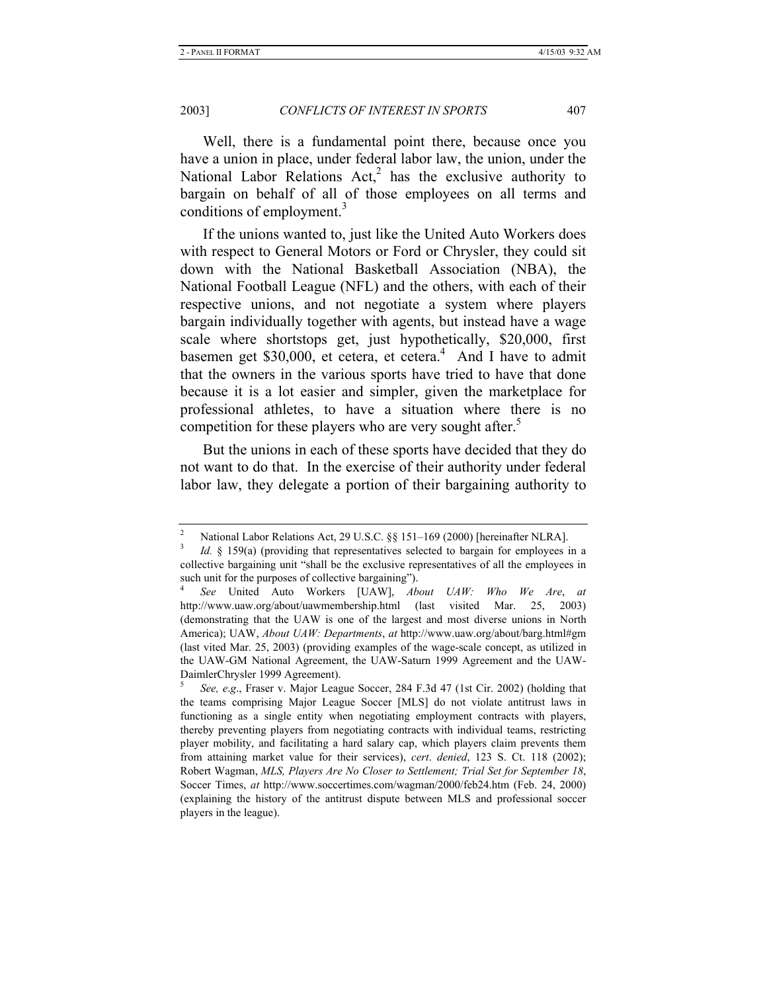Well, there is a fundamental point there, because once you have a union in place, under federal labor law, the union, under the National Labor Relations  $Act<sub>1</sub><sup>2</sup>$  has the exclusive authority to bargain on behalf of all of those employees on all terms and conditions of employment.<sup>3</sup>

If the unions wanted to, just like the United Auto Workers does with respect to General Motors or Ford or Chrysler, they could sit down with the National Basketball Association (NBA), the National Football League (NFL) and the others, with each of their respective unions, and not negotiate a system where players bargain individually together with agents, but instead have a wage scale where shortstops get, just hypothetically, \$20,000, first basemen get \$30,000, et cetera, et cetera.<sup>4</sup> And I have to admit that the owners in the various sports have tried to have that done because it is a lot easier and simpler, given the marketplace for professional athletes, to have a situation where there is no competition for these players who are very sought after.<sup>5</sup>

But the unions in each of these sports have decided that they do not want to do that. In the exercise of their authority under federal labor law, they delegate a portion of their bargaining authority to

<sup>2</sup> National Labor Relations Act, 29 U.S.C. §§ 151–169 (2000) [hereinafter NLRA].

<sup>3</sup> *Id.* § 159(a) (providing that representatives selected to bargain for employees in a collective bargaining unit "shall be the exclusive representatives of all the employees in such unit for the purposes of collective bargaining").

<sup>4</sup>  *See* United Auto Workers [UAW], *About UAW: Who We Are*, *at*  http://www.uaw.org/about/uawmembership.html (last visited Mar. 25, 2003) (demonstrating that the UAW is one of the largest and most diverse unions in North America); UAW, *About UAW: Departments*, *at* http://www.uaw.org/about/barg.html#gm (last vited Mar. 25, 2003) (providing examples of the wage-scale concept, as utilized in the UAW-GM National Agreement, the UAW-Saturn 1999 Agreement and the UAW-DaimlerChrysler 1999 Agreement).

<sup>5</sup>  *See, e*.*g*., Fraser v. Major League Soccer, 284 F.3d 47 (1st Cir. 2002) (holding that the teams comprising Major League Soccer [MLS] do not violate antitrust laws in functioning as a single entity when negotiating employment contracts with players, thereby preventing players from negotiating contracts with individual teams, restricting player mobility, and facilitating a hard salary cap, which players claim prevents them from attaining market value for their services), *cert*. *denied*, 123 S. Ct. 118 (2002); Robert Wagman, *MLS, Players Are No Closer to Settlement; Trial Set for September 18*, Soccer Times, *at* http://www.soccertimes.com/wagman/2000/feb24.htm (Feb. 24, 2000) (explaining the history of the antitrust dispute between MLS and professional soccer players in the league).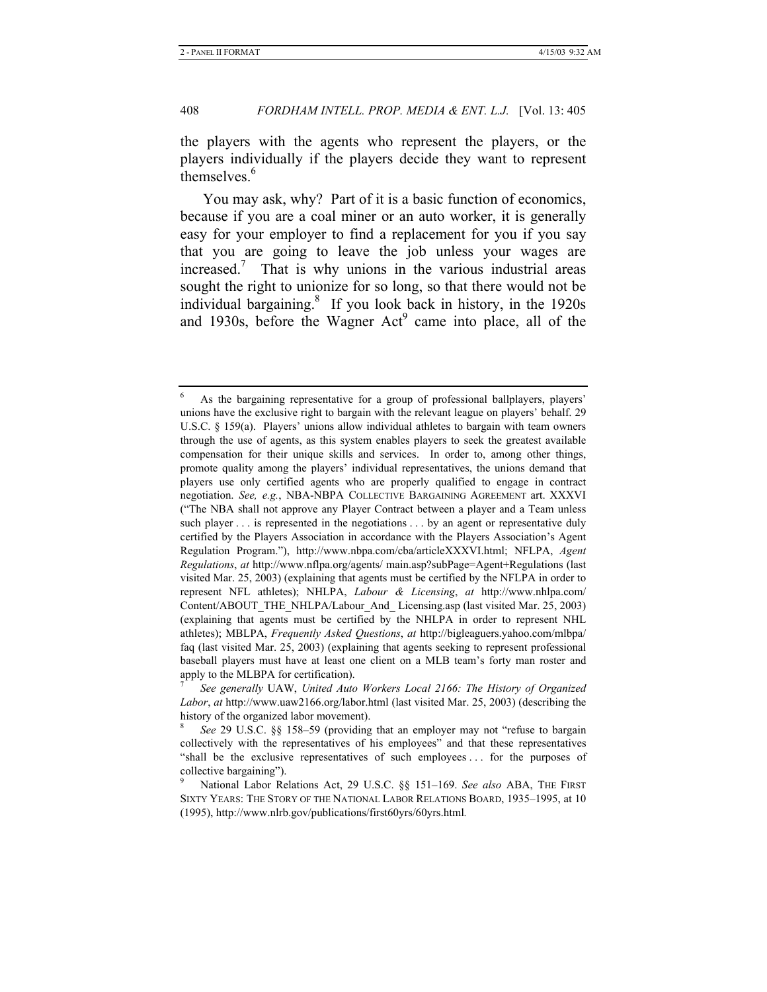the players with the agents who represent the players, or the players individually if the players decide they want to represent themselves.<sup>6</sup>

You may ask, why? Part of it is a basic function of economics, because if you are a coal miner or an auto worker, it is generally easy for your employer to find a replacement for you if you say that you are going to leave the job unless your wages are increased.7 That is why unions in the various industrial areas sought the right to unionize for so long, so that there would not be individual bargaining.<sup>8</sup> If you look back in history, in the 1920s and 1930s, before the Wagner  $Act^9$  came into place, all of the

<sup>6</sup> As the bargaining representative for a group of professional ballplayers, players' unions have the exclusive right to bargain with the relevant league on players' behalf. 29 U.S.C. § 159(a). Players' unions allow individual athletes to bargain with team owners through the use of agents, as this system enables players to seek the greatest available compensation for their unique skills and services. In order to, among other things, promote quality among the players' individual representatives, the unions demand that players use only certified agents who are properly qualified to engage in contract negotiation. *See, e.g.*, NBA-NBPA COLLECTIVE BARGAINING AGREEMENT art. XXXVI ("The NBA shall not approve any Player Contract between a player and a Team unless such player . . . is represented in the negotiations . . . by an agent or representative duly certified by the Players Association in accordance with the Players Association's Agent Regulation Program."), http://www.nbpa.com/cba/articleXXXVI.html; NFLPA, *Agent Regulations*, *at* http://www.nflpa.org/agents/ main.asp?subPage=Agent+Regulations (last visited Mar. 25, 2003) (explaining that agents must be certified by the NFLPA in order to represent NFL athletes); NHLPA, *Labour & Licensing*, *at* http://www.nhlpa.com/ Content/ABOUT\_THE\_NHLPA/Labour\_And\_ Licensing.asp (last visited Mar. 25, 2003) (explaining that agents must be certified by the NHLPA in order to represent NHL athletes); MBLPA, *Frequently Asked Questions*, *at* http://bigleaguers.yahoo.com/mlbpa/ faq (last visited Mar. 25, 2003) (explaining that agents seeking to represent professional baseball players must have at least one client on a MLB team's forty man roster and apply to the MLBPA for certification).

<sup>7</sup>  *See generally* UAW, *United Auto Workers Local 2166: The History of Organized Labor*, *at* http://www.uaw2166.org/labor.html (last visited Mar. 25, 2003) (describing the history of the organized labor movement).

<sup>8</sup>  *See* 29 U.S.C. §§ 158–59 (providing that an employer may not "refuse to bargain collectively with the representatives of his employees" and that these representatives "shall be the exclusive representatives of such employees . . . for the purposes of collective bargaining").

<sup>9</sup> National Labor Relations Act, 29 U.S.C. §§ 151–169. *See also* ABA, THE FIRST SIXTY YEARS: THE STORY OF THE NATIONAL LABOR RELATIONS BOARD, 1935–1995, at 10 (1995), http://www.nlrb.gov/publications/first60yrs/60yrs.html*.*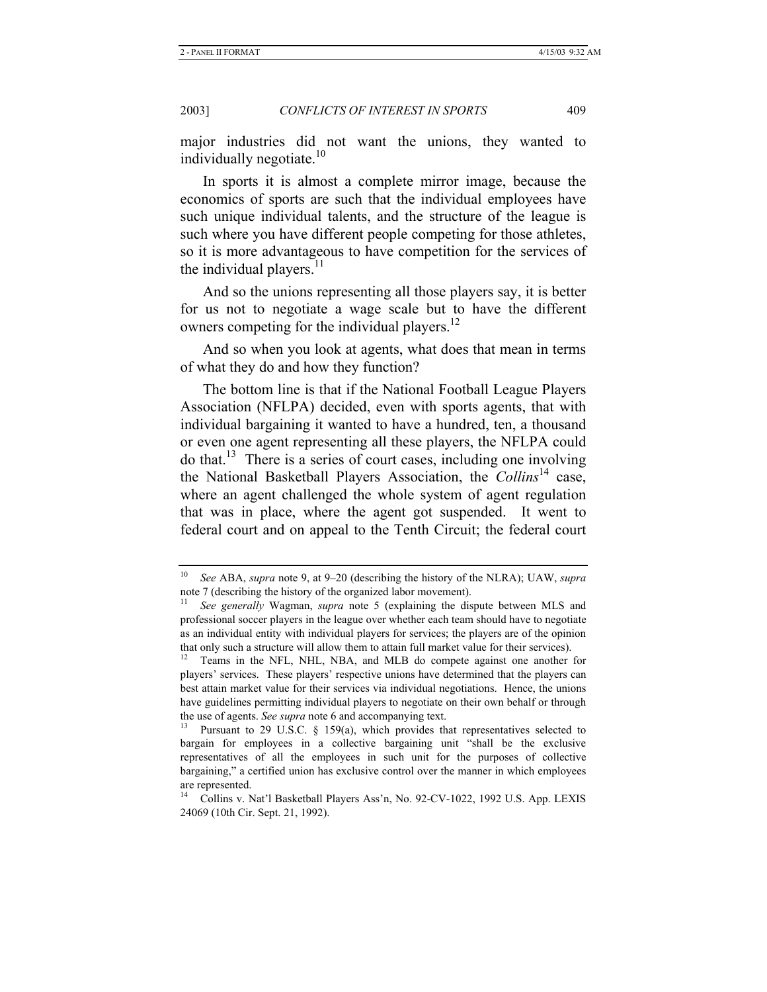major industries did not want the unions, they wanted to individually negotiate.<sup>10</sup>

In sports it is almost a complete mirror image, because the economics of sports are such that the individual employees have such unique individual talents, and the structure of the league is such where you have different people competing for those athletes, so it is more advantageous to have competition for the services of the individual players. $<sup>11</sup>$ </sup>

And so the unions representing all those players say, it is better for us not to negotiate a wage scale but to have the different owners competing for the individual players.<sup>12</sup>

And so when you look at agents, what does that mean in terms of what they do and how they function?

The bottom line is that if the National Football League Players Association (NFLPA) decided, even with sports agents, that with individual bargaining it wanted to have a hundred, ten, a thousand or even one agent representing all these players, the NFLPA could do that.<sup>13</sup> There is a series of court cases, including one involving the National Basketball Players Association, the *Collins*14 case, where an agent challenged the whole system of agent regulation that was in place, where the agent got suspended. It went to federal court and on appeal to the Tenth Circuit; the federal court

<sup>10</sup> *See* ABA, *supra* note 9, at 9–20 (describing the history of the NLRA); UAW, *supra* note 7 (describing the history of the organized labor movement).

<sup>11</sup> *See generally* Wagman, *supra* note 5 (explaining the dispute between MLS and professional soccer players in the league over whether each team should have to negotiate as an individual entity with individual players for services; the players are of the opinion that only such a structure will allow them to attain full market value for their services).

Teams in the NFL, NHL, NBA, and MLB do compete against one another for players' services. These players' respective unions have determined that the players can best attain market value for their services via individual negotiations. Hence, the unions have guidelines permitting individual players to negotiate on their own behalf or through

the use of agents. *See supra* note 6 and accompanying text.<br><sup>13</sup> Pursuant to 29 U.S.C. § 159(a), which provides that representatives selected to bargain for employees in a collective bargaining unit "shall be the exclusive representatives of all the employees in such unit for the purposes of collective bargaining," a certified union has exclusive control over the manner in which employees are represented.

<sup>14</sup> Collins v. Nat'l Basketball Players Ass'n, No. 92-CV-1022, 1992 U.S. App. LEXIS 24069 (10th Cir. Sept. 21, 1992).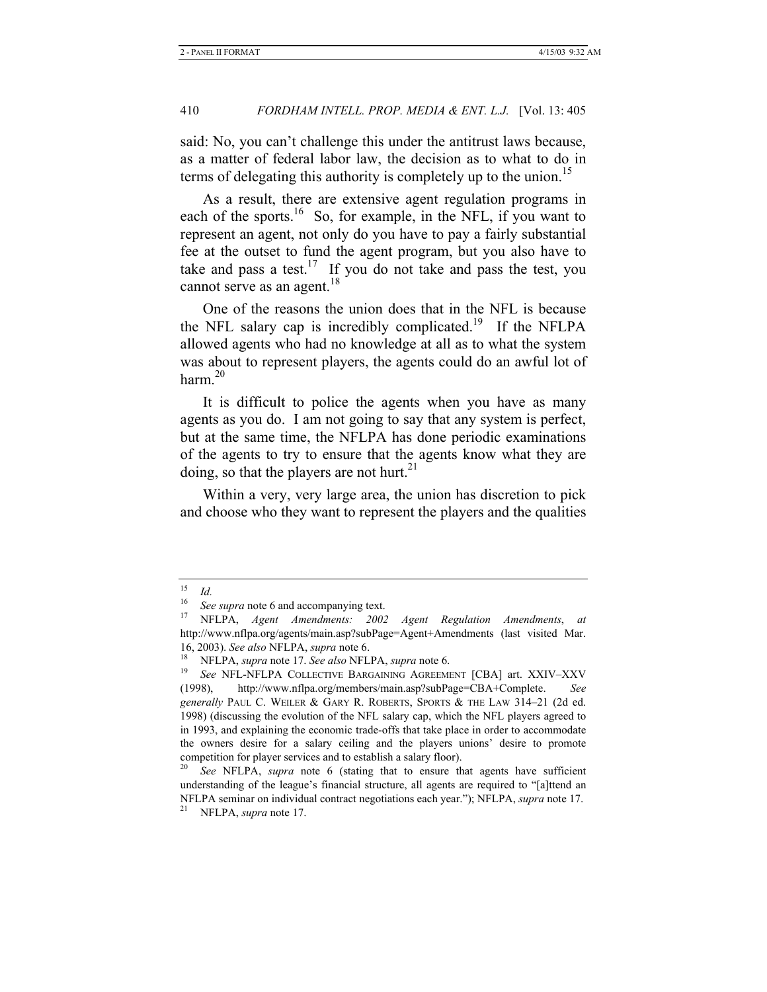said: No, you can't challenge this under the antitrust laws because, as a matter of federal labor law, the decision as to what to do in terms of delegating this authority is completely up to the union.<sup>15</sup>

As a result, there are extensive agent regulation programs in each of the sports.<sup>16</sup> So, for example, in the NFL, if you want to represent an agent, not only do you have to pay a fairly substantial fee at the outset to fund the agent program, but you also have to take and pass a test.<sup>17</sup> If you do not take and pass the test, you cannot serve as an agent. $18$ 

One of the reasons the union does that in the NFL is because the NFL salary cap is incredibly complicated.<sup>19</sup> If the NFLPA allowed agents who had no knowledge at all as to what the system was about to represent players, the agents could do an awful lot of harm. $^{20}$ 

It is difficult to police the agents when you have as many agents as you do. I am not going to say that any system is perfect, but at the same time, the NFLPA has done periodic examinations of the agents to try to ensure that the agents know what they are doing, so that the players are not hurt.<sup>21</sup>

Within a very, very large area, the union has discretion to pick and choose who they want to represent the players and the qualities

 $\frac{15}{16}$  *Id.* 

<sup>&</sup>lt;sup>16</sup> See supra note 6 and accompanying text.<br><sup>17</sup> NET BA *Agent* Amendments: 2003

<sup>17</sup> NFLPA, *Agent Amendments: 2002 Agent Regulation Amendments*, *at*  http://www.nflpa.org/agents/main.asp?subPage=Agent+Amendments (last visited Mar.

<sup>16, 2003).</sup> *See also* NFLPA, *supra* note 6. 18 NFLPA, *supra* note 17. *See also* NFLPA, *supra* note 6.

<sup>19</sup> *See* NFL-NFLPA COLLECTIVE BARGAINING AGREEMENT [CBA] art. XXIV–XXV (1998), http://www.nflpa.org/members/main.asp?subPage=CBA+Complete. *See generally* PAUL C. WEILER & GARY R. ROBERTS, SPORTS & THE LAW 314–21 (2d ed. 1998) (discussing the evolution of the NFL salary cap, which the NFL players agreed to in 1993, and explaining the economic trade-offs that take place in order to accommodate the owners desire for a salary ceiling and the players unions' desire to promote competition for player services and to establish a salary floor).

See NFLPA, *supra* note 6 (stating that to ensure that agents have sufficient understanding of the league's financial structure, all agents are required to "[a]ttend an NFLPA seminar on individual contract negotiations each year."); NFLPA, *supra* note 17. 21 NFLPA, *supra* note 17.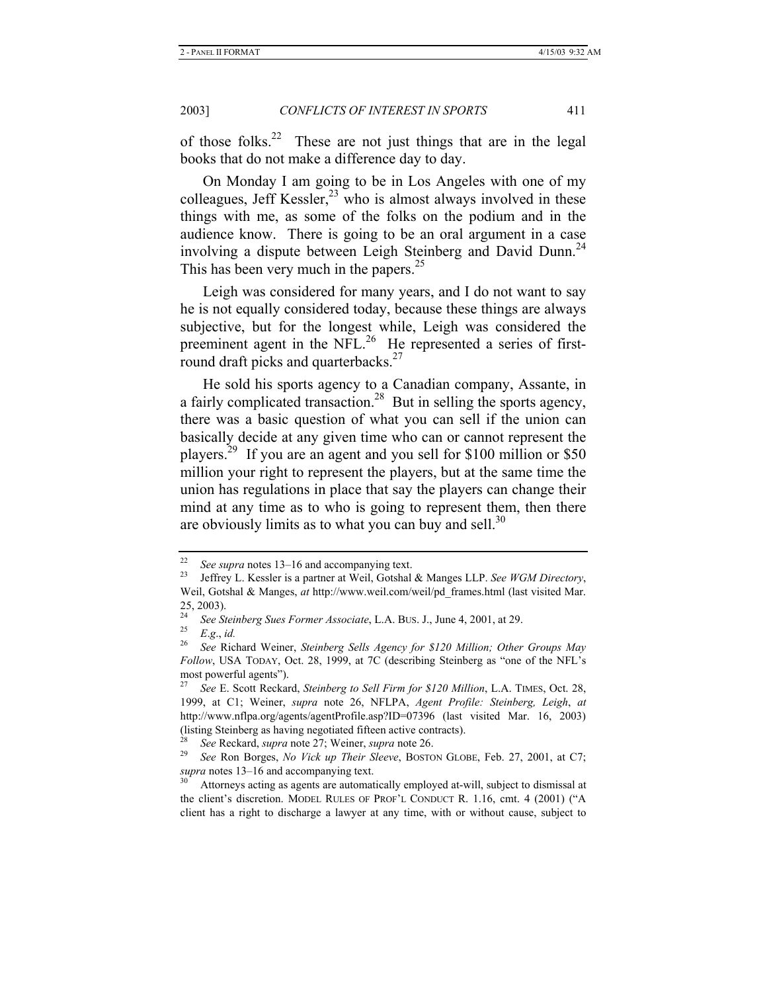of those folks.22 These are not just things that are in the legal books that do not make a difference day to day.

On Monday I am going to be in Los Angeles with one of my colleagues, Jeff Kessler, $^{23}$  who is almost always involved in these things with me, as some of the folks on the podium and in the audience know. There is going to be an oral argument in a case involving a dispute between Leigh Steinberg and David Dunn.<sup>24</sup> This has been very much in the papers.<sup>25</sup>

Leigh was considered for many years, and I do not want to say he is not equally considered today, because these things are always subjective, but for the longest while, Leigh was considered the preeminent agent in the NFL.<sup>26</sup> He represented a series of firstround draft picks and quarterbacks. $27$ 

He sold his sports agency to a Canadian company, Assante, in a fairly complicated transaction.<sup>28</sup> But in selling the sports agency, there was a basic question of what you can sell if the union can basically decide at any given time who can or cannot represent the players.29 If you are an agent and you sell for \$100 million or \$50 million your right to represent the players, but at the same time the union has regulations in place that say the players can change their mind at any time as to who is going to represent them, then there are obviously limits as to what you can buy and sell. $30$ 

<sup>22</sup> *See supra* notes 13–16 and accompanying text. 23 Jeffrey L. Kessler is a partner at Weil, Gotshal & Manges LLP. *See WGM Directory*, Weil, Gotshal & Manges, *at* http://www.weil.com/weil/pd\_frames.html (last visited Mar.  $\frac{25}{24}$ , 2003).

<sup>&</sup>lt;sup>24</sup> See Steinberg Sues Former Associate, L.A. BUS. J., June 4, 2001, at 29.

 $\frac{25}{26}$  *E.g.*, *id.*<br> $\frac{26}{26}$  *See Pig* 

<sup>26</sup> *See* Richard Weiner, *Steinberg Sells Agency for \$120 Million; Other Groups May Follow*, USA TODAY, Oct. 28, 1999, at 7C (describing Steinberg as "one of the NFL's most powerful agents").

<sup>27</sup> *See* E. Scott Reckard, *Steinberg to Sell Firm for \$120 Million*, L.A. TIMES, Oct. 28, 1999, at C1; Weiner, *supra* note 26, NFLPA, *Agent Profile: Steinberg, Leigh*, *at* http://www.nflpa.org/agents/agentProfile.asp?ID=07396 (last visited Mar. 16, 2003) (listing Steinberg as having negotiated fifteen active contracts).

<sup>28</sup> *See* Reckard, *supra* note 27; Weiner, *supra* note 26. 29 *See* Ron Borges, *No Vick up Their Sleeve*, BOSTON GLOBE, Feb. 27, 2001, at C7; *supra* notes 13–16 and accompanying text.<br><sup>30</sup> Attorneys acting as agents are automatically employed at-will, subject to dismissal at

the client's discretion. MODEL RULES OF PROF'L CONDUCT R. 1.16, cmt. 4 (2001) ("A client has a right to discharge a lawyer at any time, with or without cause, subject to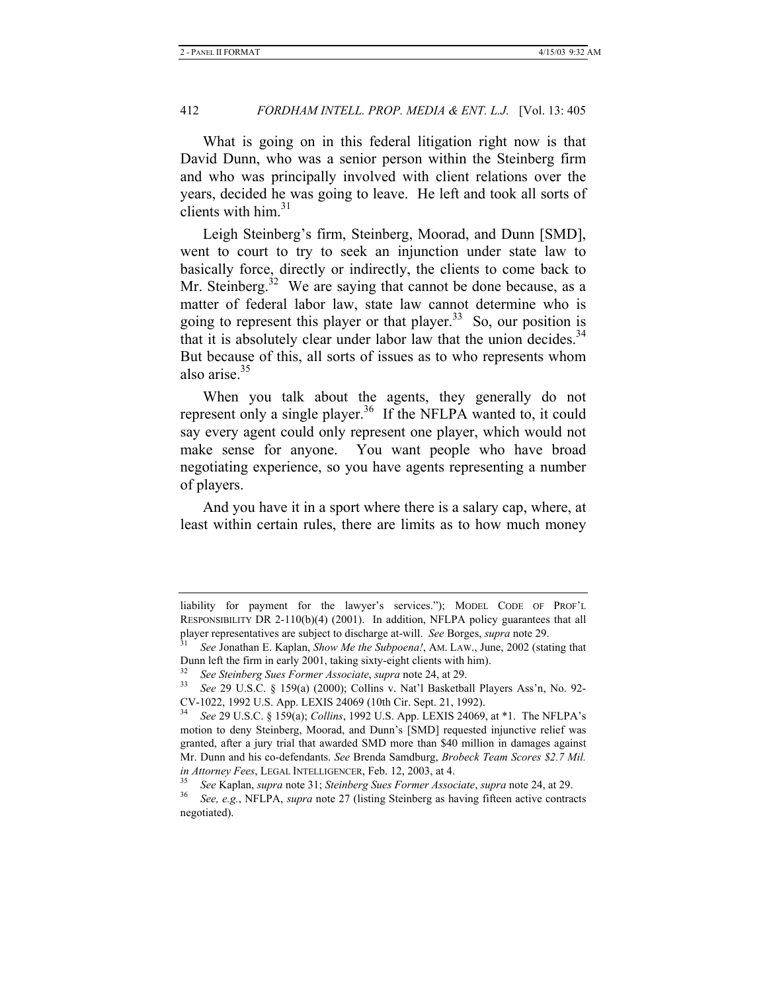What is going on in this federal litigation right now is that David Dunn, who was a senior person within the Steinberg firm and who was principally involved with client relations over the years, decided he was going to leave. He left and took all sorts of clients with him. $31$ 

Leigh Steinberg's firm, Steinberg, Moorad, and Dunn [SMD], went to court to try to seek an injunction under state law to basically force, directly or indirectly, the clients to come back to Mr. Steinberg.<sup>32</sup> We are saying that cannot be done because, as a matter of federal labor law, state law cannot determine who is going to represent this player or that player.<sup>33</sup> So, our position is that it is absolutely clear under labor law that the union decides.<sup>34</sup> But because of this, all sorts of issues as to who represents whom also arise.35

When you talk about the agents, they generally do not represent only a single player.<sup>36</sup> If the NFLPA wanted to, it could say every agent could only represent one player, which would not make sense for anyone. You want people who have broad negotiating experience, so you have agents representing a number of players.

And you have it in a sport where there is a salary cap, where, at least within certain rules, there are limits as to how much money

liability for payment for the lawyer's services."); MODEL CODE OF PROF'L RESPONSIBILITY DR 2-110(b)(4) (2001). In addition, NFLPA policy guarantees that all player representatives are subject to discharge at-will. *See* Borges, *supra* note 29. 31 *See* Jonathan E. Kaplan, *Show Me the Subpoena!*, AM. LAW., June, 2002 (stating that

Dunn left the firm in early 2001, taking sixty-eight clients with him).

<sup>&</sup>lt;sup>32</sup> See Steinberg Sues Former Associate, *supra* note 24, at 29.<br><sup>33</sup> See 29 U.S.C. § 159(a) (2000); Collins v. Nat'l Basketball Players Ass'n, No. 92-CV-1022, 1992 U.S. App. LEXIS 24069 (10th Cir. Sept. 21, 1992).

<sup>34</sup> *See* 29 U.S.C. § 159(a); *Collins*, 1992 U.S. App. LEXIS 24069, at \*1. The NFLPA's motion to deny Steinberg, Moorad, and Dunn's [SMD] requested injunctive relief was granted, after a jury trial that awarded SMD more than \$40 million in damages against Mr. Dunn and his co-defendants. *See* Brenda Samdburg, *Brobeck Team Scores \$2.7 Mil.*  in Attorney Fees, LEGAL INTELLIGENCER, Feb. 12, 2003, at 4.<br><sup>35</sup> See Kaplan, *supra* note 31; Steinberg Sues Former Associate, supra note 24, at 29.<br><sup>36</sup> See, e.g., NFLPA, *supra* note 27 (listing Steinberg as having fifte

negotiated).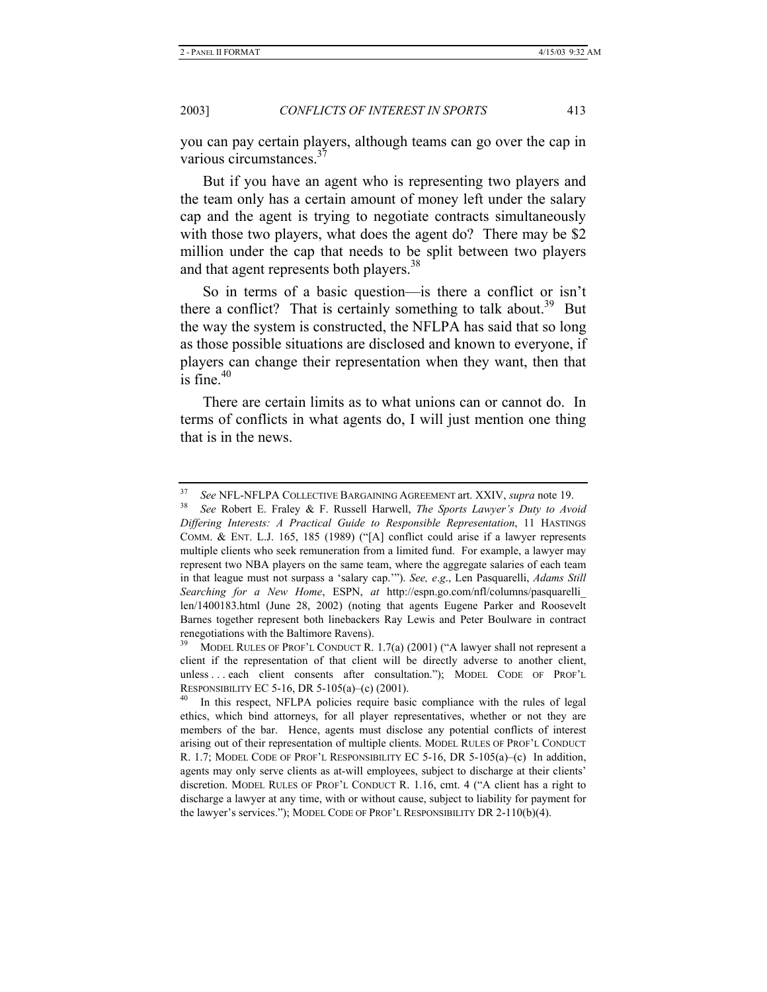you can pay certain players, although teams can go over the cap in various circumstances.<sup>37</sup>

But if you have an agent who is representing two players and the team only has a certain amount of money left under the salary cap and the agent is trying to negotiate contracts simultaneously with those two players, what does the agent do? There may be \$2 million under the cap that needs to be split between two players and that agent represents both players.<sup>38</sup>

So in terms of a basic question—is there a conflict or isn't there a conflict? That is certainly something to talk about.<sup>39</sup> But the way the system is constructed, the NFLPA has said that so long as those possible situations are disclosed and known to everyone, if players can change their representation when they want, then that is fine. $40$ 

There are certain limits as to what unions can or cannot do. In terms of conflicts in what agents do, I will just mention one thing that is in the news.

<sup>37</sup> *See* NFL-NFLPA COLLECTIVE BARGAINING AGREEMENT art. XXIV, *supra* note 19. 38 *See* Robert E. Fraley & F. Russell Harwell, *The Sports Lawyer's Duty to Avoid Differing Interests: A Practical Guide to Responsible Representation*, 11 HASTINGS COMM. & ENT. L.J. 165, 185 (1989) ("[A] conflict could arise if a lawyer represents multiple clients who seek remuneration from a limited fund. For example, a lawyer may represent two NBA players on the same team, where the aggregate salaries of each team in that league must not surpass a 'salary cap.'"). *See, e*.*g*., Len Pasquarelli, *Adams Still Searching for a New Home*, ESPN, *at* http://espn.go.com/nfl/columns/pasquarelli\_ len/1400183.html (June 28, 2002) (noting that agents Eugene Parker and Roosevelt Barnes together represent both linebackers Ray Lewis and Peter Boulware in contract renegotiations with the Baltimore Ravens).

MODEL RULES OF PROF'L CONDUCT R. 1.7(a) (2001) ("A lawyer shall not represent a client if the representation of that client will be directly adverse to another client, unless . . . each client consents after consultation."); MODEL CODE OF PROF'L RESPONSIBILITY EC 5-16, DR 5-105(a)–(c) (2001).<br><sup>40</sup> In this respect, NFLPA policies require basic compliance with the rules of legal

ethics, which bind attorneys, for all player representatives, whether or not they are members of the bar. Hence, agents must disclose any potential conflicts of interest arising out of their representation of multiple clients. MODEL RULES OF PROF'L CONDUCT R. 1.7; MODEL CODE OF PROF'L RESPONSIBILITY EC 5-16, DR 5-105(a)–(c) In addition, agents may only serve clients as at-will employees, subject to discharge at their clients' discretion. MODEL RULES OF PROF'L CONDUCT R. 1.16, cmt. 4 ("A client has a right to discharge a lawyer at any time, with or without cause, subject to liability for payment for the lawyer's services."); MODEL CODE OF PROF'L RESPONSIBILITY DR 2-110(b)(4).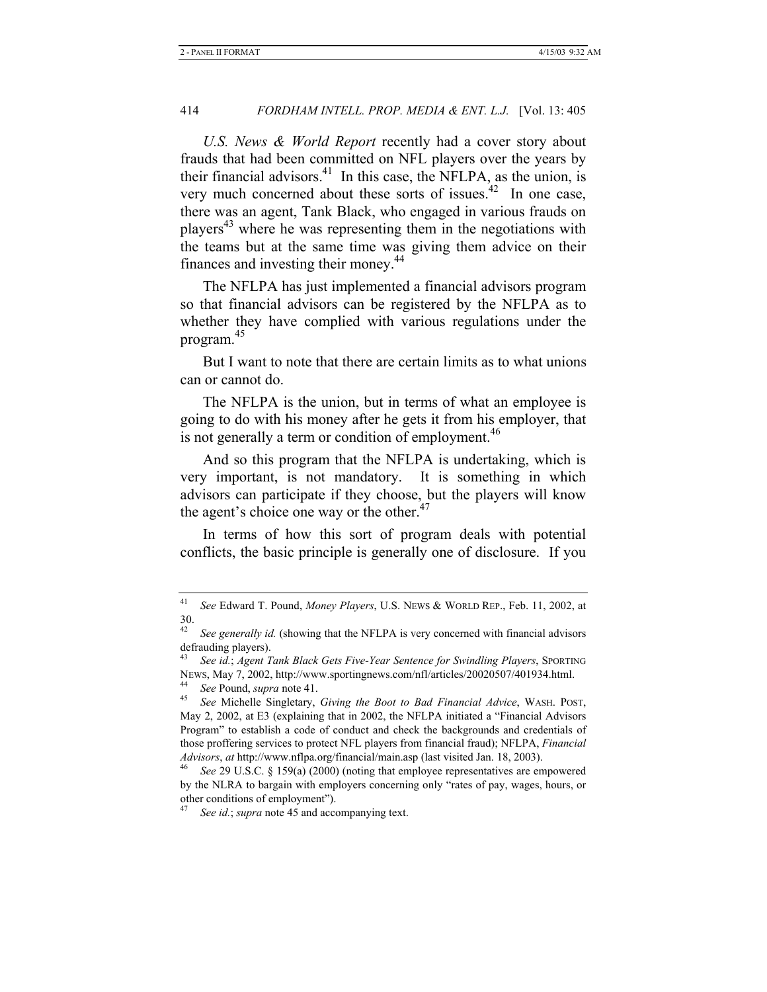*U.S. News & World Report* recently had a cover story about frauds that had been committed on NFL players over the years by their financial advisors.<sup>41</sup> In this case, the NFLPA, as the union, is very much concerned about these sorts of issues.<sup>42</sup> In one case, there was an agent, Tank Black, who engaged in various frauds on players<sup> $43$ </sup> where he was representing them in the negotiations with the teams but at the same time was giving them advice on their finances and investing their money.<sup>44</sup>

The NFLPA has just implemented a financial advisors program so that financial advisors can be registered by the NFLPA as to whether they have complied with various regulations under the program.<sup>45</sup>

But I want to note that there are certain limits as to what unions can or cannot do.

The NFLPA is the union, but in terms of what an employee is going to do with his money after he gets it from his employer, that is not generally a term or condition of employment.<sup>46</sup>

And so this program that the NFLPA is undertaking, which is very important, is not mandatory. It is something in which advisors can participate if they choose, but the players will know the agent's choice one way or the other. $47$ 

In terms of how this sort of program deals with potential conflicts, the basic principle is generally one of disclosure. If you

<sup>41</sup> *See* Edward T. Pound, *Money Players*, U.S. NEWS & WORLD REP., Feb. 11, 2002, at 30.

<sup>&</sup>lt;sup>42</sup> See generally id. (showing that the NFLPA is very concerned with financial advisors defrauding players).

<sup>43</sup> *See id.*; *Agent Tank Black Gets Five-Year Sentence for Swindling Players*, SPORTING NEWS, May 7, 2002, http://www.sportingnews.com/nfl/articles/20020507/401934.html. 44 *See* Pound, *supra* note 41. 45 *See* Michelle Singletary, *Giving the Boot to Bad Financial Advice*, WASH. POST,

May 2, 2002, at E3 (explaining that in 2002, the NFLPA initiated a "Financial Advisors Program" to establish a code of conduct and check the backgrounds and credentials of those proffering services to protect NFL players from financial fraud); NFLPA, *Financial Advisors*, *at* http://www.nflpa.org/financial/main.asp (last visited Jan. 18, 2003).<br><sup>46</sup> *See* 29 U.S.C. § 159(a) (2000) (noting that employee representatives are empowered

by the NLRA to bargain with employers concerning only "rates of pay, wages, hours, or other conditions of employment").

See id.; *supra* note 45 and accompanying text.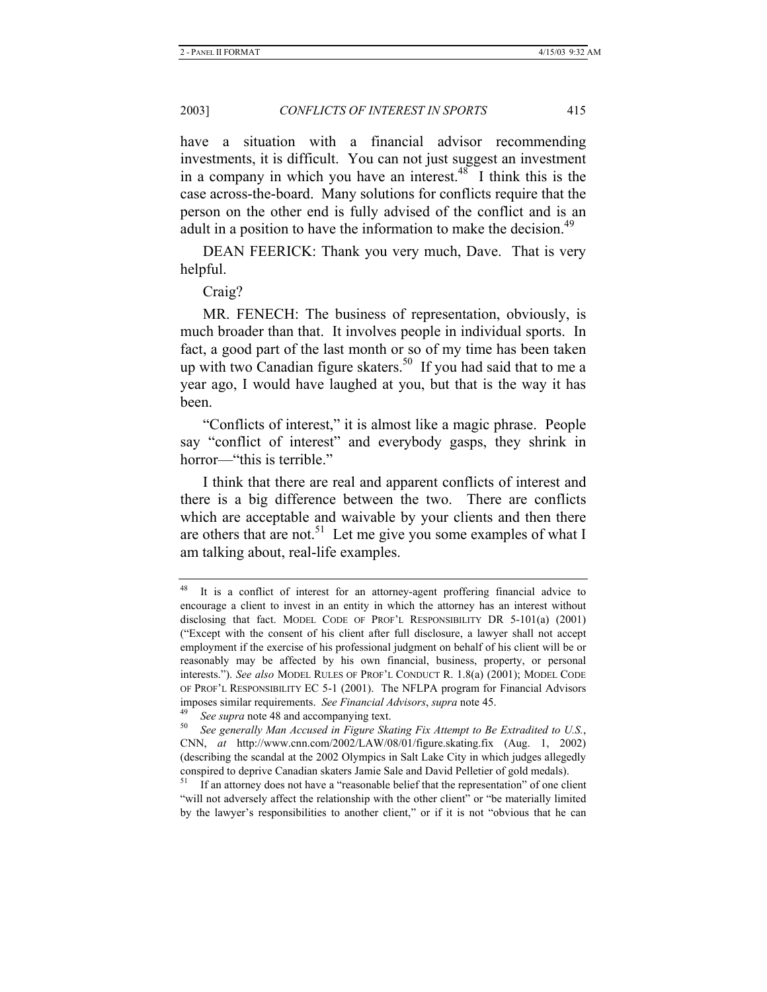have a situation with a financial advisor recommending investments, it is difficult. You can not just suggest an investment in a company in which you have an interest. $48$  I think this is the case across-the-board. Many solutions for conflicts require that the person on the other end is fully advised of the conflict and is an adult in a position to have the information to make the decision.<sup>49</sup>

DEAN FEERICK: Thank you very much, Dave. That is very helpful.

Craig?

MR. FENECH: The business of representation, obviously, is much broader than that. It involves people in individual sports. In fact, a good part of the last month or so of my time has been taken up with two Canadian figure skaters.<sup>50</sup> If you had said that to me a year ago, I would have laughed at you, but that is the way it has been.

"Conflicts of interest," it is almost like a magic phrase. People say "conflict of interest" and everybody gasps, they shrink in horror—"this is terrible."

I think that there are real and apparent conflicts of interest and there is a big difference between the two. There are conflicts which are acceptable and waivable by your clients and then there are others that are not.<sup>51</sup> Let me give you some examples of what I am talking about, real-life examples.

<sup>48</sup> It is a conflict of interest for an attorney-agent proffering financial advice to encourage a client to invest in an entity in which the attorney has an interest without disclosing that fact. MODEL CODE OF PROF'L RESPONSIBILITY DR 5-101(a) (2001) ("Except with the consent of his client after full disclosure, a lawyer shall not accept employment if the exercise of his professional judgment on behalf of his client will be or reasonably may be affected by his own financial, business, property, or personal interests."). *See also* MODEL RULES OF PROF'L CONDUCT R. 1.8(a) (2001); MODEL CODE OF PROF'L RESPONSIBILITY EC 5-1 (2001). The NFLPA program for Financial Advisors imposes similar requirements. See Financial Advisors, supra note 45.<br><sup>49</sup> See supra note 48 and accompanying text.<br><sup>50</sup> See generally Man Accused in Figure Skating Fix Attempt to Be Extradited to U.S.,

CNN, *at* http://www.cnn.com/2002/LAW/08/01/figure.skating.fix (Aug. 1, 2002) (describing the scandal at the 2002 Olympics in Salt Lake City in which judges allegedly conspired to deprive Canadian skaters Jamie Sale and David Pelletier of gold medals).

If an attorney does not have a "reasonable belief that the representation" of one client "will not adversely affect the relationship with the other client" or "be materially limited by the lawyer's responsibilities to another client," or if it is not "obvious that he can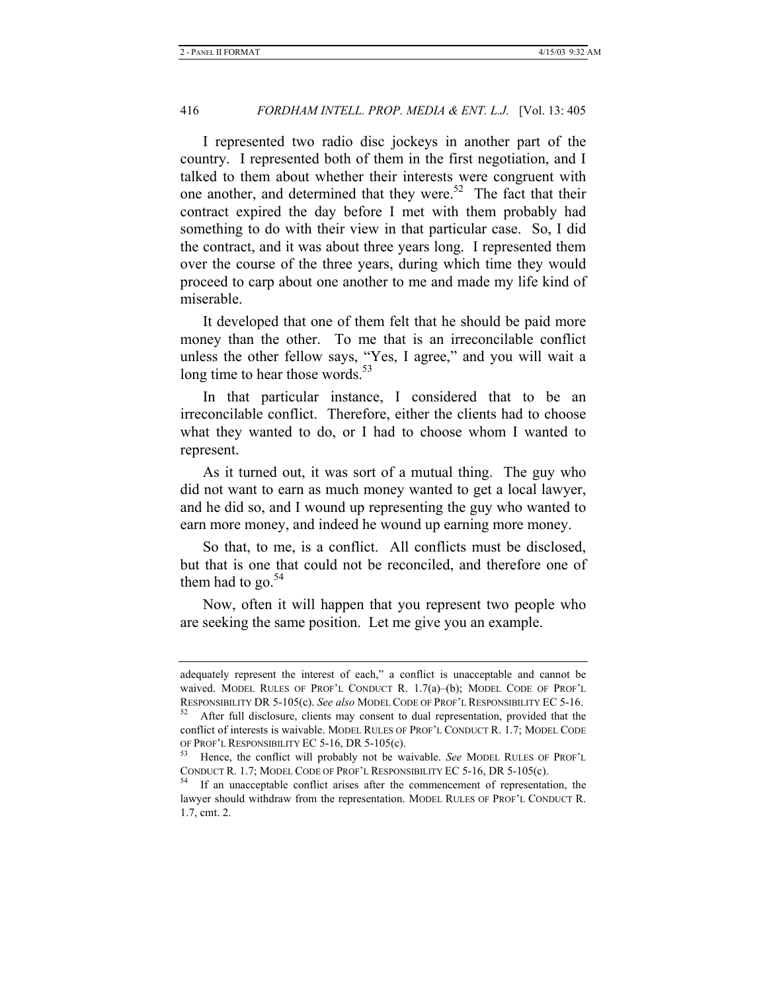I represented two radio disc jockeys in another part of the country. I represented both of them in the first negotiation, and I talked to them about whether their interests were congruent with one another, and determined that they were.<sup>52</sup> The fact that their contract expired the day before I met with them probably had something to do with their view in that particular case. So, I did the contract, and it was about three years long. I represented them over the course of the three years, during which time they would proceed to carp about one another to me and made my life kind of miserable.

It developed that one of them felt that he should be paid more money than the other. To me that is an irreconcilable conflict unless the other fellow says, "Yes, I agree," and you will wait a long time to hear those words.<sup>53</sup>

In that particular instance, I considered that to be an irreconcilable conflict. Therefore, either the clients had to choose what they wanted to do, or I had to choose whom I wanted to represent.

As it turned out, it was sort of a mutual thing. The guy who did not want to earn as much money wanted to get a local lawyer, and he did so, and I wound up representing the guy who wanted to earn more money, and indeed he wound up earning more money.

So that, to me, is a conflict. All conflicts must be disclosed, but that is one that could not be reconciled, and therefore one of them had to go. $54$ 

Now, often it will happen that you represent two people who are seeking the same position. Let me give you an example.

adequately represent the interest of each," a conflict is unacceptable and cannot be waived. MODEL RULES OF PROF'L CONDUCT R. 1.7(a)–(b); MODEL CODE OF PROF'L RESPONSIBILITY DR 5-105(c). *See also* MODEL CODE OF PROF'L RESPONSIBILITY EC 5-16.<br><sup>52</sup> After full disclosure, clients may consent to dual representation, provided that the

conflict of interests is waivable. MODEL RULES OF PROF'L CONDUCT R. 1.7; MODEL CODE OF PROF'L RESPONSIBILITY EC 5-16, DR 5-105(c). 53 Hence, the conflict will probably not be waivable. *See* MODEL RULES OF PROF'L

CONDUCT R. 1.7; MODEL CODE OF PROF'L RESPONSIBILITY EC 5-16, DR 5-105(c). 54 If an unacceptable conflict arises after the commencement of representation, the

lawyer should withdraw from the representation. MODEL RULES OF PROF'L CONDUCT R. 1.7, cmt. 2.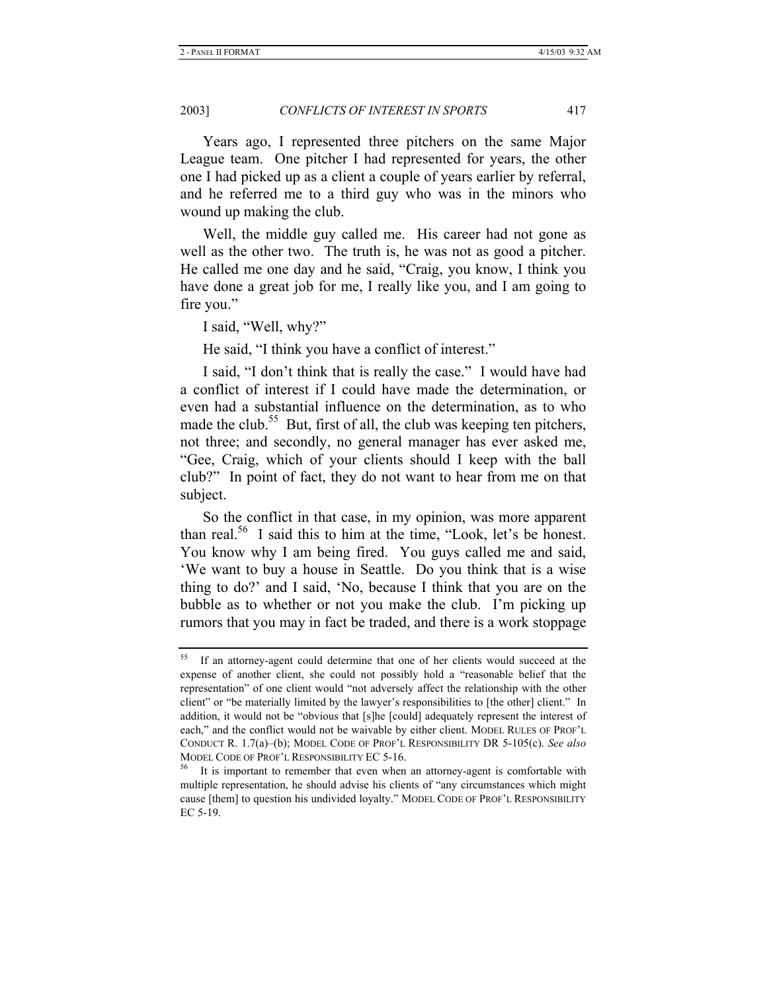Years ago, I represented three pitchers on the same Major League team. One pitcher I had represented for years, the other one I had picked up as a client a couple of years earlier by referral, and he referred me to a third guy who was in the minors who wound up making the club.

Well, the middle guy called me. His career had not gone as well as the other two. The truth is, he was not as good a pitcher. He called me one day and he said, "Craig, you know, I think you have done a great job for me, I really like you, and I am going to fire you."

I said, "Well, why?"

He said, "I think you have a conflict of interest."

I said, "I don't think that is really the case." I would have had a conflict of interest if I could have made the determination, or even had a substantial influence on the determination, as to who made the club.<sup>55</sup> But, first of all, the club was keeping ten pitchers, not three; and secondly, no general manager has ever asked me, "Gee, Craig, which of your clients should I keep with the ball club?" In point of fact, they do not want to hear from me on that subject.

So the conflict in that case, in my opinion, was more apparent than real.<sup>56</sup> I said this to him at the time, "Look, let's be honest. You know why I am being fired. You guys called me and said, 'We want to buy a house in Seattle. Do you think that is a wise thing to do?' and I said, 'No, because I think that you are on the bubble as to whether or not you make the club. I'm picking up rumors that you may in fact be traded, and there is a work stoppage

<sup>55</sup> If an attorney-agent could determine that one of her clients would succeed at the expense of another client, she could not possibly hold a "reasonable belief that the representation" of one client would "not adversely affect the relationship with the other client" or "be materially limited by the lawyer's responsibilities to [the other] client." In addition, it would not be "obvious that [s]he [could] adequately represent the interest of each," and the conflict would not be waivable by either client. MODEL RULES OF PROF'L CONDUCT R. 1.7(a)–(b); MODEL CODE OF PROF'L RESPONSIBILITY DR 5-105(c). *See also*  MODEL CODE OF PROF'L RESPONSIBILITY EC 5-16.<br><sup>56</sup> It is important to remember that even when an attorney-agent is comfortable with

multiple representation, he should advise his clients of "any circumstances which might cause [them] to question his undivided loyalty." MODEL CODE OF PROF'L RESPONSIBILITY EC 5-19.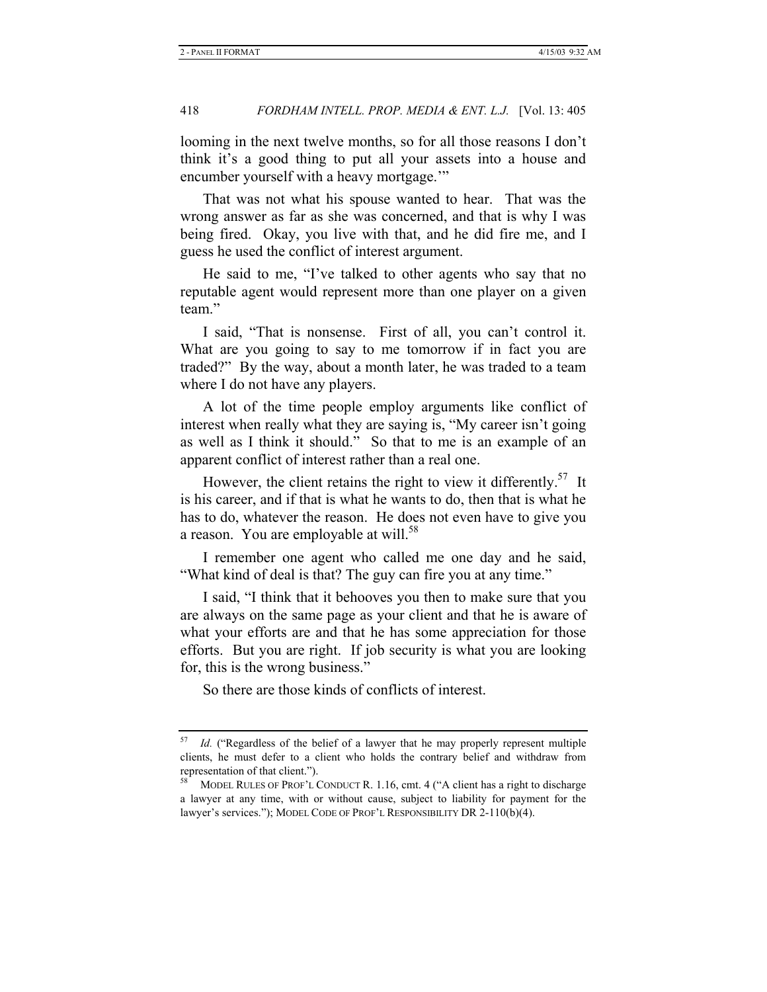looming in the next twelve months, so for all those reasons I don't think it's a good thing to put all your assets into a house and encumber yourself with a heavy mortgage."

That was not what his spouse wanted to hear. That was the wrong answer as far as she was concerned, and that is why I was being fired. Okay, you live with that, and he did fire me, and I guess he used the conflict of interest argument.

He said to me, "I've talked to other agents who say that no reputable agent would represent more than one player on a given team."

I said, "That is nonsense. First of all, you can't control it. What are you going to say to me tomorrow if in fact you are traded?" By the way, about a month later, he was traded to a team where I do not have any players.

A lot of the time people employ arguments like conflict of interest when really what they are saying is, "My career isn't going as well as I think it should." So that to me is an example of an apparent conflict of interest rather than a real one.

However, the client retains the right to view it differently.<sup>57</sup> It is his career, and if that is what he wants to do, then that is what he has to do, whatever the reason. He does not even have to give you a reason. You are employable at will.<sup>58</sup>

I remember one agent who called me one day and he said, "What kind of deal is that? The guy can fire you at any time."

I said, "I think that it behooves you then to make sure that you are always on the same page as your client and that he is aware of what your efforts are and that he has some appreciation for those efforts. But you are right. If job security is what you are looking for, this is the wrong business."

So there are those kinds of conflicts of interest.

Id. ("Regardless of the belief of a lawyer that he may properly represent multiple clients, he must defer to a client who holds the contrary belief and withdraw from representation of that client.").

<sup>58</sup> MODEL RULES OF PROF'L CONDUCT R. 1.16, cmt. 4 ("A client has a right to discharge a lawyer at any time, with or without cause, subject to liability for payment for the lawyer's services."); MODEL CODE OF PROF'L RESPONSIBILITY DR 2-110(b)(4).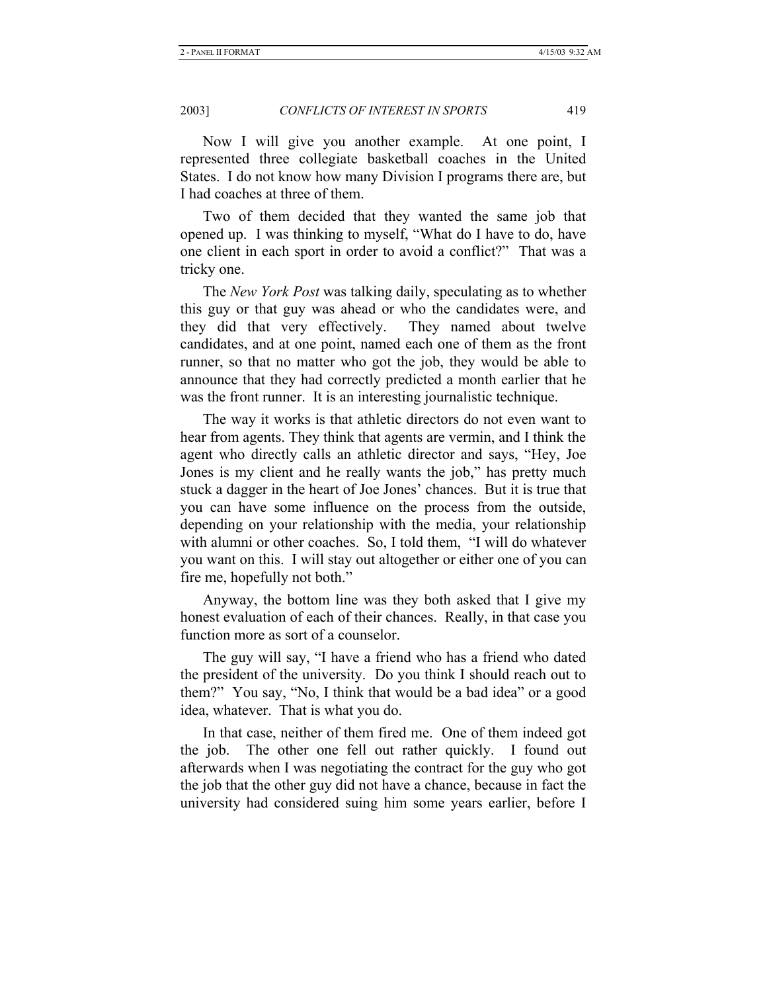Now I will give you another example. At one point, I represented three collegiate basketball coaches in the United States. I do not know how many Division I programs there are, but I had coaches at three of them.

Two of them decided that they wanted the same job that opened up. I was thinking to myself, "What do I have to do, have one client in each sport in order to avoid a conflict?" That was a tricky one.

The *New York Post* was talking daily, speculating as to whether this guy or that guy was ahead or who the candidates were, and they did that very effectively. They named about twelve candidates, and at one point, named each one of them as the front runner, so that no matter who got the job, they would be able to announce that they had correctly predicted a month earlier that he was the front runner. It is an interesting journalistic technique.

The way it works is that athletic directors do not even want to hear from agents. They think that agents are vermin, and I think the agent who directly calls an athletic director and says, "Hey, Joe Jones is my client and he really wants the job," has pretty much stuck a dagger in the heart of Joe Jones' chances. But it is true that you can have some influence on the process from the outside, depending on your relationship with the media, your relationship with alumni or other coaches. So, I told them, "I will do whatever you want on this. I will stay out altogether or either one of you can fire me, hopefully not both."

Anyway, the bottom line was they both asked that I give my honest evaluation of each of their chances. Really, in that case you function more as sort of a counselor.

The guy will say, "I have a friend who has a friend who dated the president of the university. Do you think I should reach out to them?" You say, "No, I think that would be a bad idea" or a good idea, whatever. That is what you do.

In that case, neither of them fired me. One of them indeed got the job. The other one fell out rather quickly. I found out afterwards when I was negotiating the contract for the guy who got the job that the other guy did not have a chance, because in fact the university had considered suing him some years earlier, before I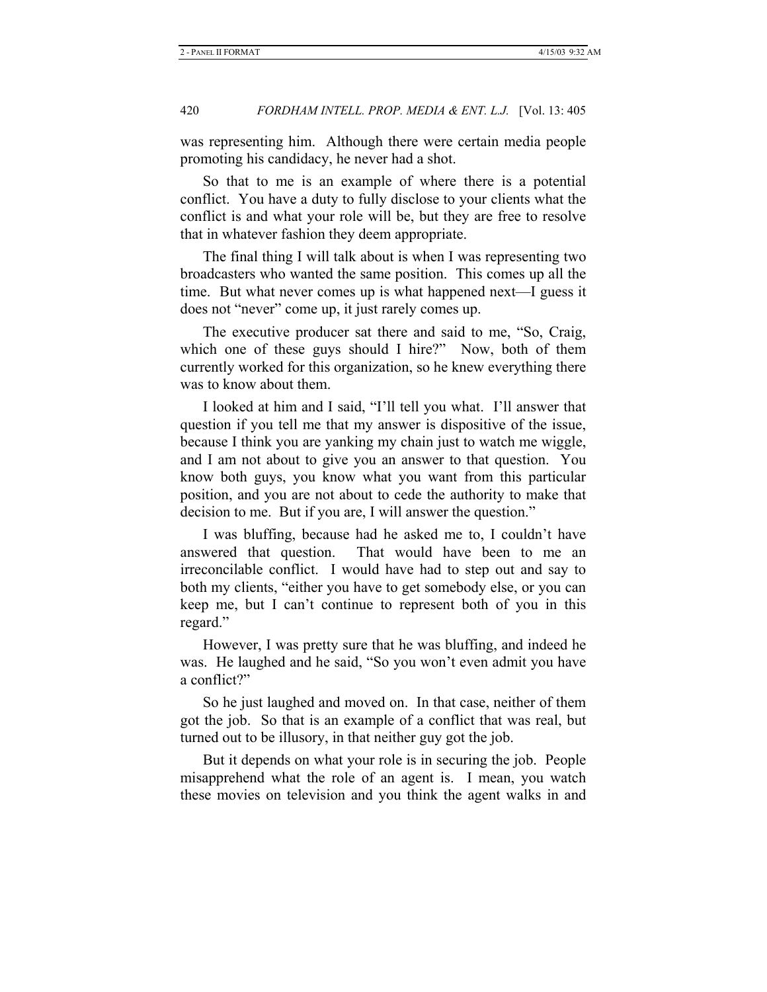was representing him. Although there were certain media people promoting his candidacy, he never had a shot.

So that to me is an example of where there is a potential conflict. You have a duty to fully disclose to your clients what the conflict is and what your role will be, but they are free to resolve that in whatever fashion they deem appropriate.

The final thing I will talk about is when I was representing two broadcasters who wanted the same position. This comes up all the time. But what never comes up is what happened next—I guess it does not "never" come up, it just rarely comes up.

The executive producer sat there and said to me, "So, Craig, which one of these guys should I hire?" Now, both of them currently worked for this organization, so he knew everything there was to know about them.

I looked at him and I said, "I'll tell you what. I'll answer that question if you tell me that my answer is dispositive of the issue, because I think you are yanking my chain just to watch me wiggle, and I am not about to give you an answer to that question. You know both guys, you know what you want from this particular position, and you are not about to cede the authority to make that decision to me. But if you are, I will answer the question."

I was bluffing, because had he asked me to, I couldn't have answered that question. That would have been to me an irreconcilable conflict. I would have had to step out and say to both my clients, "either you have to get somebody else, or you can keep me, but I can't continue to represent both of you in this regard."

However, I was pretty sure that he was bluffing, and indeed he was. He laughed and he said, "So you won't even admit you have a conflict?"

So he just laughed and moved on. In that case, neither of them got the job. So that is an example of a conflict that was real, but turned out to be illusory, in that neither guy got the job.

But it depends on what your role is in securing the job. People misapprehend what the role of an agent is. I mean, you watch these movies on television and you think the agent walks in and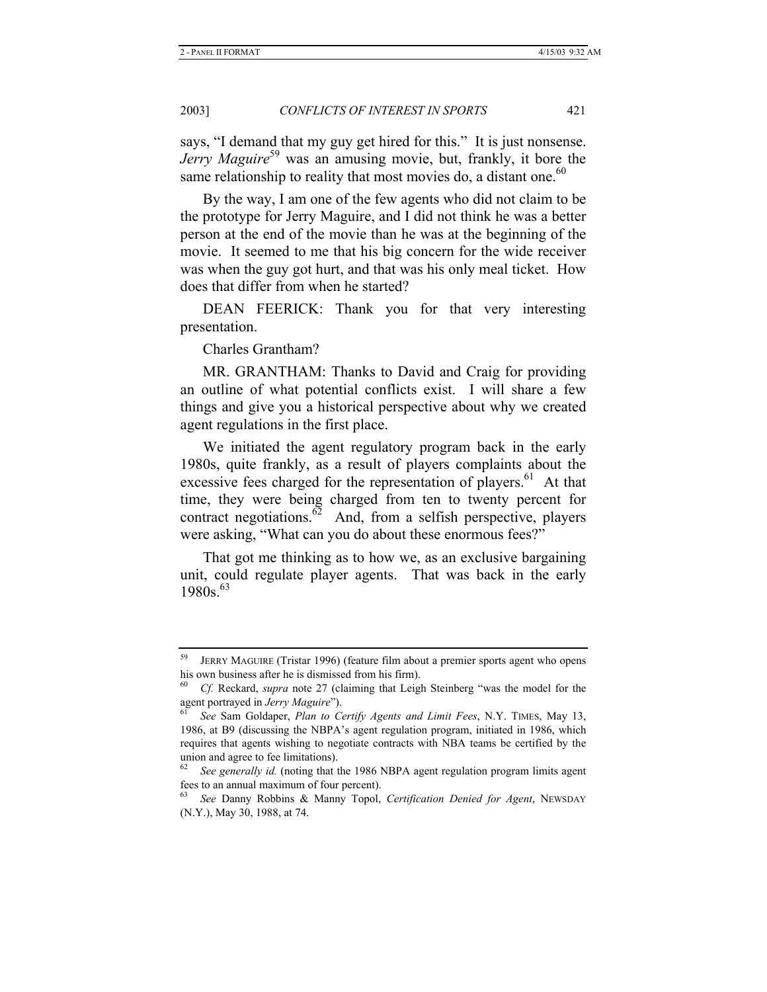says, "I demand that my guy get hired for this." It is just nonsense. *Jerry Maguire*<sup>59</sup> was an amusing movie, but, frankly, it bore the same relationship to reality that most movies do, a distant one.<sup>60</sup>

By the way, I am one of the few agents who did not claim to be the prototype for Jerry Maguire, and I did not think he was a better person at the end of the movie than he was at the beginning of the movie. It seemed to me that his big concern for the wide receiver was when the guy got hurt, and that was his only meal ticket. How does that differ from when he started?

DEAN FEERICK: Thank you for that very interesting presentation.

Charles Grantham?

MR. GRANTHAM: Thanks to David and Craig for providing an outline of what potential conflicts exist. I will share a few things and give you a historical perspective about why we created agent regulations in the first place.

We initiated the agent regulatory program back in the early 1980s, quite frankly, as a result of players complaints about the excessive fees charged for the representation of players.<sup>61</sup> At that time, they were being charged from ten to twenty percent for contract negotiations. $62$  And, from a selfish perspective, players were asking, "What can you do about these enormous fees?"

That got me thinking as to how we, as an exclusive bargaining unit, could regulate player agents. That was back in the early  $1980s.<sup>63</sup>$ 

JERRY MAGUIRE (Tristar 1996) (feature film about a premier sports agent who opens his own business after he is dismissed from his firm).

<sup>60</sup> *Cf.* Reckard, *supra* note 27 (claiming that Leigh Steinberg "was the model for the agent portrayed in *Jerry Maguire*").<br><sup>61</sup> See Sam Goldaper, *Plan to Certify Agents and Limit Fees*, N.Y. TIMES, May 13,

<sup>1986,</sup> at B9 (discussing the NBPA's agent regulation program, initiated in 1986, which requires that agents wishing to negotiate contracts with NBA teams be certified by the union and agree to fee limitations).

<sup>62</sup> *See generally id.* (noting that the 1986 NBPA agent regulation program limits agent fees to an annual maximum of four percent).

<sup>63</sup> *See* Danny Robbins & Manny Topol, *Certification Denied for Agent*, NEWSDAY (N.Y.), May 30, 1988, at 74.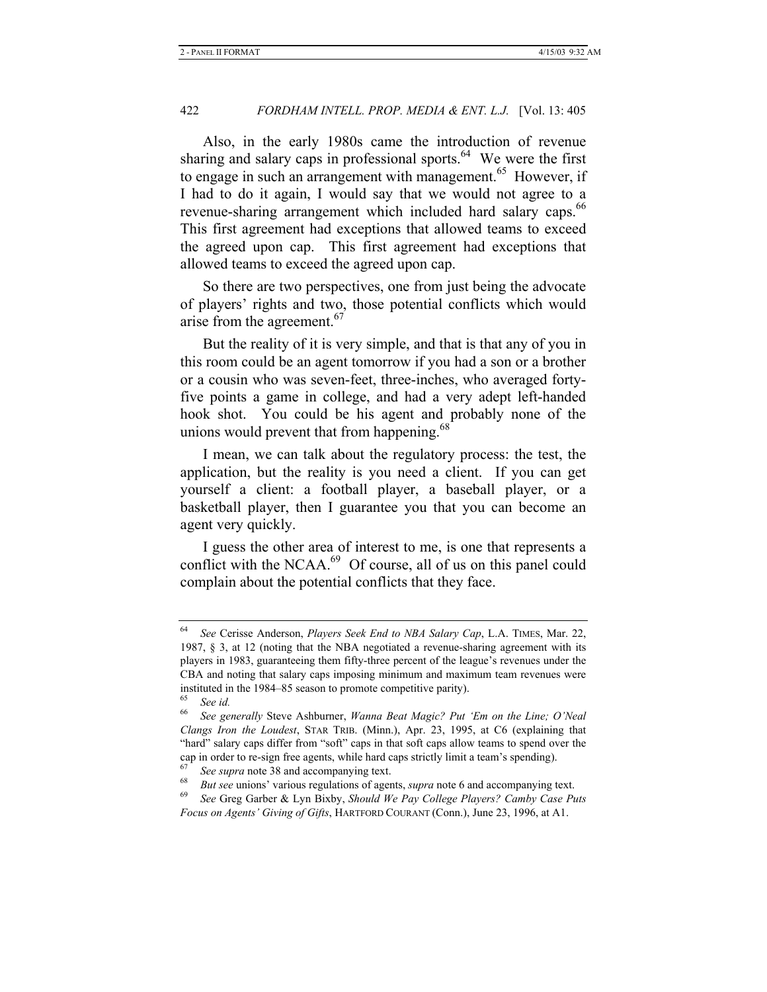Also, in the early 1980s came the introduction of revenue sharing and salary caps in professional sports.<sup>64</sup> We were the first to engage in such an arrangement with management.<sup>65</sup> However, if I had to do it again, I would say that we would not agree to a revenue-sharing arrangement which included hard salary caps.<sup>66</sup> This first agreement had exceptions that allowed teams to exceed the agreed upon cap. This first agreement had exceptions that allowed teams to exceed the agreed upon cap.

So there are two perspectives, one from just being the advocate of players' rights and two, those potential conflicts which would arise from the agreement.<sup>67</sup>

But the reality of it is very simple, and that is that any of you in this room could be an agent tomorrow if you had a son or a brother or a cousin who was seven-feet, three-inches, who averaged fortyfive points a game in college, and had a very adept left-handed hook shot. You could be his agent and probably none of the unions would prevent that from happening.<sup>68</sup>

I mean, we can talk about the regulatory process: the test, the application, but the reality is you need a client. If you can get yourself a client: a football player, a baseball player, or a basketball player, then I guarantee you that you can become an agent very quickly.

I guess the other area of interest to me, is one that represents a conflict with the NCAA.<sup>69</sup> Of course, all of us on this panel could complain about the potential conflicts that they face.

<sup>64</sup> *See* Cerisse Anderson, *Players Seek End to NBA Salary Cap*, L.A. TIMES, Mar. 22, 1987, § 3, at 12 (noting that the NBA negotiated a revenue-sharing agreement with its players in 1983, guaranteeing them fifty-three percent of the league's revenues under the CBA and noting that salary caps imposing minimum and maximum team revenues were instituted in the 1984–85 season to promote competitive parity).

<sup>65</sup> *See id.*

<sup>66</sup> *See generally* Steve Ashburner, *Wanna Beat Magic? Put 'Em on the Line; O'Neal Clangs Iron the Loudest*, STAR TRIB. (Minn.), Apr. 23, 1995, at C6 (explaining that "hard" salary caps differ from "soft" caps in that soft caps allow teams to spend over the cap in order to re-sign free agents, while hard caps strictly limit a team's spending).

<sup>&</sup>lt;sup>67</sup> See supra note 38 and accompanying text.<br><sup>68</sup> But see unions' various regulations of agents, *supra* note 6 and accompanying text.<br><sup>69</sup> See Greg Garber & Lyn Bixby, Should We Pay College Players? Camby Case Puts

*Focus on Agents' Giving of Gifts*, HARTFORD COURANT (Conn.), June 23, 1996, at A1.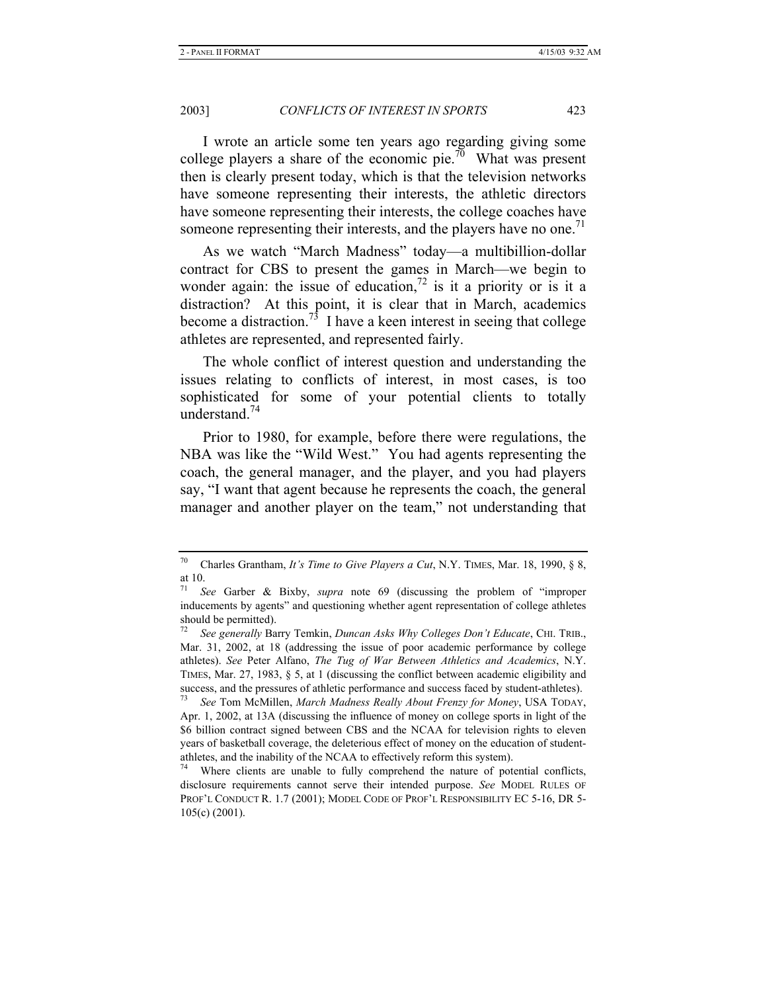I wrote an article some ten years ago regarding giving some college players a share of the economic pie.<sup>70</sup> What was present then is clearly present today, which is that the television networks have someone representing their interests, the athletic directors have someone representing their interests, the college coaches have someone representing their interests, and the players have no one.<sup> $1$ </sup>

As we watch "March Madness" today—a multibillion-dollar contract for CBS to present the games in March—we begin to wonder again: the issue of education,<sup>72</sup> is it a priority or is it a distraction? At this point, it is clear that in March, academics become a distraction.<sup>73</sup> I have a keen interest in seeing that college athletes are represented, and represented fairly.

The whole conflict of interest question and understanding the issues relating to conflicts of interest, in most cases, is too sophisticated for some of your potential clients to totally understand.<sup>74</sup>

Prior to 1980, for example, before there were regulations, the NBA was like the "Wild West." You had agents representing the coach, the general manager, and the player, and you had players say, "I want that agent because he represents the coach, the general manager and another player on the team," not understanding that

<sup>70</sup> Charles Grantham, *It's Time to Give Players a Cut*, N.Y. TIMES, Mar. 18, 1990, § 8, at 10.

<sup>71</sup> *See* Garber & Bixby, *supra* note 69 (discussing the problem of "improper inducements by agents" and questioning whether agent representation of college athletes should be permitted).

<sup>72</sup> *See generally* Barry Temkin, *Duncan Asks Why Colleges Don't Educate*, CHI. TRIB., Mar. 31, 2002, at 18 (addressing the issue of poor academic performance by college athletes). *See* Peter Alfano, *The Tug of War Between Athletics and Academics*, N.Y. TIMES, Mar. 27, 1983, § 5, at 1 (discussing the conflict between academic eligibility and success, and the pressures of athletic performance and success faced by student-athletes).

<sup>73</sup> *See* Tom McMillen, *March Madness Really About Frenzy for Money*, USA TODAY, Apr. 1, 2002, at 13A (discussing the influence of money on college sports in light of the \$6 billion contract signed between CBS and the NCAA for television rights to eleven years of basketball coverage, the deleterious effect of money on the education of studentathletes, and the inability of the NCAA to effectively reform this system).

Where clients are unable to fully comprehend the nature of potential conflicts, disclosure requirements cannot serve their intended purpose. *See* MODEL RULES OF PROF'L CONDUCT R. 1.7 (2001); MODEL CODE OF PROF'L RESPONSIBILITY EC 5-16, DR 5- 105(c) (2001).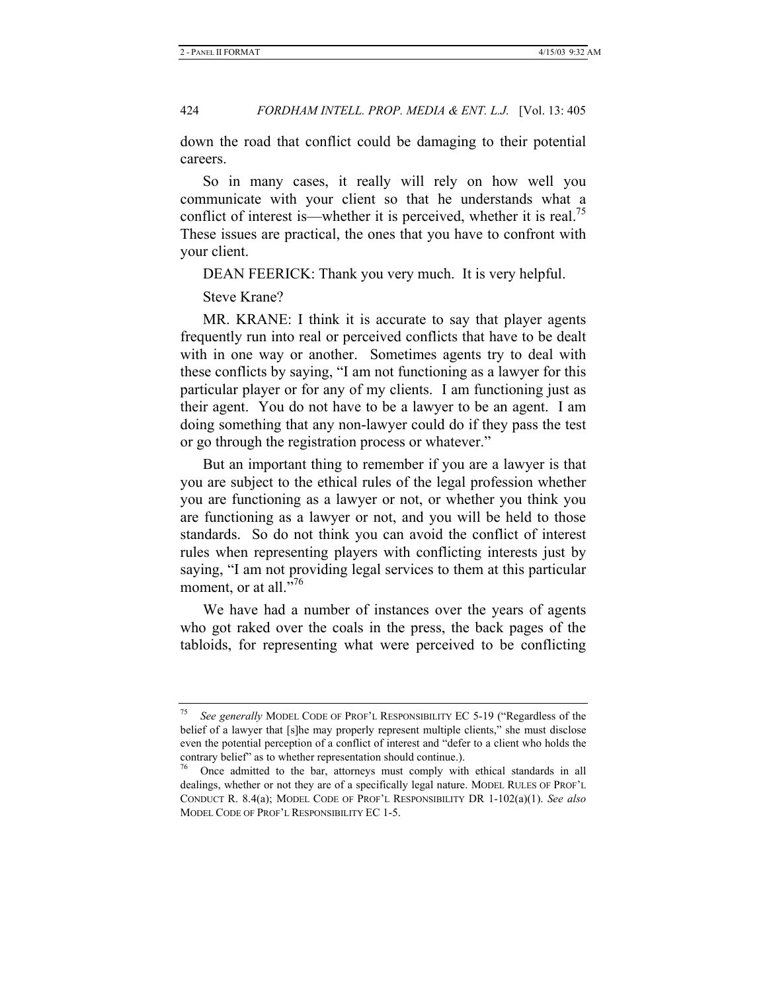down the road that conflict could be damaging to their potential careers.

So in many cases, it really will rely on how well you communicate with your client so that he understands what a conflict of interest is—whether it is perceived, whether it is real.<sup>75</sup> These issues are practical, the ones that you have to confront with your client.

DEAN FEERICK: Thank you very much. It is very helpful.

Steve Krane?

MR. KRANE: I think it is accurate to say that player agents frequently run into real or perceived conflicts that have to be dealt with in one way or another. Sometimes agents try to deal with these conflicts by saying, "I am not functioning as a lawyer for this particular player or for any of my clients. I am functioning just as their agent. You do not have to be a lawyer to be an agent. I am doing something that any non-lawyer could do if they pass the test or go through the registration process or whatever."

But an important thing to remember if you are a lawyer is that you are subject to the ethical rules of the legal profession whether you are functioning as a lawyer or not, or whether you think you are functioning as a lawyer or not, and you will be held to those standards. So do not think you can avoid the conflict of interest rules when representing players with conflicting interests just by saying, "I am not providing legal services to them at this particular moment, or at all."<sup>76</sup>

We have had a number of instances over the years of agents who got raked over the coals in the press, the back pages of the tabloids, for representing what were perceived to be conflicting

<sup>75</sup> *See generally* MODEL CODE OF PROF'L RESPONSIBILITY EC 5-19 ("Regardless of the belief of a lawyer that [s]he may properly represent multiple clients," she must disclose even the potential perception of a conflict of interest and "defer to a client who holds the contrary belief" as to whether representation should continue.).

<sup>76</sup> Once admitted to the bar, attorneys must comply with ethical standards in all dealings, whether or not they are of a specifically legal nature. MODEL RULES OF PROF'L CONDUCT R. 8.4(a); MODEL CODE OF PROF'L RESPONSIBILITY DR 1-102(a)(1). *See also*  MODEL CODE OF PROF'L RESPONSIBILITY EC 1-5.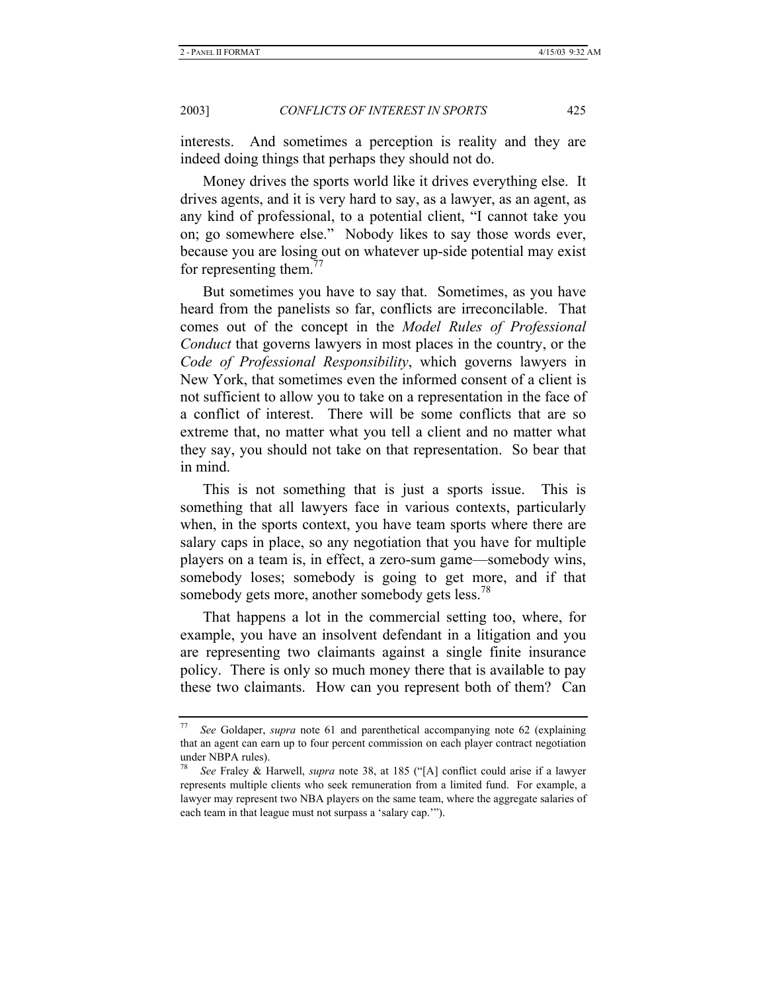interests. And sometimes a perception is reality and they are indeed doing things that perhaps they should not do.

Money drives the sports world like it drives everything else. It drives agents, and it is very hard to say, as a lawyer, as an agent, as any kind of professional, to a potential client, "I cannot take you on; go somewhere else." Nobody likes to say those words ever, because you are losing out on whatever up-side potential may exist for representing them. $^{77}$ 

But sometimes you have to say that. Sometimes, as you have heard from the panelists so far, conflicts are irreconcilable. That comes out of the concept in the *Model Rules of Professional Conduct* that governs lawyers in most places in the country, or the *Code of Professional Responsibility*, which governs lawyers in New York, that sometimes even the informed consent of a client is not sufficient to allow you to take on a representation in the face of a conflict of interest. There will be some conflicts that are so extreme that, no matter what you tell a client and no matter what they say, you should not take on that representation. So bear that in mind.

This is not something that is just a sports issue. This is something that all lawyers face in various contexts, particularly when, in the sports context, you have team sports where there are salary caps in place, so any negotiation that you have for multiple players on a team is, in effect, a zero-sum game—somebody wins, somebody loses; somebody is going to get more, and if that somebody gets more, another somebody gets less.<sup>78</sup>

That happens a lot in the commercial setting too, where, for example, you have an insolvent defendant in a litigation and you are representing two claimants against a single finite insurance policy. There is only so much money there that is available to pay these two claimants. How can you represent both of them? Can

<sup>77</sup> *See* Goldaper, *supra* note 61 and parenthetical accompanying note 62 (explaining that an agent can earn up to four percent commission on each player contract negotiation under NBPA rules).

<sup>78</sup> *See* Fraley & Harwell, *supra* note 38, at 185 ("[A] conflict could arise if a lawyer represents multiple clients who seek remuneration from a limited fund. For example, a lawyer may represent two NBA players on the same team, where the aggregate salaries of each team in that league must not surpass a 'salary cap.'").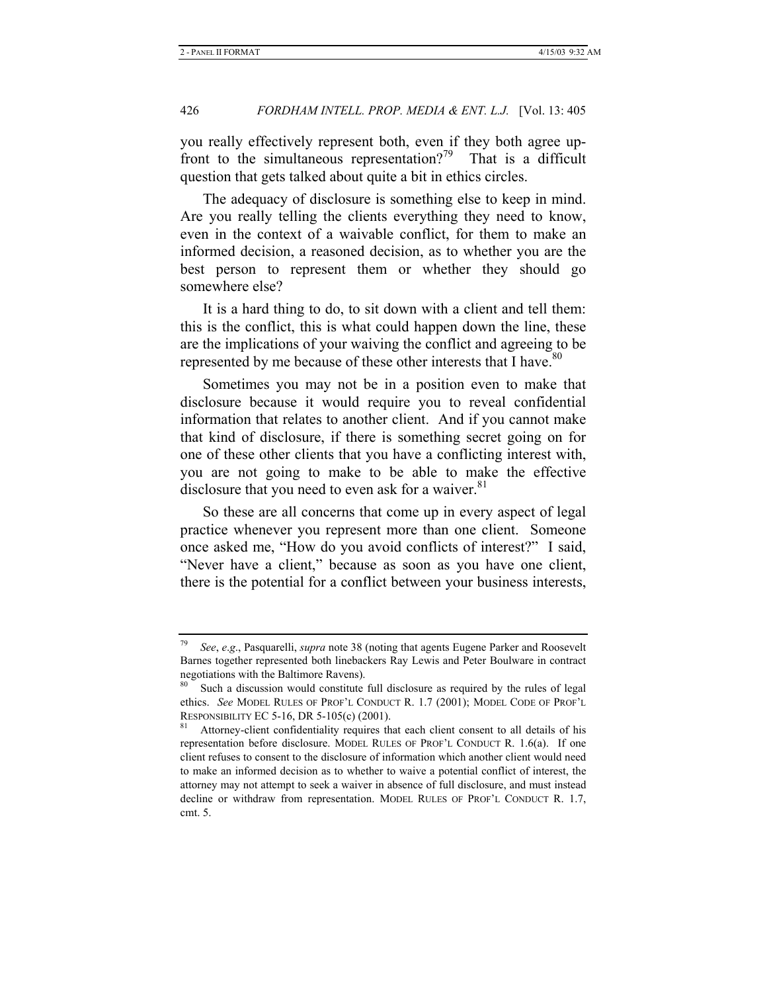you really effectively represent both, even if they both agree upfront to the simultaneous representation?<sup>79</sup> That is a difficult question that gets talked about quite a bit in ethics circles.

The adequacy of disclosure is something else to keep in mind. Are you really telling the clients everything they need to know, even in the context of a waivable conflict, for them to make an informed decision, a reasoned decision, as to whether you are the best person to represent them or whether they should go somewhere else?

It is a hard thing to do, to sit down with a client and tell them: this is the conflict, this is what could happen down the line, these are the implications of your waiving the conflict and agreeing to be represented by me because of these other interests that I have.<sup>80</sup>

Sometimes you may not be in a position even to make that disclosure because it would require you to reveal confidential information that relates to another client. And if you cannot make that kind of disclosure, if there is something secret going on for one of these other clients that you have a conflicting interest with, you are not going to make to be able to make the effective disclosure that you need to even ask for a waiver. $81$ 

So these are all concerns that come up in every aspect of legal practice whenever you represent more than one client. Someone once asked me, "How do you avoid conflicts of interest?" I said, "Never have a client," because as soon as you have one client, there is the potential for a conflict between your business interests,

<sup>79</sup> *See*, *e*.*g*., Pasquarelli, *supra* note 38 (noting that agents Eugene Parker and Roosevelt Barnes together represented both linebackers Ray Lewis and Peter Boulware in contract negotiations with the Baltimore Ravens).

Such a discussion would constitute full disclosure as required by the rules of legal ethics. *See* MODEL RULES OF PROF'L CONDUCT R. 1.7 (2001); MODEL CODE OF PROF'L RESPONSIBILITY EC 5-16, DR 5-105(c) (2001).<br><sup>81</sup> Attorney-client confidentiality requires that each client consent to all details of his

representation before disclosure. MODEL RULES OF PROF'L CONDUCT R. 1.6(a). If one client refuses to consent to the disclosure of information which another client would need to make an informed decision as to whether to waive a potential conflict of interest, the attorney may not attempt to seek a waiver in absence of full disclosure, and must instead decline or withdraw from representation. MODEL RULES OF PROF'L CONDUCT R. 1.7, cmt. 5.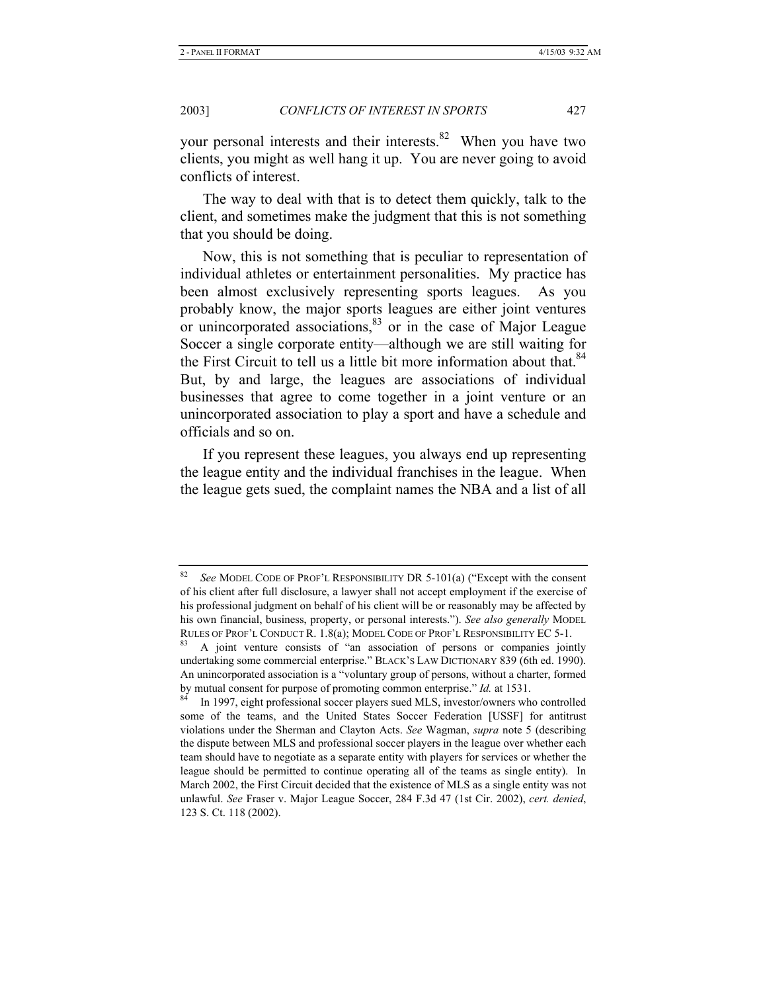your personal interests and their interests.<sup>82</sup> When you have two clients, you might as well hang it up. You are never going to avoid conflicts of interest.

The way to deal with that is to detect them quickly, talk to the client, and sometimes make the judgment that this is not something that you should be doing.

Now, this is not something that is peculiar to representation of individual athletes or entertainment personalities. My practice has been almost exclusively representing sports leagues. As you probably know, the major sports leagues are either joint ventures or unincorporated associations,  $83$  or in the case of Major League Soccer a single corporate entity—although we are still waiting for the First Circuit to tell us a little bit more information about that.<sup>84</sup> But, by and large, the leagues are associations of individual businesses that agree to come together in a joint venture or an unincorporated association to play a sport and have a schedule and officials and so on.

If you represent these leagues, you always end up representing the league entity and the individual franchises in the league. When the league gets sued, the complaint names the NBA and a list of all

See MODEL CODE OF PROF'L RESPONSIBILITY DR 5-101(a) ("Except with the consent of his client after full disclosure, a lawyer shall not accept employment if the exercise of his professional judgment on behalf of his client will be or reasonably may be affected by his own financial, business, property, or personal interests."). *See also generally* MODEL RULES OF PROF'L CONDUCT R. 1.8(a); MODEL CODE OF PROF'L RESPONSIBILITY EC 5-1.<br><sup>83</sup> A joint venture consists of "an association of persons or companies jointly

undertaking some commercial enterprise." BLACK'S LAW DICTIONARY 839 (6th ed. 1990). An unincorporated association is a "voluntary group of persons, without a charter, formed by mutual consent for purpose of promoting common enterprise." *Id.* at 1531.<br><sup>84</sup> In 1997, eight professional soccer players sued MLS, investor/owners who controlled

some of the teams, and the United States Soccer Federation [USSF] for antitrust violations under the Sherman and Clayton Acts. *See* Wagman, *supra* note 5 (describing the dispute between MLS and professional soccer players in the league over whether each team should have to negotiate as a separate entity with players for services or whether the league should be permitted to continue operating all of the teams as single entity). In March 2002, the First Circuit decided that the existence of MLS as a single entity was not unlawful. *See* Fraser v. Major League Soccer, 284 F.3d 47 (1st Cir. 2002), *cert. denied*, 123 S. Ct. 118 (2002).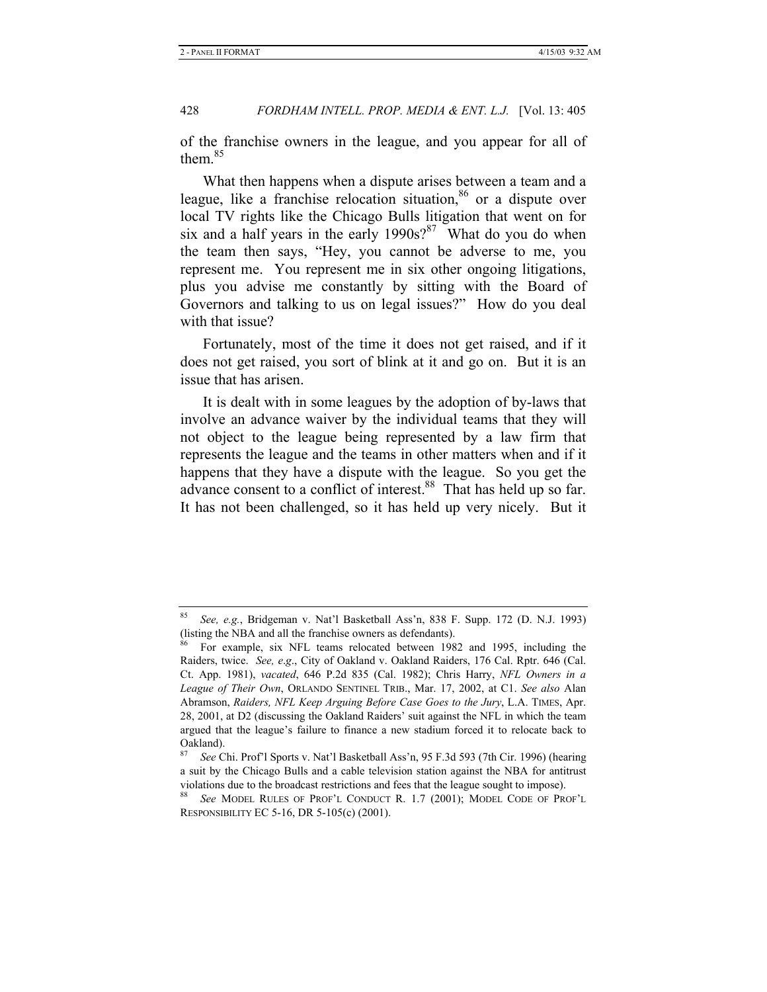of the franchise owners in the league, and you appear for all of them.<sup>85</sup>

What then happens when a dispute arises between a team and a league, like a franchise relocation situation, $86$  or a dispute over local TV rights like the Chicago Bulls litigation that went on for six and a half years in the early  $1990s$ ?<sup>87</sup> What do you do when the team then says, "Hey, you cannot be adverse to me, you represent me. You represent me in six other ongoing litigations, plus you advise me constantly by sitting with the Board of Governors and talking to us on legal issues?" How do you deal with that issue?

Fortunately, most of the time it does not get raised, and if it does not get raised, you sort of blink at it and go on. But it is an issue that has arisen.

It is dealt with in some leagues by the adoption of by-laws that involve an advance waiver by the individual teams that they will not object to the league being represented by a law firm that represents the league and the teams in other matters when and if it happens that they have a dispute with the league. So you get the advance consent to a conflict of interest.<sup>88</sup> That has held up so far. It has not been challenged, so it has held up very nicely. But it

<sup>85</sup> *See, e.g.*, Bridgeman v. Nat'l Basketball Ass'n, 838 F. Supp. 172 (D. N.J. 1993) (listing the NBA and all the franchise owners as defendants).

<sup>86</sup> For example, six NFL teams relocated between 1982 and 1995, including the Raiders, twice. *See, e*.*g*., City of Oakland v. Oakland Raiders, 176 Cal. Rptr. 646 (Cal. Ct. App. 1981), *vacated*, 646 P.2d 835 (Cal. 1982); Chris Harry, *NFL Owners in a League of Their Own*, ORLANDO SENTINEL TRIB., Mar. 17, 2002, at C1. *See also* Alan Abramson, *Raiders, NFL Keep Arguing Before Case Goes to the Jury*, L.A. TIMES, Apr. 28, 2001, at D2 (discussing the Oakland Raiders' suit against the NFL in which the team argued that the league's failure to finance a new stadium forced it to relocate back to Oakland).

<sup>87</sup> *See* Chi. Prof'l Sports v. Nat'l Basketball Ass'n, 95 F.3d 593 (7th Cir. 1996) (hearing a suit by the Chicago Bulls and a cable television station against the NBA for antitrust violations due to the broadcast restrictions and fees that the league sought to impose).

See MODEL RULES OF PROF'L CONDUCT R. 1.7 (2001); MODEL CODE OF PROF'L RESPONSIBILITY EC 5-16, DR 5-105(c) (2001).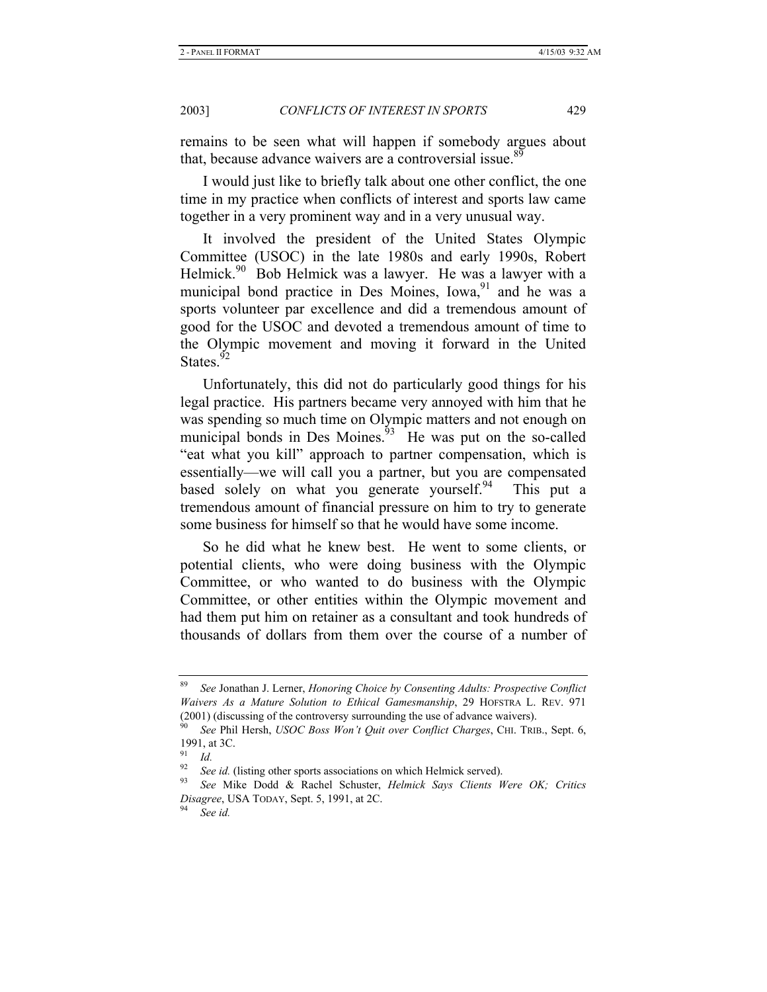remains to be seen what will happen if somebody argues about that, because advance waivers are a controversial issue.<sup>89</sup>

I would just like to briefly talk about one other conflict, the one time in my practice when conflicts of interest and sports law came together in a very prominent way and in a very unusual way.

It involved the president of the United States Olympic Committee (USOC) in the late 1980s and early 1990s, Robert Helmick.<sup>90</sup> Bob Helmick was a lawyer. He was a lawyer with a municipal bond practice in Des Moines,  $Iowa<sub>2</sub><sup>91</sup>$  and he was a sports volunteer par excellence and did a tremendous amount of good for the USOC and devoted a tremendous amount of time to the Olympic movement and moving it forward in the United States.<sup>92</sup>

Unfortunately, this did not do particularly good things for his legal practice. His partners became very annoyed with him that he was spending so much time on Olympic matters and not enough on municipal bonds in Des Moines. $\frac{93}{10}$  He was put on the so-called "eat what you kill" approach to partner compensation, which is essentially—we will call you a partner, but you are compensated based solely on what you generate yourself. This put a tremendous amount of financial pressure on him to try to generate some business for himself so that he would have some income.

So he did what he knew best. He went to some clients, or potential clients, who were doing business with the Olympic Committee, or who wanted to do business with the Olympic Committee, or other entities within the Olympic movement and had them put him on retainer as a consultant and took hundreds of thousands of dollars from them over the course of a number of

<sup>89</sup> *See* Jonathan J. Lerner, *Honoring Choice by Consenting Adults: Prospective Conflict Waivers As a Mature Solution to Ethical Gamesmanship*, 29 HOFSTRA L. REV. 971 (2001) (discussing of the controversy surrounding the use of advance waivers).

<sup>90</sup> *See* Phil Hersh, *USOC Boss Won't Quit over Conflict Charges*, CHI. TRIB., Sept. 6, 1991, at 3C.

 $\frac{91}{92}$  *Id.* 

<sup>92</sup> *See id.* (listing other sports associations on which Helmick served). 93 *See* Mike Dodd & Rachel Schuster, *Helmick Says Clients Were OK; Critics Disagree*, USA TODAY, Sept. 5, 1991, at 2C. 94 *See id.*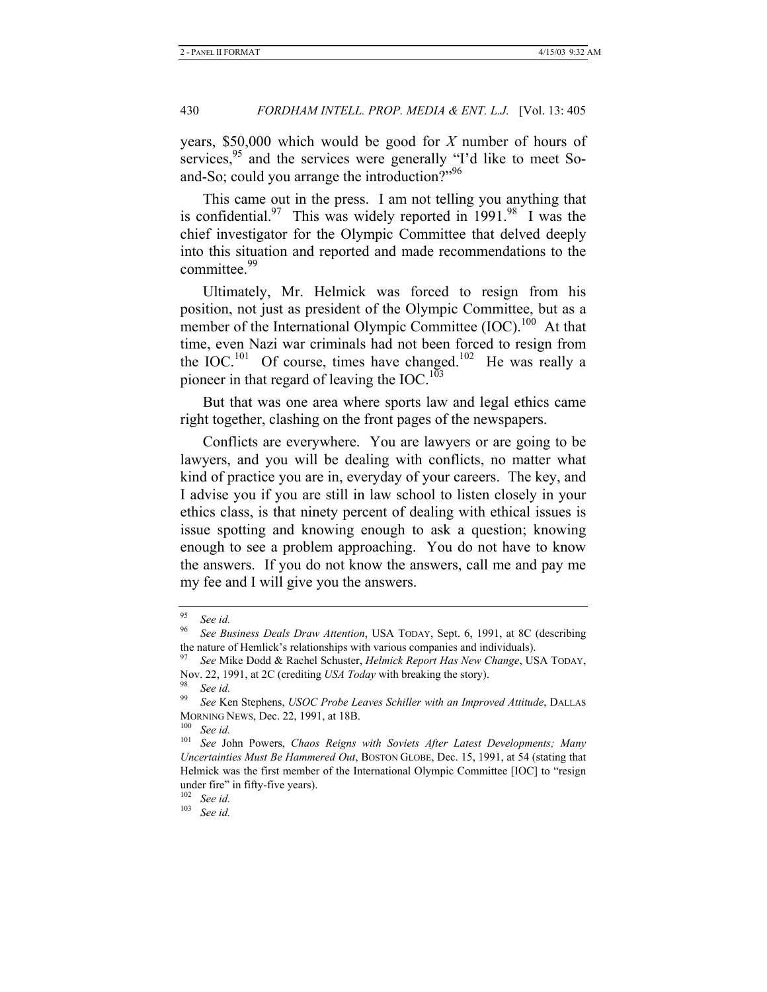years, \$50,000 which would be good for *X* number of hours of services,<sup>95</sup> and the services were generally "I'd like to meet Soand-So; could you arrange the introduction?"<sup>96</sup>

This came out in the press. I am not telling you anything that is confidential.<sup>97</sup> This was widely reported in 1991.<sup>98</sup> I was the chief investigator for the Olympic Committee that delved deeply into this situation and reported and made recommendations to the committee.<sup>99</sup>

Ultimately, Mr. Helmick was forced to resign from his position, not just as president of the Olympic Committee, but as a member of the International Olympic Committee (IOC).<sup>100</sup> At that time, even Nazi war criminals had not been forced to resign from the  $IOC<sup>101</sup>$  Of course, times have changed.<sup>102</sup> He was really a pioneer in that regard of leaving the IOC.<sup>103</sup>

But that was one area where sports law and legal ethics came right together, clashing on the front pages of the newspapers.

Conflicts are everywhere. You are lawyers or are going to be lawyers, and you will be dealing with conflicts, no matter what kind of practice you are in, everyday of your careers. The key, and I advise you if you are still in law school to listen closely in your ethics class, is that ninety percent of dealing with ethical issues is issue spotting and knowing enough to ask a question; knowing enough to see a problem approaching. You do not have to know the answers. If you do not know the answers, call me and pay me my fee and I will give you the answers.

<sup>95</sup> *See id.*

<sup>96</sup> *See Business Deals Draw Attention*, USA TODAY, Sept. 6, 1991, at 8C (describing the nature of Hemlick's relationships with various companies and individuals).

<sup>97</sup> *See* Mike Dodd & Rachel Schuster, *Helmick Report Has New Change*, USA TODAY, Nov. 22, 1991, at 2C (crediting *USA Today* with breaking the story).<br><sup>98</sup> See id.<br><sup>99</sup> See Ken Stanborg, *USOC Braha Laguas Sekillar with an Immus* 

<sup>99</sup> *See* Ken Stephens, *USOC Probe Leaves Schiller with an Improved Attitude*, DALLAS MORNING NEWS, Dec. 22, 1991, at 18B. 100 *See id.*

<sup>101</sup> *See* John Powers, *Chaos Reigns with Soviets After Latest Developments; Many Uncertainties Must Be Hammered Out*, BOSTON GLOBE, Dec. 15, 1991, at 54 (stating that Helmick was the first member of the International Olympic Committee [IOC] to "resign under fire" in fifty-five years).

<sup>102</sup> *See id.*

<sup>103</sup> *See id.*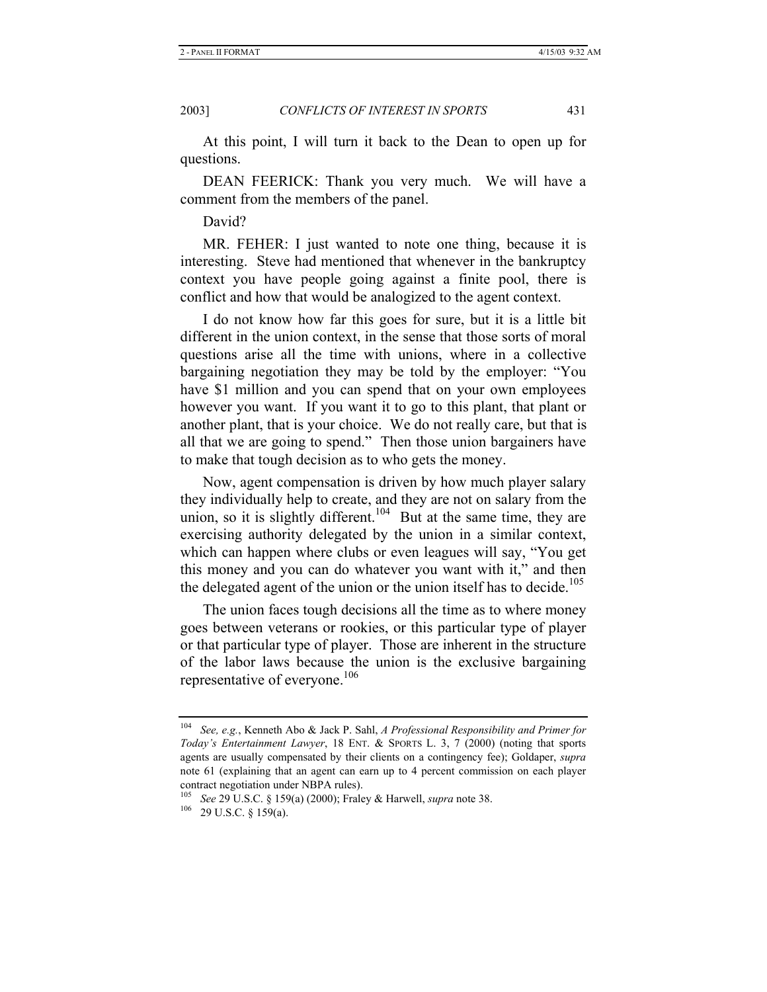At this point, I will turn it back to the Dean to open up for questions.

DEAN FEERICK: Thank you very much. We will have a comment from the members of the panel.

David?

MR. FEHER: I just wanted to note one thing, because it is interesting. Steve had mentioned that whenever in the bankruptcy context you have people going against a finite pool, there is conflict and how that would be analogized to the agent context.

I do not know how far this goes for sure, but it is a little bit different in the union context, in the sense that those sorts of moral questions arise all the time with unions, where in a collective bargaining negotiation they may be told by the employer: "You have \$1 million and you can spend that on your own employees however you want. If you want it to go to this plant, that plant or another plant, that is your choice. We do not really care, but that is all that we are going to spend." Then those union bargainers have to make that tough decision as to who gets the money.

Now, agent compensation is driven by how much player salary they individually help to create, and they are not on salary from the union, so it is slightly different.<sup>104</sup> But at the same time, they are exercising authority delegated by the union in a similar context, which can happen where clubs or even leagues will say, "You get this money and you can do whatever you want with it," and then the delegated agent of the union or the union itself has to decide.<sup>105</sup>

The union faces tough decisions all the time as to where money goes between veterans or rookies, or this particular type of player or that particular type of player. Those are inherent in the structure of the labor laws because the union is the exclusive bargaining representative of everyone.<sup>106</sup>

<sup>104</sup> *See, e.g.*, Kenneth Abo & Jack P. Sahl, *A Professional Responsibility and Primer for Today's Entertainment Lawyer*, 18 ENT. & SPORTS L. 3, 7 (2000) (noting that sports agents are usually compensated by their clients on a contingency fee); Goldaper, *supra*  note 61 (explaining that an agent can earn up to 4 percent commission on each player contract negotiation under NBPA rules).

<sup>105</sup> *See* 29 U.S.C. § 159(a) (2000); Fraley & Harwell, *supra* note 38. 106 29 U.S.C. § 159(a).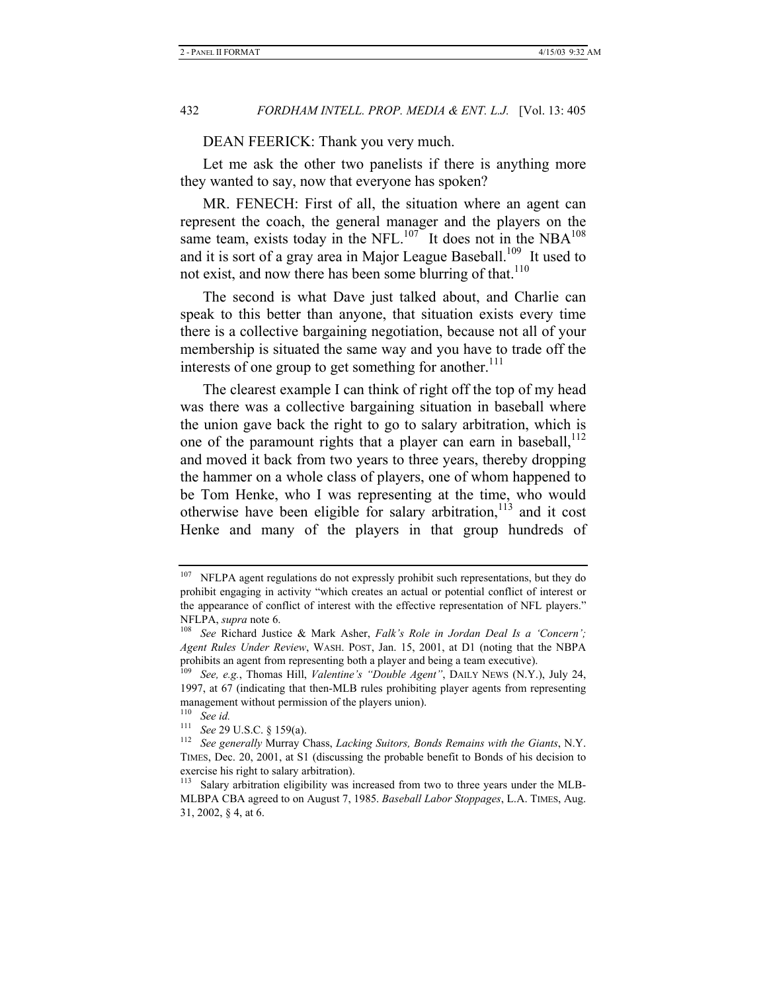DEAN FEERICK: Thank you very much.

Let me ask the other two panelists if there is anything more they wanted to say, now that everyone has spoken?

MR. FENECH: First of all, the situation where an agent can represent the coach, the general manager and the players on the same team, exists today in the NFL. $107$  It does not in the NBA<sup>108</sup> and it is sort of a gray area in Major League Baseball.<sup>109</sup> It used to not exist, and now there has been some blurring of that. $110$ 

The second is what Dave just talked about, and Charlie can speak to this better than anyone, that situation exists every time there is a collective bargaining negotiation, because not all of your membership is situated the same way and you have to trade off the interests of one group to get something for another.<sup>111</sup>

The clearest example I can think of right off the top of my head was there was a collective bargaining situation in baseball where the union gave back the right to go to salary arbitration, which is one of the paramount rights that a player can earn in baseball,<sup>112</sup> and moved it back from two years to three years, thereby dropping the hammer on a whole class of players, one of whom happened to be Tom Henke, who I was representing at the time, who would otherwise have been eligible for salary arbitration,<sup>113</sup> and it cost Henke and many of the players in that group hundreds of

NFLPA agent regulations do not expressly prohibit such representations, but they do prohibit engaging in activity "which creates an actual or potential conflict of interest or the appearance of conflict of interest with the effective representation of NFL players."

NFLPA, *supra* note 6. 108 *See* Richard Justice & Mark Asher, *Falk's Role in Jordan Deal Is a 'Concern'; Agent Rules Under Review*, WASH. POST, Jan. 15, 2001, at D1 (noting that the NBPA prohibits an agent from representing both a player and being a team executive).

<sup>109</sup> *See, e.g.*, Thomas Hill, *Valentine's "Double Agent"*, DAILY NEWS (N.Y.), July 24, 1997, at 67 (indicating that then-MLB rules prohibiting player agents from representing management without permission of the players union).

 $\frac{110}{111}$  See id.

<sup>111</sup> *See* 29 U.S.C. § 159(a). 112 *See generally* Murray Chass, *Lacking Suitors, Bonds Remains with the Giants*, N.Y. TIMES, Dec. 20, 2001, at S1 (discussing the probable benefit to Bonds of his decision to exercise his right to salary arbitration).

<sup>&</sup>lt;sup>113</sup> Salary arbitration eligibility was increased from two to three years under the MLB-MLBPA CBA agreed to on August 7, 1985. *Baseball Labor Stoppages*, L.A. TIMES, Aug. 31, 2002, § 4, at 6.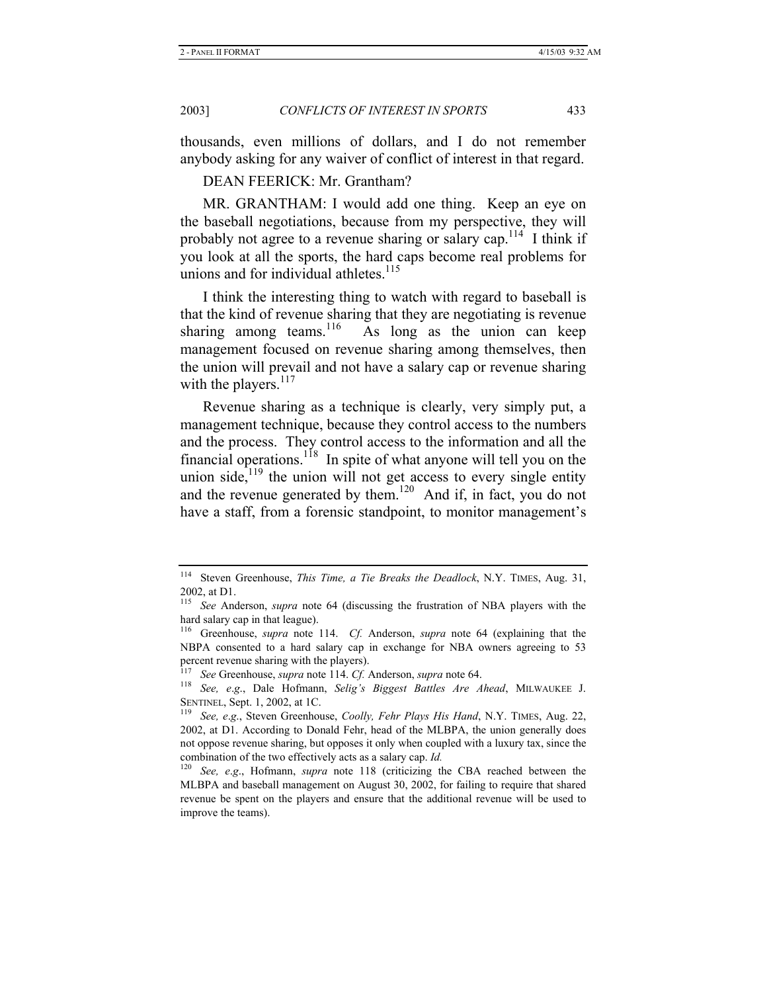thousands, even millions of dollars, and I do not remember anybody asking for any waiver of conflict of interest in that regard.

DEAN FEERICK: Mr. Grantham?

MR. GRANTHAM: I would add one thing. Keep an eye on the baseball negotiations, because from my perspective, they will probably not agree to a revenue sharing or salary cap.<sup>114</sup> I think if you look at all the sports, the hard caps become real problems for unions and for individual athletes. $115$ 

I think the interesting thing to watch with regard to baseball is that the kind of revenue sharing that they are negotiating is revenue sharing among teams.<sup>116</sup> As long as the union can keep As long as the union can keep management focused on revenue sharing among themselves, then the union will prevail and not have a salary cap or revenue sharing with the players.<sup>117</sup>

Revenue sharing as a technique is clearly, very simply put, a management technique, because they control access to the numbers and the process. They control access to the information and all the financial operations.<sup>118</sup> In spite of what anyone will tell you on the union side, $119$  the union will not get access to every single entity and the revenue generated by them.<sup>120</sup> And if, in fact, you do not have a staff, from a forensic standpoint, to monitor management's

<sup>114</sup> Steven Greenhouse, *This Time, a Tie Breaks the Deadlock*, N.Y. TIMES, Aug. 31, 2002, at D1.

<sup>115</sup> *See* Anderson, *supra* note 64 (discussing the frustration of NBA players with the hard salary cap in that league).

<sup>116</sup> Greenhouse, *supra* note 114. *Cf.* Anderson, *supra* note 64 (explaining that the NBPA consented to a hard salary cap in exchange for NBA owners agreeing to 53 percent revenue sharing with the players).

<sup>&</sup>lt;sup>117</sup> See Greenhouse, *supra* note 114. *Cf.* Anderson, *supra* note 64.<br><sup>118</sup> See, e.g., Dale Hofmann, *Selig's Biggest Battles Are Ahead*, MILWAUKEE J. SENTINEL, Sept. 1, 2002, at 1C. 119 *See, <sup>e</sup>*.*g*., Steven Greenhouse, *Coolly, Fehr Plays His Hand*, N.Y. TIMES, Aug. 22,

<sup>2002,</sup> at D1. According to Donald Fehr, head of the MLBPA, the union generally does not oppose revenue sharing, but opposes it only when coupled with a luxury tax, since the combination of the two effectively acts as a salary cap. *Id.*<br><sup>120</sup> See a.g. Hofmann, sunra, note, 118 (criticizing the

See, e.g., Hofmann, *supra* note 118 (criticizing the CBA reached between the MLBPA and baseball management on August 30, 2002, for failing to require that shared revenue be spent on the players and ensure that the additional revenue will be used to improve the teams).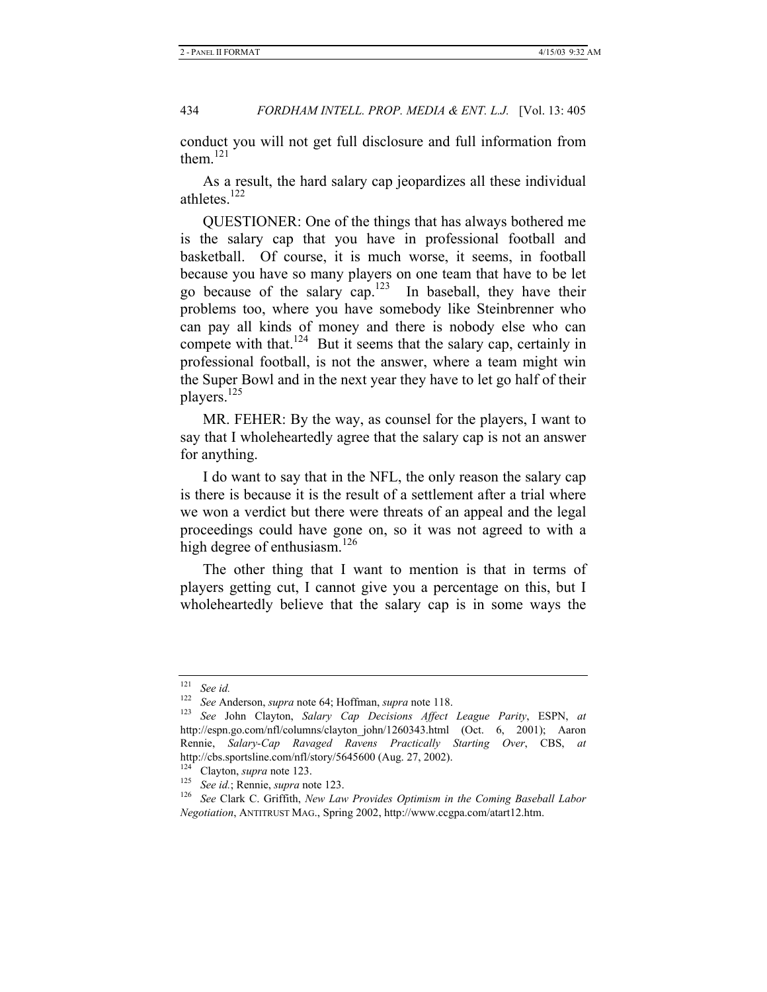conduct you will not get full disclosure and full information from them. $^{121}$ 

As a result, the hard salary cap jeopardizes all these individual athletes. $122$ 

QUESTIONER: One of the things that has always bothered me is the salary cap that you have in professional football and basketball. Of course, it is much worse, it seems, in football because you have so many players on one team that have to be let go because of the salary cap.<sup>123</sup> In baseball, they have their problems too, where you have somebody like Steinbrenner who can pay all kinds of money and there is nobody else who can compete with that.<sup>124</sup> But it seems that the salary cap, certainly in professional football, is not the answer, where a team might win the Super Bowl and in the next year they have to let go half of their players.<sup>125</sup>

MR. FEHER: By the way, as counsel for the players, I want to say that I wholeheartedly agree that the salary cap is not an answer for anything.

I do want to say that in the NFL, the only reason the salary cap is there is because it is the result of a settlement after a trial where we won a verdict but there were threats of an appeal and the legal proceedings could have gone on, so it was not agreed to with a high degree of enthusiasm.<sup>126</sup>

The other thing that I want to mention is that in terms of players getting cut, I cannot give you a percentage on this, but I wholeheartedly believe that the salary cap is in some ways the

<sup>&</sup>lt;sup>121</sup> See id.<br><sup>122</sup> See Anderson, *supra* note 64; Hoffman, *supra* note 118.

<sup>&</sup>lt;sup>123</sup> See John Clayton, *Salary Cap Decisions Affect League Parity*, ESPN, *at* http://espn.go.com/nfl/columns/clayton\_john/1260343.html (Oct. 6, 2001); Aaron Rennie, *Salary-Cap Ravaged Ravens Practically Starting Over*, CBS, *at*  http://cbs.sportsline.com/nfl/story/5645600 (Aug. 27, 2002).

<sup>124</sup> Clayton, *supra* note 123. 125 *See id.*; Rennie, *supra* note 123. 126 *See* Clark C. Griffith, *New Law Provides Optimism in the Coming Baseball Labor Negotiation*, ANTITRUST MAG., Spring 2002, http://www.ccgpa.com/atart12.htm.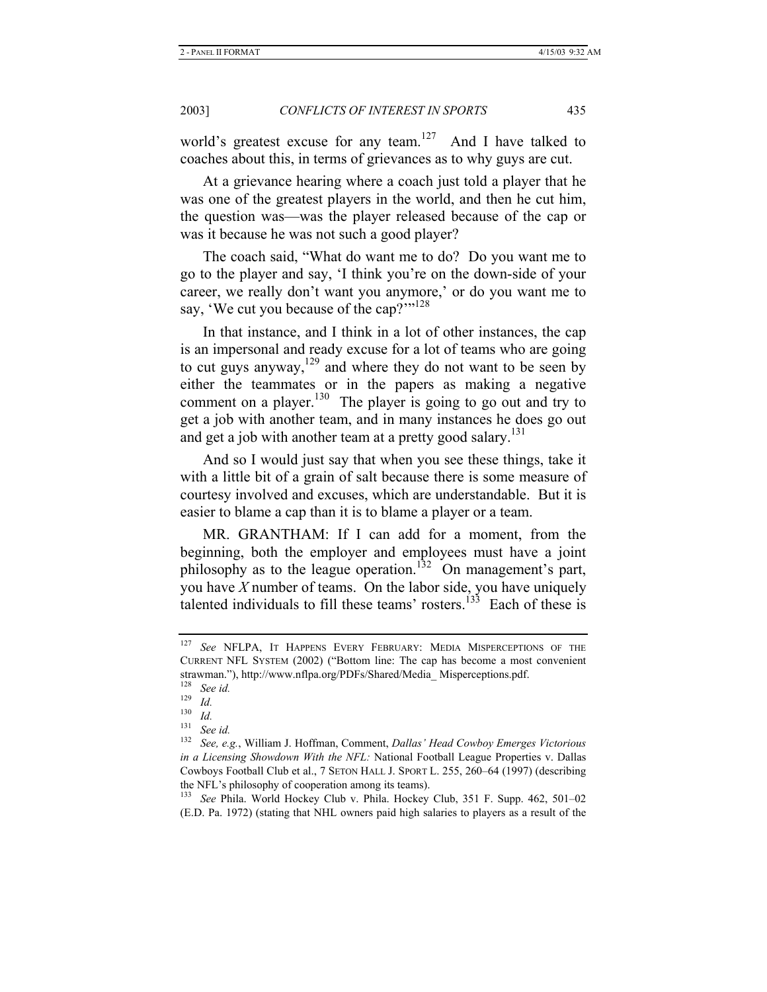world's greatest excuse for any team.<sup>127</sup> And I have talked to coaches about this, in terms of grievances as to why guys are cut.

At a grievance hearing where a coach just told a player that he was one of the greatest players in the world, and then he cut him, the question was—was the player released because of the cap or was it because he was not such a good player?

The coach said, "What do want me to do? Do you want me to go to the player and say, 'I think you're on the down-side of your career, we really don't want you anymore,' or do you want me to say, 'We cut you because of the cap?'"<sup>128</sup>

In that instance, and I think in a lot of other instances, the cap is an impersonal and ready excuse for a lot of teams who are going to cut guys anyway, $129$  and where they do not want to be seen by either the teammates or in the papers as making a negative comment on a player.<sup>130</sup> The player is going to go out and try to get a job with another team, and in many instances he does go out and get a job with another team at a pretty good salary.<sup>131</sup>

And so I would just say that when you see these things, take it with a little bit of a grain of salt because there is some measure of courtesy involved and excuses, which are understandable. But it is easier to blame a cap than it is to blame a player or a team.

MR. GRANTHAM: If I can add for a moment, from the beginning, both the employer and employees must have a joint philosophy as to the league operation.<sup>132</sup> On management's part, you have *X* number of teams. On the labor side, you have uniquely talented individuals to fill these teams' rosters.<sup>133</sup> Each of these is

<sup>127</sup> *See* NFLPA, IT HAPPENS EVERY FEBRUARY: MEDIA MISPERCEPTIONS OF THE CURRENT NFL SYSTEM (2002) ("Bottom line: The cap has become a most convenient strawman."), http://www.nflpa.org/PDFs/Shared/Media\_ Misperceptions.pdf.

<sup>128</sup> *See id.*

 $\frac{129}{130}$  *Id.* 

 $\frac{130}{131}$  *Id.* 

 $\frac{131}{132}$  See id.

<sup>132</sup> *See, e.g.*, William J. Hoffman, Comment, *Dallas' Head Cowboy Emerges Victorious in a Licensing Showdown With the NFL:* National Football League Properties v. Dallas Cowboys Football Club et al., 7 SETON HALL J. SPORT L. 255, 260–64 (1997) (describing the NFL's philosophy of cooperation among its teams).

<sup>133</sup> *See* Phila. World Hockey Club v. Phila. Hockey Club, 351 F. Supp. 462, 501–02 (E.D. Pa. 1972) (stating that NHL owners paid high salaries to players as a result of the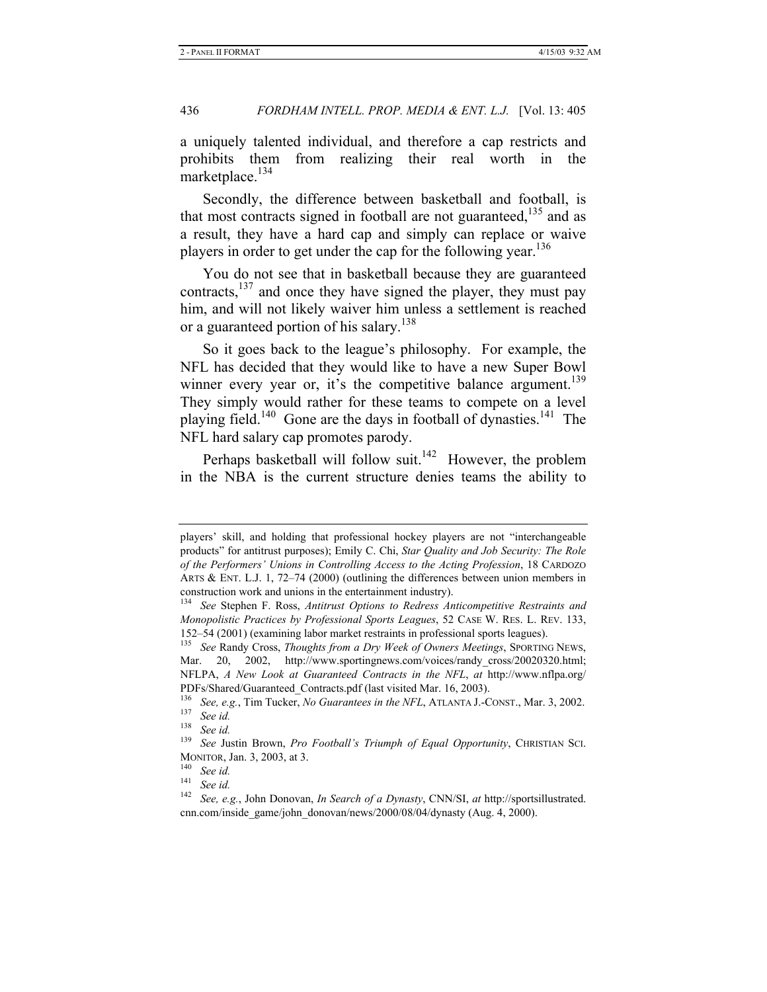a uniquely talented individual, and therefore a cap restricts and prohibits them from realizing their real worth in the marketplace. $134$ 

Secondly, the difference between basketball and football, is that most contracts signed in football are not guaranteed, $135$  and as a result, they have a hard cap and simply can replace or waive players in order to get under the cap for the following year.<sup>136</sup>

You do not see that in basketball because they are guaranteed contracts,137 and once they have signed the player, they must pay him, and will not likely waiver him unless a settlement is reached or a guaranteed portion of his salary.<sup>138</sup>

So it goes back to the league's philosophy. For example, the NFL has decided that they would like to have a new Super Bowl winner every year or, it's the competitive balance argument.<sup>139</sup> They simply would rather for these teams to compete on a level playing field.<sup>140</sup> Gone are the days in football of dynasties.<sup>141</sup> The NFL hard salary cap promotes parody.

Perhaps basketball will follow suit.<sup>142</sup> However, the problem in the NBA is the current structure denies teams the ability to

players' skill, and holding that professional hockey players are not "interchangeable products" for antitrust purposes); Emily C. Chi, *Star Quality and Job Security: The Role of the Performers' Unions in Controlling Access to the Acting Profession*, 18 CARDOZO ARTS & ENT. L.J. 1, 72–74 (2000) (outlining the differences between union members in construction work and unions in the entertainment industry).

<sup>134</sup> *See* Stephen F. Ross, *Antitrust Options to Redress Anticompetitive Restraints and Monopolistic Practices by Professional Sports Leagues*, 52 CASE W. RES. L. REV. 133, 152–54 (2001) (examining labor market restraints in professional sports leagues).

<sup>135</sup> *See* Randy Cross, *Thoughts from a Dry Week of Owners Meetings*, SPORTING NEWS, Mar. 20, 2002, http://www.sportingnews.com/voices/randy\_cross/20020320.html; NFLPA, *A New Look at Guaranteed Contracts in the NFL*, *at* http://www.nflpa.org/ PDFs/Shared/Guaranteed\_Contracts.pdf (last visited Mar. 16, 2003).

<sup>1&</sup>lt;sup>36</sup> See, e.g., Tim Tucker, *No Guarantees in the NFL*, ATLANTA J.-CONST., Mar. 3, 2002.<br><sup>137</sup> See id.<br><sup>138</sup> See id.

<sup>138</sup> *See id.*

See Justin Brown, *Pro Football's Triumph of Equal Opportunity*, CHRISTIAN SCI. MONITOR, Jan. 3, 2003, at 3. 140 *See id.*

See id.

<sup>142</sup> *See, e.g.*, John Donovan, *In Search of a Dynasty*, CNN/SI, *at* http://sportsillustrated. cnn.com/inside\_game/john\_donovan/news/2000/08/04/dynasty (Aug. 4, 2000).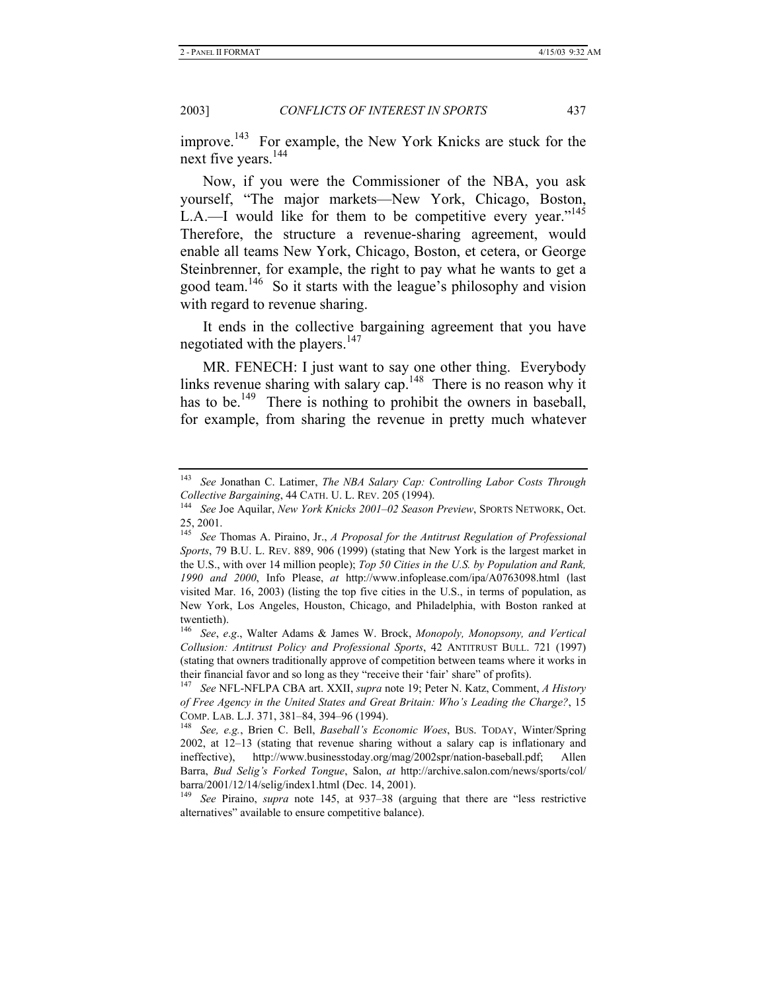improve.<sup>143</sup> For example, the New York Knicks are stuck for the next five years.<sup>144</sup>

Now, if you were the Commissioner of the NBA, you ask yourself, "The major markets—New York, Chicago, Boston, L.A.—I would like for them to be competitive every year."<sup>145</sup> Therefore, the structure a revenue-sharing agreement, would enable all teams New York, Chicago, Boston, et cetera, or George Steinbrenner, for example, the right to pay what he wants to get a good team.146 So it starts with the league's philosophy and vision with regard to revenue sharing.

It ends in the collective bargaining agreement that you have negotiated with the players.<sup>147</sup>

MR. FENECH: I just want to say one other thing. Everybody links revenue sharing with salary cap.<sup>148</sup> There is no reason why it has to be.<sup>149</sup> There is nothing to prohibit the owners in baseball, for example, from sharing the revenue in pretty much whatever

<sup>143</sup> *See* Jonathan C. Latimer, *The NBA Salary Cap: Controlling Labor Costs Through Collective Bargaining*, 44 CATH. U. L. REV. 205 (1994). 144 *See* Joe Aquilar, *New York Knicks 2001–02 Season Preview*, SPORTS NETWORK, Oct.

<sup>25, 2001.</sup> 

<sup>145</sup> *See* Thomas A. Piraino, Jr., *A Proposal for the Antitrust Regulation of Professional Sports*, 79 B.U. L. REV. 889, 906 (1999) (stating that New York is the largest market in the U.S., with over 14 million people); *Top 50 Cities in the U.S. by Population and Rank, 1990 and 2000*, Info Please, *at* http://www.infoplease.com/ipa/A0763098.html (last visited Mar. 16, 2003) (listing the top five cities in the U.S., in terms of population, as New York, Los Angeles, Houston, Chicago, and Philadelphia, with Boston ranked at twentieth).

<sup>146</sup> *See*, *e*.*g*., Walter Adams & James W. Brock, *Monopoly, Monopsony, and Vertical Collusion: Antitrust Policy and Professional Sports*, 42 ANTITRUST BULL. 721 (1997) (stating that owners traditionally approve of competition between teams where it works in their financial favor and so long as they "receive their 'fair' share" of profits).

<sup>147</sup> *See* NFL-NFLPA CBA art. XXII, *supra* note 19; Peter N. Katz, Comment, *A History of Free Agency in the United States and Great Britain: Who's Leading the Charge?*, 15 COMP. LAB. L.J. 371, 381–84, 394–96 (1994). 148 *See, e.g.*, Brien C. Bell, *Baseball's Economic Woes*, BUS. TODAY, Winter/Spring

<sup>2002,</sup> at 12–13 (stating that revenue sharing without a salary cap is inflationary and ineffective), http://www.businesstoday.org/mag/2002spr/nation-baseball.pdf; Allen Barra, *Bud Selig's Forked Tongue*, Salon, *at* http://archive.salon.com/news/sports/col/ barra/2001/12/14/selig/index1.html (Dec. 14, 2001).

<sup>149</sup> *See* Piraino, *supra* note 145, at 937–38 (arguing that there are "less restrictive alternatives" available to ensure competitive balance).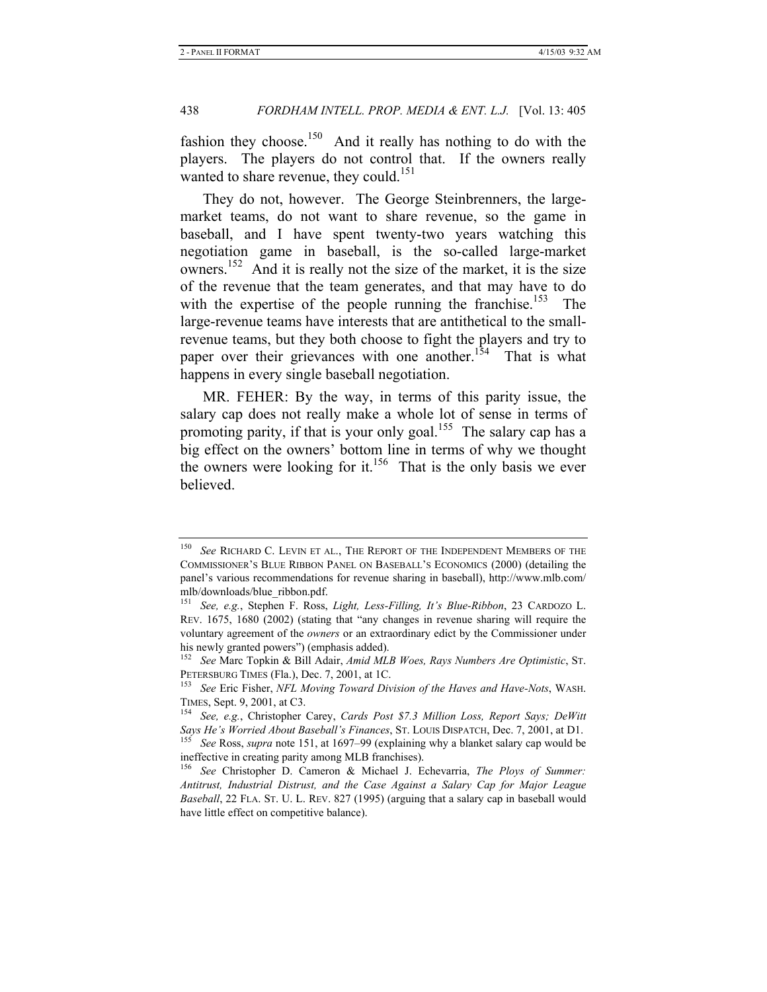fashion they choose.<sup>150</sup> And it really has nothing to do with the players. The players do not control that. If the owners really wanted to share revenue, they could.<sup>151</sup>

They do not, however. The George Steinbrenners, the largemarket teams, do not want to share revenue, so the game in baseball, and I have spent twenty-two years watching this negotiation game in baseball, is the so-called large-market owners.<sup>152</sup> And it is really not the size of the market, it is the size of the revenue that the team generates, and that may have to do with the expertise of the people running the franchise.<sup>153</sup> The large-revenue teams have interests that are antithetical to the smallrevenue teams, but they both choose to fight the players and try to paper over their grievances with one another.<sup>154</sup> That is what happens in every single baseball negotiation.

MR. FEHER: By the way, in terms of this parity issue, the salary cap does not really make a whole lot of sense in terms of promoting parity, if that is your only goal.<sup>155</sup> The salary cap has a big effect on the owners' bottom line in terms of why we thought the owners were looking for it.<sup>156</sup> That is the only basis we ever believed.

See RICHARD C. LEVIN ET AL., THE REPORT OF THE INDEPENDENT MEMBERS OF THE COMMISSIONER'S BLUE RIBBON PANEL ON BASEBALL'S ECONOMICS (2000) (detailing the panel's various recommendations for revenue sharing in baseball), http://www.mlb.com/ mlb/downloads/blue\_ribbon.pdf.

<sup>151</sup> *See, e.g.*, Stephen F. Ross, *Light, Less-Filling, It's Blue-Ribbon*, 23 CARDOZO L. REV. 1675, 1680 (2002) (stating that "any changes in revenue sharing will require the voluntary agreement of the *owners* or an extraordinary edict by the Commissioner under his newly granted powers") (emphasis added).

<sup>152</sup> *See* Marc Topkin & Bill Adair, *Amid MLB Woes, Rays Numbers Are Optimistic*, ST. PETERSBURG TIMES (Fla.), Dec. 7, 2001, at 1C.<br><sup>153</sup> See Eric Fisher, *NFL Moving Toward Division of the Haves and Have-Nots*, WASH.

TIMES, Sept. 9, 2001, at C3. 154 *See, e.g.*, Christopher Carey, *Cards Post \$7.3 Million Loss, Report Says; DeWitt* 

*Says He's Worried About Baseball's Finances*, ST. LOUIS DISPATCH, Dec. 7, 2001, at D1. 155 *See* Ross, *supra* note 151, at 1697–99 (explaining why a blanket salary cap would be ineffective in creating parity among MLB franchises).

<sup>156</sup> *See* Christopher D. Cameron & Michael J. Echevarria, *The Ploys of Summer: Antitrust, Industrial Distrust, and the Case Against a Salary Cap for Major League Baseball*, 22 FLA. ST. U. L. REV. 827 (1995) (arguing that a salary cap in baseball would have little effect on competitive balance).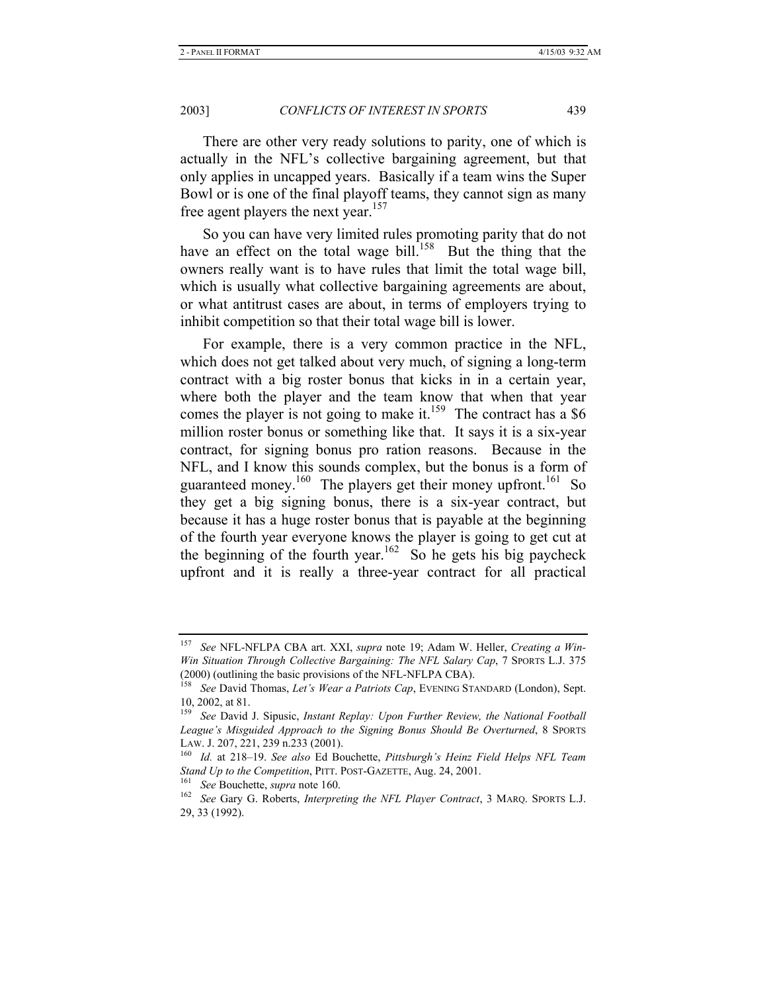There are other very ready solutions to parity, one of which is actually in the NFL's collective bargaining agreement, but that only applies in uncapped years. Basically if a team wins the Super Bowl or is one of the final playoff teams, they cannot sign as many free agent players the next year.<sup>157</sup>

So you can have very limited rules promoting parity that do not have an effect on the total wage bill.<sup>158</sup> But the thing that the owners really want is to have rules that limit the total wage bill, which is usually what collective bargaining agreements are about, or what antitrust cases are about, in terms of employers trying to inhibit competition so that their total wage bill is lower.

For example, there is a very common practice in the NFL, which does not get talked about very much, of signing a long-term contract with a big roster bonus that kicks in in a certain year, where both the player and the team know that when that year comes the player is not going to make it.<sup>159</sup> The contract has a \$6 million roster bonus or something like that. It says it is a six-year contract, for signing bonus pro ration reasons. Because in the NFL, and I know this sounds complex, but the bonus is a form of guaranteed money.<sup>160</sup> The players get their money upfront.<sup>161</sup> So they get a big signing bonus, there is a six-year contract, but because it has a huge roster bonus that is payable at the beginning of the fourth year everyone knows the player is going to get cut at the beginning of the fourth year.<sup>162</sup> So he gets his big paycheck upfront and it is really a three-year contract for all practical

<sup>157</sup> *See* NFL-NFLPA CBA art. XXI, *supra* note 19; Adam W. Heller, *Creating a Win-Win Situation Through Collective Bargaining: The NFL Salary Cap*, 7 SPORTS L.J. 375 (2000) (outlining the basic provisions of the NFL-NFLPA CBA).

<sup>158</sup> *See* David Thomas, *Let's Wear a Patriots Cap*, EVENING STANDARD (London), Sept. 10, 2002, at 81.

<sup>159</sup> *See* David J. Sipusic, *Instant Replay: Upon Further Review, the National Football League's Misguided Approach to the Signing Bonus Should Be Overturned*, 8 SPORTS LAW. J. 207, 221, 239 n.233 (2001). 160 *Id.* at 218–19. *See also* Ed Bouchette, *Pittsburgh's Heinz Field Helps NFL Team* 

*Stand Up to the Competition*, PITT. POST-GAZETTE, Aug. 24, 2001. 161 *See* Bouchette, *supra* note 160. 162 *See* Gary G. Roberts, *Interpreting the NFL Player Contract*, 3 MARQ. SPORTS L.J.

<sup>29, 33 (1992).</sup>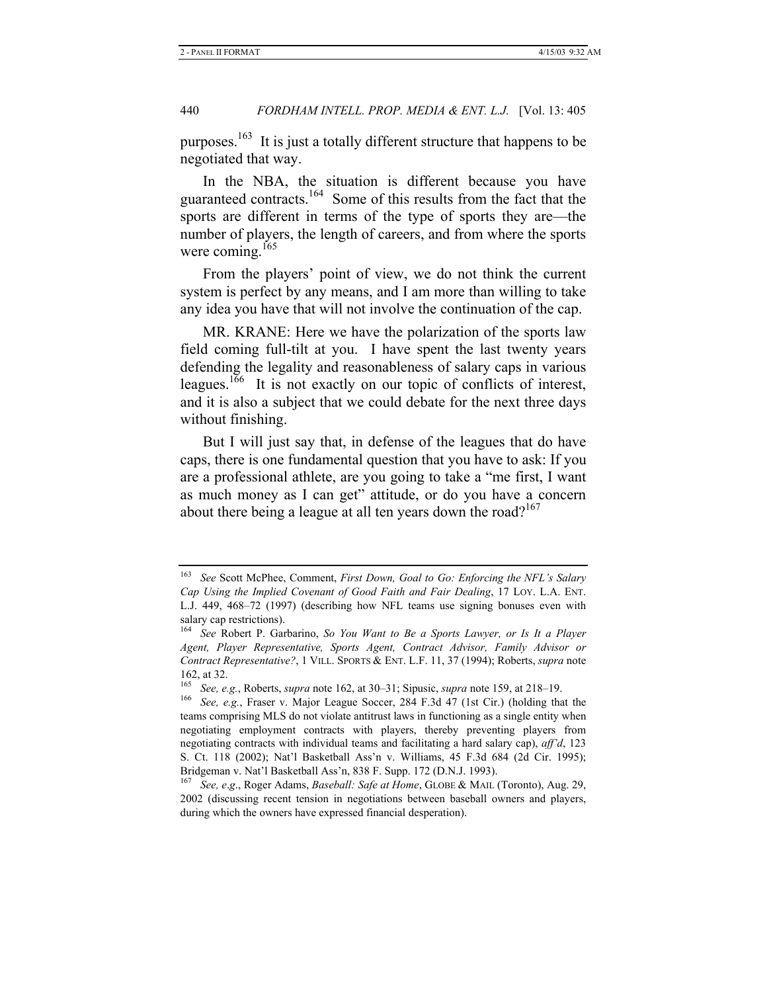purposes.<sup>163</sup> It is just a totally different structure that happens to be negotiated that way.

In the NBA, the situation is different because you have guaranteed contracts.<sup>164</sup> Some of this results from the fact that the sports are different in terms of the type of sports they are—the number of players, the length of careers, and from where the sports were coming. $165$ 

From the players' point of view, we do not think the current system is perfect by any means, and I am more than willing to take any idea you have that will not involve the continuation of the cap.

MR. KRANE: Here we have the polarization of the sports law field coming full-tilt at you. I have spent the last twenty years defending the legality and reasonableness of salary caps in various leagues.<sup>166</sup> It is not exactly on our topic of conflicts of interest, and it is also a subject that we could debate for the next three days without finishing.

But I will just say that, in defense of the leagues that do have caps, there is one fundamental question that you have to ask: If you are a professional athlete, are you going to take a "me first, I want as much money as I can get" attitude, or do you have a concern about there being a league at all ten years down the road?<sup>167</sup>

<sup>163</sup> *See* Scott McPhee, Comment, *First Down, Goal to Go: Enforcing the NFL's Salary Cap Using the Implied Covenant of Good Faith and Fair Dealing*, 17 LOY. L.A. ENT. L.J. 449, 468–72 (1997) (describing how NFL teams use signing bonuses even with salary cap restrictions).

<sup>164</sup> *See* Robert P. Garbarino, *So You Want to Be a Sports Lawyer, or Is It a Player Agent, Player Representative, Sports Agent, Contract Advisor, Family Advisor or Contract Representative?*, 1 VILL. SPORTS & ENT. L.F. 11, 37 (1994); Roberts, *supra* note 162, at 32.

<sup>165</sup> *See, e.g.*, Roberts, *supra* note 162, at 30–31; Sipusic, *supra* note 159, at 218–19. 166 *See, e.g.*, Fraser v. Major League Soccer, 284 F.3d 47 (1st Cir.) (holding that the teams comprising MLS do not violate antitrust laws in functioning as a single entity when negotiating employment contracts with players, thereby preventing players from negotiating contracts with individual teams and facilitating a hard salary cap), *aff'd*, 123 S. Ct. 118 (2002); Nat'l Basketball Ass'n v. Williams, 45 F.3d 684 (2d Cir. 1995); Bridgeman v. Nat'l Basketball Ass'n, 838 F. Supp. 172 (D.N.J. 1993).

<sup>167</sup> *See, e*.*g*., Roger Adams, *Baseball: Safe at Home*, GLOBE & MAIL (Toronto), Aug. 29, 2002 (discussing recent tension in negotiations between baseball owners and players, during which the owners have expressed financial desperation).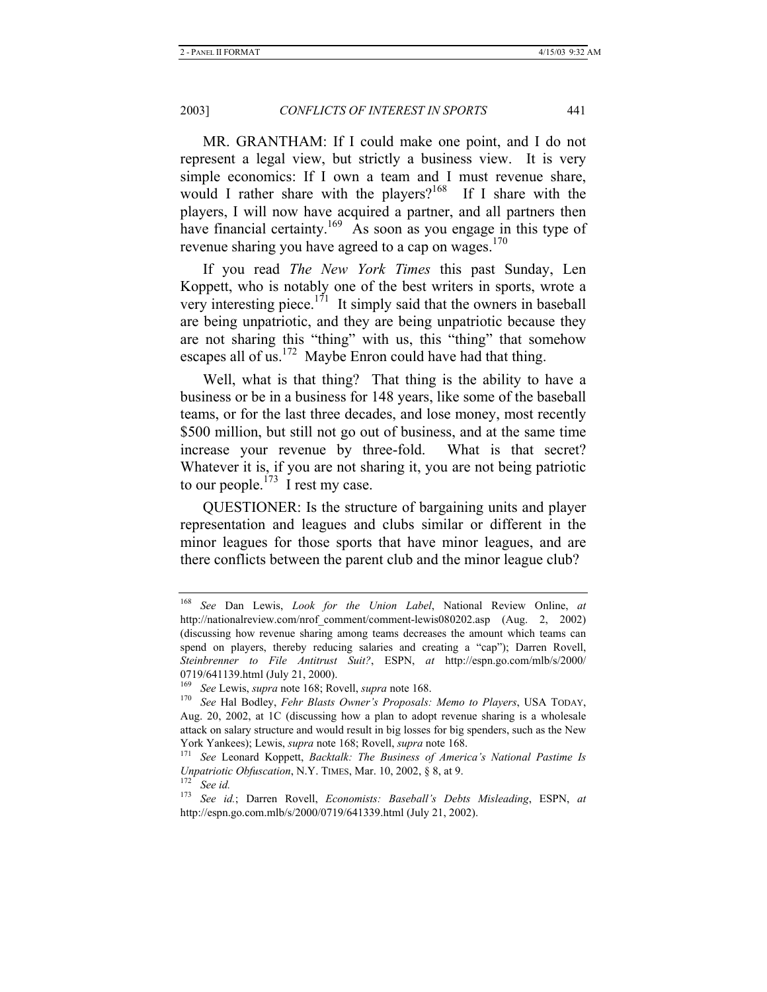MR. GRANTHAM: If I could make one point, and I do not represent a legal view, but strictly a business view. It is very simple economics: If I own a team and I must revenue share, would I rather share with the players?<sup>168</sup> If I share with the players, I will now have acquired a partner, and all partners then have financial certainty.<sup>169</sup> As soon as you engage in this type of revenue sharing you have agreed to a cap on wages. $170$ 

If you read *The New York Times* this past Sunday, Len Koppett, who is notably one of the best writers in sports, wrote a very interesting piece.<sup>171</sup> It simply said that the owners in baseball are being unpatriotic, and they are being unpatriotic because they are not sharing this "thing" with us, this "thing" that somehow escapes all of us.<sup>172</sup> Maybe Enron could have had that thing.

Well, what is that thing? That thing is the ability to have a business or be in a business for 148 years, like some of the baseball teams, or for the last three decades, and lose money, most recently \$500 million, but still not go out of business, and at the same time increase your revenue by three-fold. What is that secret? Whatever it is, if you are not sharing it, you are not being patriotic to our people.<sup> $173$ </sup> I rest my case.

QUESTIONER: Is the structure of bargaining units and player representation and leagues and clubs similar or different in the minor leagues for those sports that have minor leagues, and are there conflicts between the parent club and the minor league club?

<sup>168</sup> *See* Dan Lewis, *Look for the Union Label*, National Review Online, *at*  http://nationalreview.com/nrof\_comment/comment-lewis080202.asp (Aug. 2, 2002) (discussing how revenue sharing among teams decreases the amount which teams can spend on players, thereby reducing salaries and creating a "cap"); Darren Rovell, *Steinbrenner to File Antitrust Suit?*, ESPN, *at* http://espn.go.com/mlb/s/2000/ 0719/641139.html (July 21, 2000).

<sup>169</sup> *See* Lewis, *supra* note 168; Rovell, *supra* note 168. 170 *See* Hal Bodley, *Fehr Blasts Owner's Proposals: Memo to Players*, USA TODAY, Aug. 20, 2002, at 1C (discussing how a plan to adopt revenue sharing is a wholesale attack on salary structure and would result in big losses for big spenders, such as the New York Yankees); Lewis, *supra* note 168; Rovell, *supra* note 168.<br><sup>171</sup> See Leonard Koppett, *Backtalk: The Business of America's National Pastime Is* 

*Unpatriotic Obfuscation*, N.Y. TIMES, Mar. 10, 2002, § 8, at 9. 172 *See id.*

<sup>173</sup> *See id.*; Darren Rovell, *Economists: Baseball's Debts Misleading*, ESPN, *at*  http://espn.go.com.mlb/s/2000/0719/641339.html (July 21, 2002).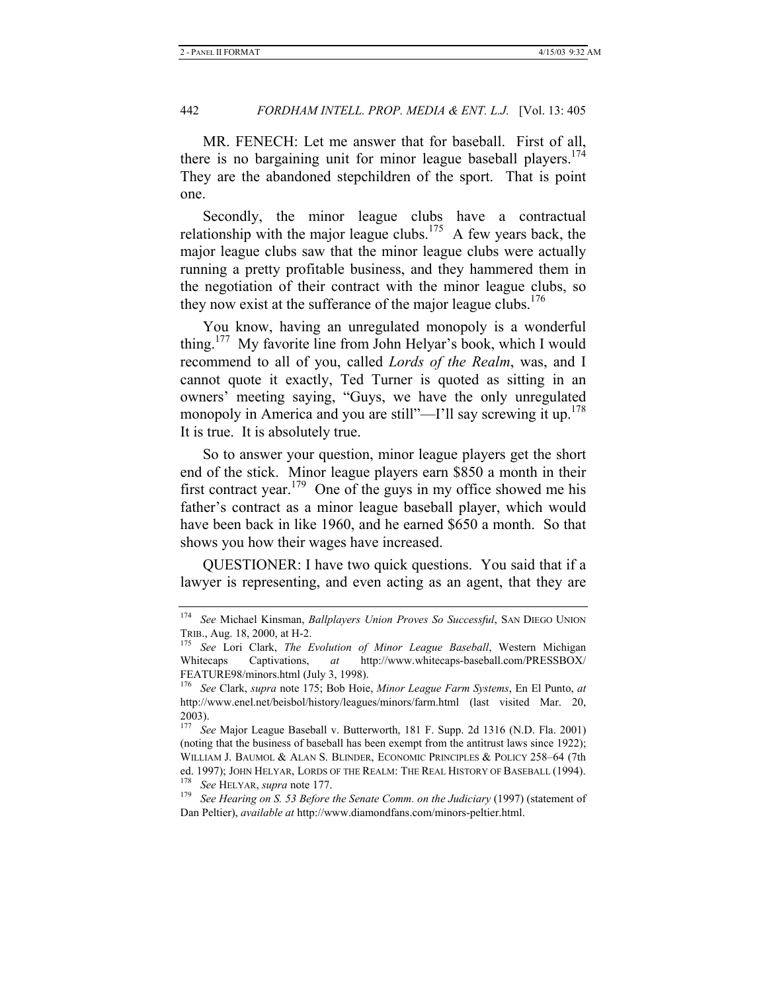MR. FENECH: Let me answer that for baseball. First of all, there is no bargaining unit for minor league baseball players.<sup>174</sup> They are the abandoned stepchildren of the sport. That is point one.

Secondly, the minor league clubs have a contractual relationship with the major league clubs.<sup>175</sup> A few years back, the major league clubs saw that the minor league clubs were actually running a pretty profitable business, and they hammered them in the negotiation of their contract with the minor league clubs, so they now exist at the sufferance of the major league clubs.<sup>176</sup>

You know, having an unregulated monopoly is a wonderful thing.177 My favorite line from John Helyar's book, which I would recommend to all of you, called *Lords of the Realm*, was, and I cannot quote it exactly, Ted Turner is quoted as sitting in an owners' meeting saying, "Guys, we have the only unregulated monopoly in America and you are still"—I'll say screwing it up.<sup>178</sup> It is true. It is absolutely true.

So to answer your question, minor league players get the short end of the stick. Minor league players earn \$850 a month in their first contract year.<sup>179</sup> One of the guys in my office showed me his father's contract as a minor league baseball player, which would have been back in like 1960, and he earned \$650 a month. So that shows you how their wages have increased.

QUESTIONER: I have two quick questions. You said that if a lawyer is representing, and even acting as an agent, that they are

<sup>174</sup> *See* Michael Kinsman, *Ballplayers Union Proves So Successful*, SAN DIEGO UNION TRIB., Aug. 18, 2000, at H-2. 175 *See* Lori Clark, *The Evolution of Minor League Baseball*, Western Michigan

Whitecaps Captivations, *at* http://www.whitecaps-baseball.com/PRESSBOX/ FEATURE98/minors.html (July 3, 1998).

<sup>176</sup> *See* Clark, *supra* note 175; Bob Hoie, *Minor League Farm Systems*, En El Punto, *at* http://www.enel.net/beisbol/history/leagues/minors/farm.html (last visited Mar. 20, 2003).

<sup>177</sup> *See* Major League Baseball v. Butterworth, 181 F. Supp. 2d 1316 (N.D. Fla. 2001) (noting that the business of baseball has been exempt from the antitrust laws since 1922); WILLIAM J. BAUMOL & ALAN S. BLINDER, ECONOMIC PRINCIPLES & POLICY 258–64 (7th ed. 1997); JOHN HELYAR, LORDS OF THE REALM: THE REAL HISTORY OF BASEBALL (1994).<br><sup>178</sup> *See* HELYAR, *supra* note 177.<br><sup>179</sup> *See Hearing on S. 53 Before the Senate Comm. on the Judiciary* (1997) (statement of

Dan Peltier), *available at* http://www.diamondfans.com/minors-peltier.html.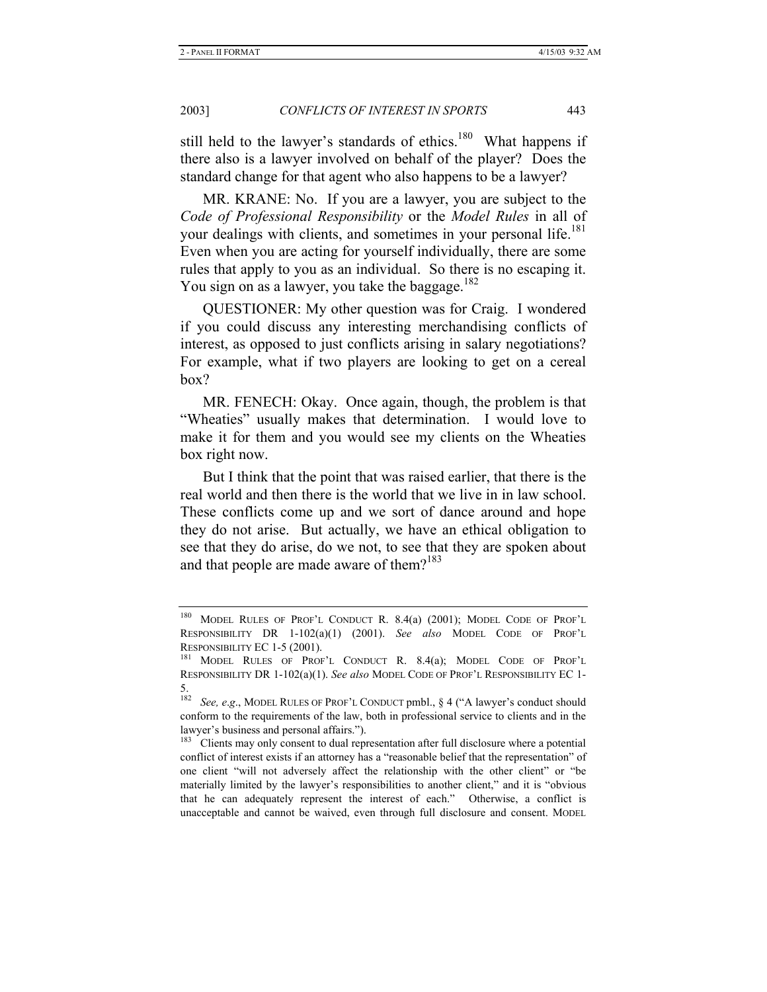still held to the lawyer's standards of ethics.<sup>180</sup> What happens if there also is a lawyer involved on behalf of the player? Does the standard change for that agent who also happens to be a lawyer?

MR. KRANE: No. If you are a lawyer, you are subject to the *Code of Professional Responsibility* or the *Model Rules* in all of your dealings with clients, and sometimes in your personal life.<sup>181</sup> Even when you are acting for yourself individually, there are some rules that apply to you as an individual. So there is no escaping it. You sign on as a lawyer, you take the baggage.<sup>182</sup>

QUESTIONER: My other question was for Craig. I wondered if you could discuss any interesting merchandising conflicts of interest, as opposed to just conflicts arising in salary negotiations? For example, what if two players are looking to get on a cereal box?

MR. FENECH: Okay. Once again, though, the problem is that "Wheaties" usually makes that determination. I would love to make it for them and you would see my clients on the Wheaties box right now.

But I think that the point that was raised earlier, that there is the real world and then there is the world that we live in in law school. These conflicts come up and we sort of dance around and hope they do not arise. But actually, we have an ethical obligation to see that they do arise, do we not, to see that they are spoken about and that people are made aware of them? $183$ 

<sup>180</sup> MODEL RULES OF PROF'L CONDUCT R. 8.4(a) (2001); MODEL CODE OF PROF'L RESPONSIBILITY DR 1-102(a)(1) (2001). *See also* MODEL CODE OF PROF'L RESPONSIBILITY EC 1-5 (2001).<br><sup>181</sup> MODEL RULES OF PROF'L CONDUCT R. 8.4(a); MODEL CODE OF PROF'L

RESPONSIBILITY DR 1-102(a)(1). *See also* MODEL CODE OF PROF'L RESPONSIBILITY EC 1-

<sup>182</sup> See, e.g., MODEL RULES OF PROF'L CONDUCT pmbl., § 4 ("A lawyer's conduct should conform to the requirements of the law, both in professional service to clients and in the lawyer's business and personal affairs.").

<sup>&</sup>lt;sup>183</sup> Clients may only consent to dual representation after full disclosure where a potential conflict of interest exists if an attorney has a "reasonable belief that the representation" of one client "will not adversely affect the relationship with the other client" or "be materially limited by the lawyer's responsibilities to another client," and it is "obvious that he can adequately represent the interest of each." Otherwise, a conflict is unacceptable and cannot be waived, even through full disclosure and consent. MODEL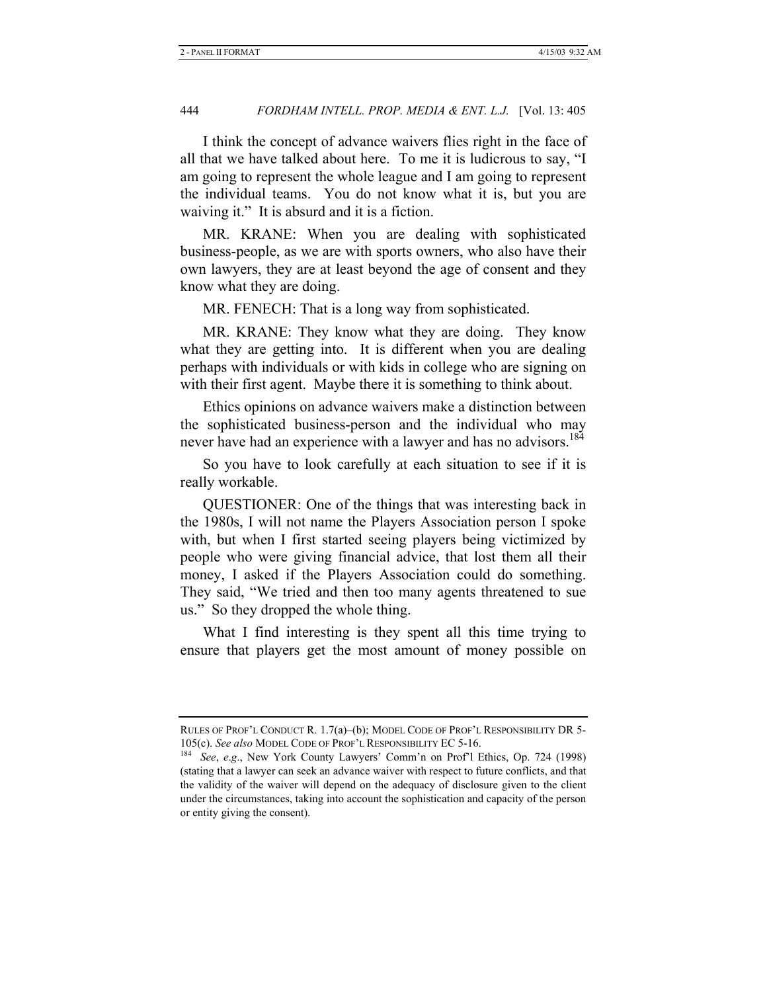I think the concept of advance waivers flies right in the face of all that we have talked about here. To me it is ludicrous to say, "I am going to represent the whole league and I am going to represent the individual teams. You do not know what it is, but you are waiving it." It is absurd and it is a fiction.

MR. KRANE: When you are dealing with sophisticated business-people, as we are with sports owners, who also have their own lawyers, they are at least beyond the age of consent and they know what they are doing.

MR. FENECH: That is a long way from sophisticated.

MR. KRANE: They know what they are doing. They know what they are getting into. It is different when you are dealing perhaps with individuals or with kids in college who are signing on with their first agent. Maybe there it is something to think about.

Ethics opinions on advance waivers make a distinction between the sophisticated business-person and the individual who may never have had an experience with a lawyer and has no advisors.<sup>184</sup>

So you have to look carefully at each situation to see if it is really workable.

QUESTIONER: One of the things that was interesting back in the 1980s, I will not name the Players Association person I spoke with, but when I first started seeing players being victimized by people who were giving financial advice, that lost them all their money, I asked if the Players Association could do something. They said, "We tried and then too many agents threatened to sue us." So they dropped the whole thing.

What I find interesting is they spent all this time trying to ensure that players get the most amount of money possible on

RULES OF PROF'L CONDUCT R. 1.7(a)–(b); MODEL CODE OF PROF'L RESPONSIBILITY DR 5- 105(c). *See also* MODEL CODE OF PROF'L RESPONSIBILITY EC 5-16. 184 *See*, *e*.*g*., New York County Lawyers' Comm'n on Prof'l Ethics, Op. 724 (1998)

<sup>(</sup>stating that a lawyer can seek an advance waiver with respect to future conflicts, and that the validity of the waiver will depend on the adequacy of disclosure given to the client under the circumstances, taking into account the sophistication and capacity of the person or entity giving the consent).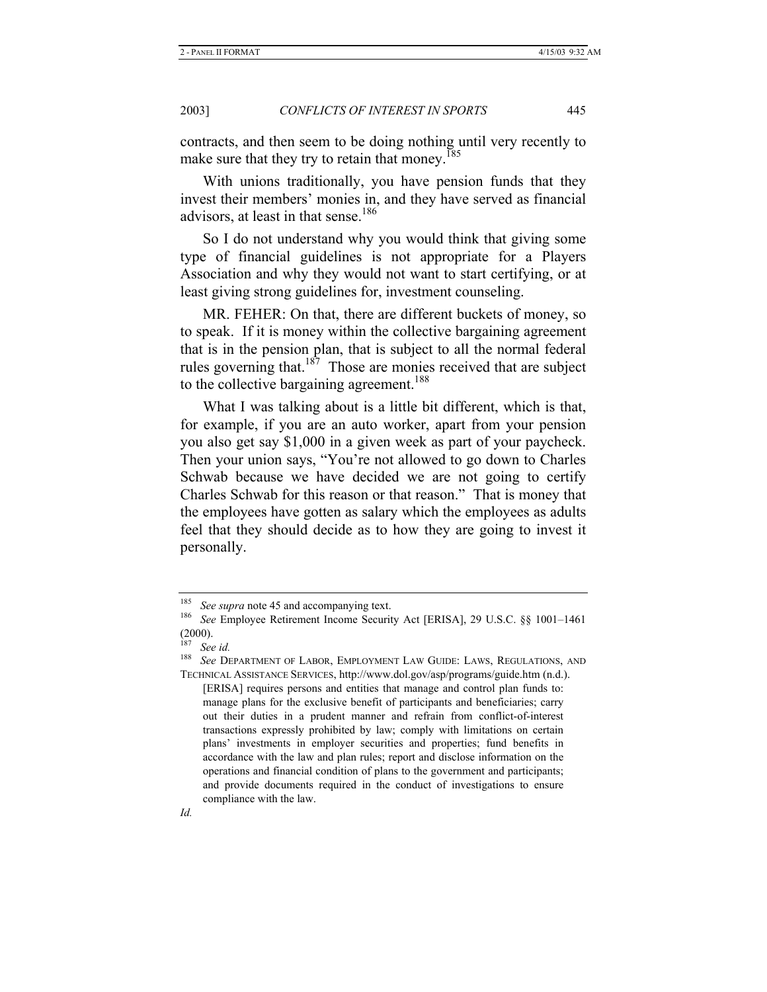contracts, and then seem to be doing nothing until very recently to make sure that they try to retain that monev.<sup>185</sup>

With unions traditionally, you have pension funds that they invest their members' monies in, and they have served as financial advisors, at least in that sense.<sup>186</sup>

So I do not understand why you would think that giving some type of financial guidelines is not appropriate for a Players Association and why they would not want to start certifying, or at least giving strong guidelines for, investment counseling.

MR. FEHER: On that, there are different buckets of money, so to speak. If it is money within the collective bargaining agreement that is in the pension plan, that is subject to all the normal federal rules governing that. $187$  Those are monies received that are subject to the collective bargaining agreement.<sup>188</sup>

What I was talking about is a little bit different, which is that, for example, if you are an auto worker, apart from your pension you also get say \$1,000 in a given week as part of your paycheck. Then your union says, "You're not allowed to go down to Charles Schwab because we have decided we are not going to certify Charles Schwab for this reason or that reason." That is money that the employees have gotten as salary which the employees as adults feel that they should decide as to how they are going to invest it personally.

<sup>185</sup> *See supra* note 45 and accompanying text. 186 *See* Employee Retirement Income Security Act [ERISA], 29 U.S.C. §§ 1001–1461  $(2000)$ .

See id.

<sup>188</sup> *See* DEPARTMENT OF LABOR, EMPLOYMENT LAW GUIDE: LAWS, REGULATIONS, AND TECHNICAL ASSISTANCE SERVICES, http://www.dol.gov/asp/programs/guide.htm (n.d.).

<sup>[</sup>ERISA] requires persons and entities that manage and control plan funds to: manage plans for the exclusive benefit of participants and beneficiaries; carry out their duties in a prudent manner and refrain from conflict-of-interest transactions expressly prohibited by law; comply with limitations on certain plans' investments in employer securities and properties; fund benefits in accordance with the law and plan rules; report and disclose information on the operations and financial condition of plans to the government and participants; and provide documents required in the conduct of investigations to ensure compliance with the law.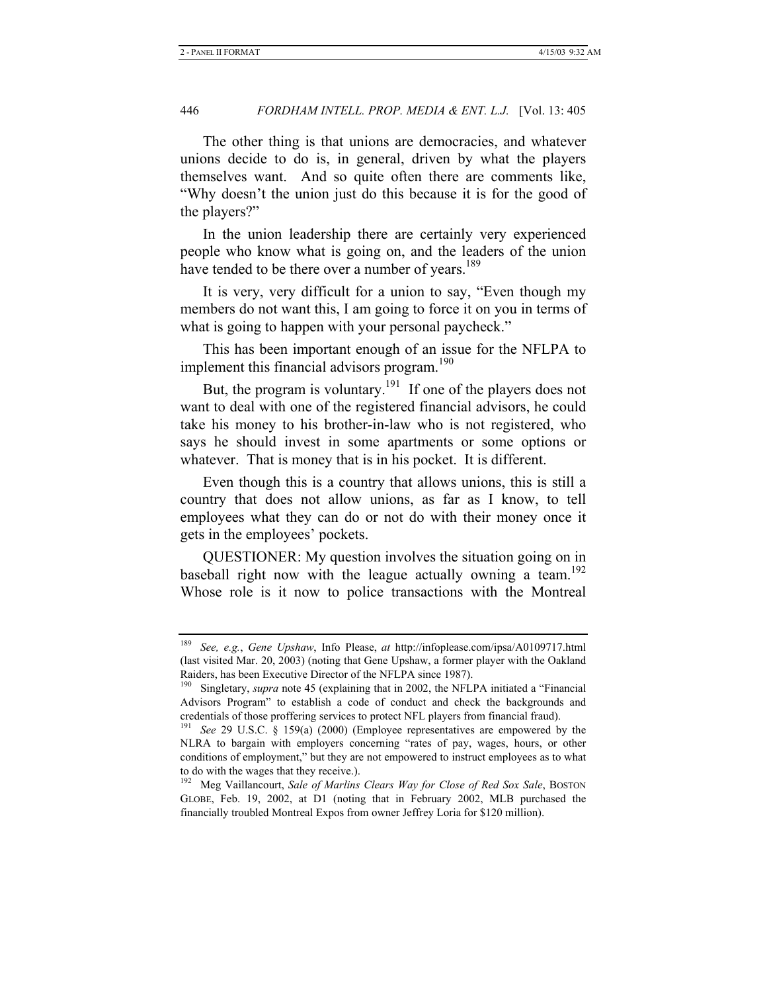The other thing is that unions are democracies, and whatever unions decide to do is, in general, driven by what the players themselves want. And so quite often there are comments like, "Why doesn't the union just do this because it is for the good of the players?"

In the union leadership there are certainly very experienced people who know what is going on, and the leaders of the union have tended to be there over a number of years.<sup>189</sup>

It is very, very difficult for a union to say, "Even though my members do not want this, I am going to force it on you in terms of what is going to happen with your personal paycheck."

This has been important enough of an issue for the NFLPA to implement this financial advisors program.<sup>190</sup>

But, the program is voluntary.<sup>191</sup> If one of the players does not want to deal with one of the registered financial advisors, he could take his money to his brother-in-law who is not registered, who says he should invest in some apartments or some options or whatever. That is money that is in his pocket. It is different.

Even though this is a country that allows unions, this is still a country that does not allow unions, as far as I know, to tell employees what they can do or not do with their money once it gets in the employees' pockets.

QUESTIONER: My question involves the situation going on in baseball right now with the league actually owning a team.<sup>192</sup> Whose role is it now to police transactions with the Montreal

<sup>189</sup> *See, e.g.*, *Gene Upshaw*, Info Please, *at* http://infoplease.com/ipsa/A0109717.html (last visited Mar. 20, 2003) (noting that Gene Upshaw, a former player with the Oakland Raiders, has been Executive Director of the NFLPA since 1987).

<sup>&</sup>lt;sup>190</sup> Singletary, *supra* note 45 (explaining that in 2002, the NFLPA initiated a "Financial Advisors Program" to establish a code of conduct and check the backgrounds and credentials of those proffering services to protect NFL players from financial fraud).

<sup>191</sup> *See* 29 U.S.C. § 159(a) (2000) (Employee representatives are empowered by the NLRA to bargain with employers concerning "rates of pay, wages, hours, or other conditions of employment," but they are not empowered to instruct employees as to what to do with the wages that they receive.).

<sup>192</sup> Meg Vaillancourt, *Sale of Marlins Clears Way for Close of Red Sox Sale*, BOSTON GLOBE, Feb. 19, 2002, at D1 (noting that in February 2002, MLB purchased the financially troubled Montreal Expos from owner Jeffrey Loria for \$120 million).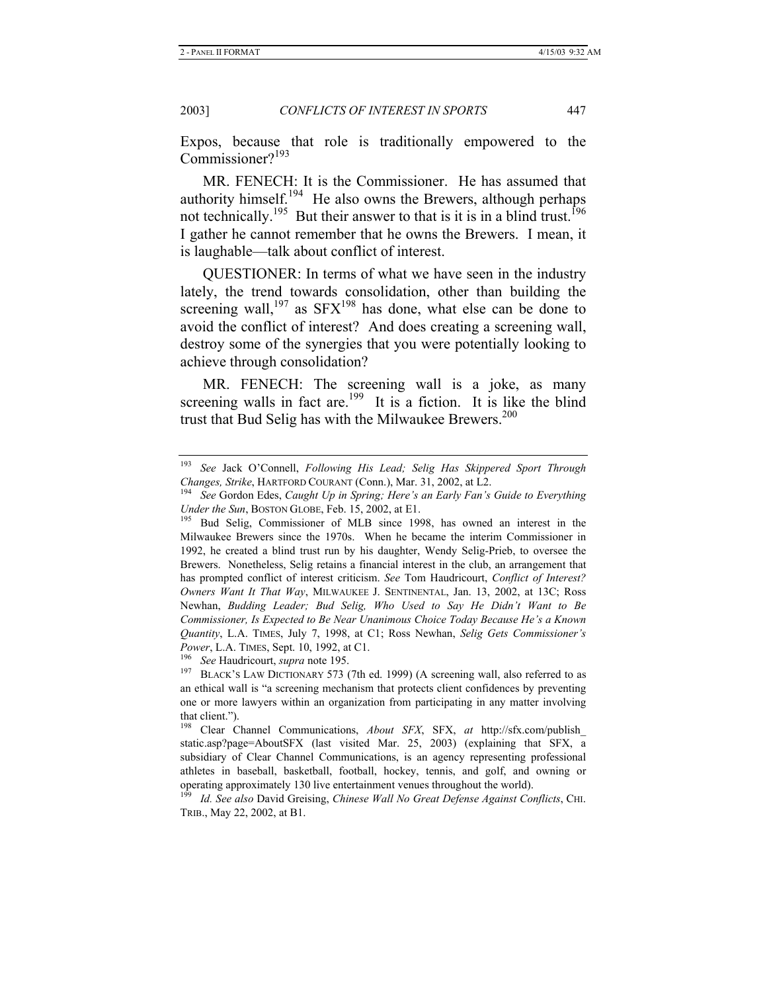Expos, because that role is traditionally empowered to the Commissioner?<sup>193</sup>

MR. FENECH: It is the Commissioner. He has assumed that authority himself.<sup>194</sup> He also owns the Brewers, although perhaps not technically.<sup>195</sup> But their answer to that is it is in a blind trust.<sup>196</sup> I gather he cannot remember that he owns the Brewers. I mean, it is laughable—talk about conflict of interest.

QUESTIONER: In terms of what we have seen in the industry lately, the trend towards consolidation, other than building the screening wall,<sup>197</sup> as  $SFX^{198}$  has done, what else can be done to avoid the conflict of interest? And does creating a screening wall, destroy some of the synergies that you were potentially looking to achieve through consolidation?

MR. FENECH: The screening wall is a joke, as many screening walls in fact are.<sup>199</sup> It is a fiction. It is like the blind trust that Bud Selig has with the Milwaukee Brewers.<sup>200</sup>

<sup>193</sup> *See* Jack O'Connell, *Following His Lead; Selig Has Skippered Sport Through Changes, Strike*, HARTFORD COURANT (Conn.), Mar. 31, 2002, at L2.<br><sup>194</sup> See Gordon Edes, *Caught Up in Spring; Here's an Early Fan's Guide to Everything* 

*Under the Sun*, BOSTON GLOBE, Feb. 15, 2002, at E1. <sup>195</sup> Bud Selig, Commissioner of MLB since 1998, has owned an interest in the Milwaukee Brewers since the 1970s. When he became the interim Commissioner in 1992, he created a blind trust run by his daughter, Wendy Selig-Prieb, to oversee the Brewers. Nonetheless, Selig retains a financial interest in the club, an arrangement that has prompted conflict of interest criticism. *See* Tom Haudricourt, *Conflict of Interest? Owners Want It That Way*, MILWAUKEE J. SENTINENTAL, Jan. 13, 2002, at 13C; Ross Newhan, *Budding Leader; Bud Selig, Who Used to Say He Didn't Want to Be Commissioner, Is Expected to Be Near Unanimous Choice Today Because He's a Known Quantity*, L.A. TIMES, July 7, 1998, at C1; Ross Newhan, *Selig Gets Commissioner's Power*, L.A. TIMES, Sept. 10, 1992, at C1.<br><sup>196</sup> See Haudricourt, *supra* note 195.<br><sup>197</sup> BLACK's LAW DICTIONARY 573 (7th ed. 1999) (A screening wall, also referred to as

an ethical wall is "a screening mechanism that protects client confidences by preventing one or more lawyers within an organization from participating in any matter involving that client.").

<sup>198</sup> Clear Channel Communications, *About SFX*, SFX, *at* http://sfx.com/publish\_ static.asp?page=AboutSFX (last visited Mar. 25, 2003) (explaining that SFX, a subsidiary of Clear Channel Communications, is an agency representing professional athletes in baseball, basketball, football, hockey, tennis, and golf, and owning or operating approximately 130 live entertainment venues throughout the world).

<sup>199</sup> *Id. See also* David Greising, *Chinese Wall No Great Defense Against Conflicts*, CHI. TRIB., May 22, 2002, at B1.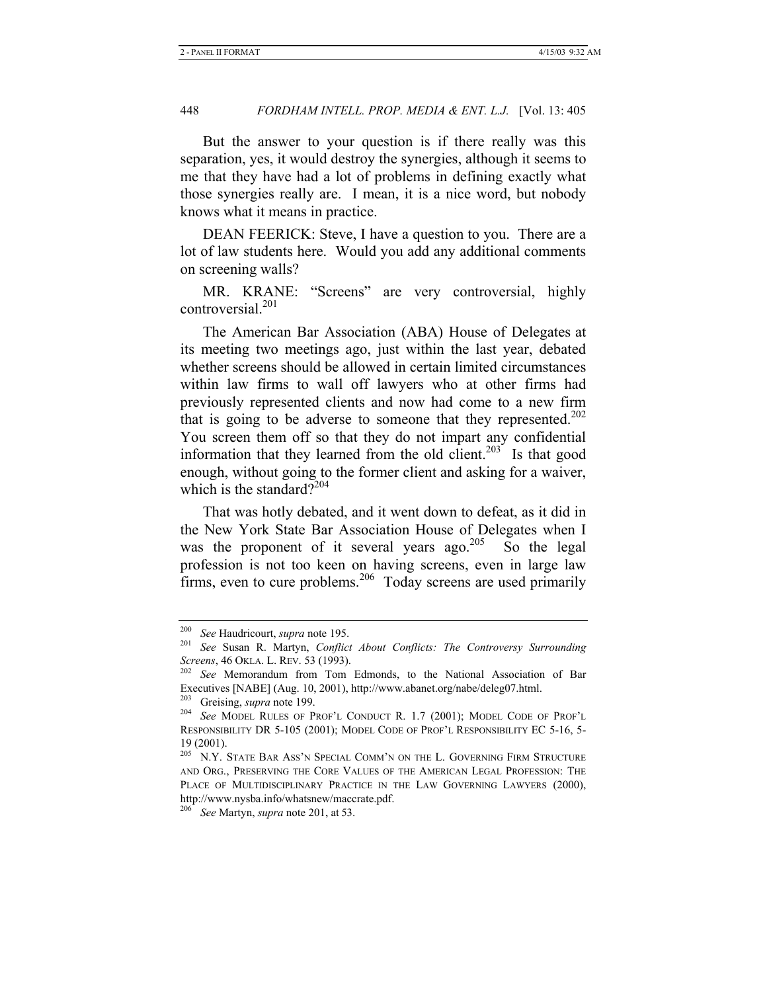But the answer to your question is if there really was this separation, yes, it would destroy the synergies, although it seems to me that they have had a lot of problems in defining exactly what those synergies really are. I mean, it is a nice word, but nobody knows what it means in practice.

DEAN FEERICK: Steve, I have a question to you. There are a lot of law students here. Would you add any additional comments on screening walls?

MR. KRANE: "Screens" are very controversial, highly controversial.<sup>201</sup>

The American Bar Association (ABA) House of Delegates at its meeting two meetings ago, just within the last year, debated whether screens should be allowed in certain limited circumstances within law firms to wall off lawyers who at other firms had previously represented clients and now had come to a new firm that is going to be adverse to someone that they represented.<sup>202</sup> You screen them off so that they do not impart any confidential information that they learned from the old client.<sup>203</sup> Is that good enough, without going to the former client and asking for a waiver, which is the standard? $2^{204}$ 

That was hotly debated, and it went down to defeat, as it did in the New York State Bar Association House of Delegates when I was the proponent of it several years ago.<sup>205</sup> So the legal profession is not too keen on having screens, even in large law firms, even to cure problems.<sup>206</sup> Today screens are used primarily

<sup>200</sup> *See* Haudricourt, *supra* note 195. 201 *See* Susan R. Martyn, *Conflict About Conflicts: The Controversy Surrounding Screens*, 46 OKLA. L. REV. 53 (1993). 202 *See* Memorandum from Tom Edmonds, to the National Association of Bar

Executives [NABE] (Aug. 10, 2001), http://www.abanet.org/nabe/deleg07.html.<br><sup>203</sup> Greising, *supra* note 199.

<sup>&</sup>lt;sup>204</sup> See MODEL RULES OF PROF'L CONDUCT R. 1.7 (2001); MODEL CODE OF PROF'L RESPONSIBILITY DR 5-105 (2001); MODEL CODE OF PROF'L RESPONSIBILITY EC 5-16, 5- 19 (2001).

 $^{205}$  N.Y. STATE BAR ASS'N SPECIAL COMM'N ON THE L. GOVERNING FIRM STRUCTURE AND ORG., PRESERVING THE CORE VALUES OF THE AMERICAN LEGAL PROFESSION: THE PLACE OF MULTIDISCIPLINARY PRACTICE IN THE LAW GOVERNING LAWYERS (2000), http://www.nysba.info/whatsnew/maccrate.pdf.

<sup>206</sup> *See* Martyn, *supra* note 201, at 53.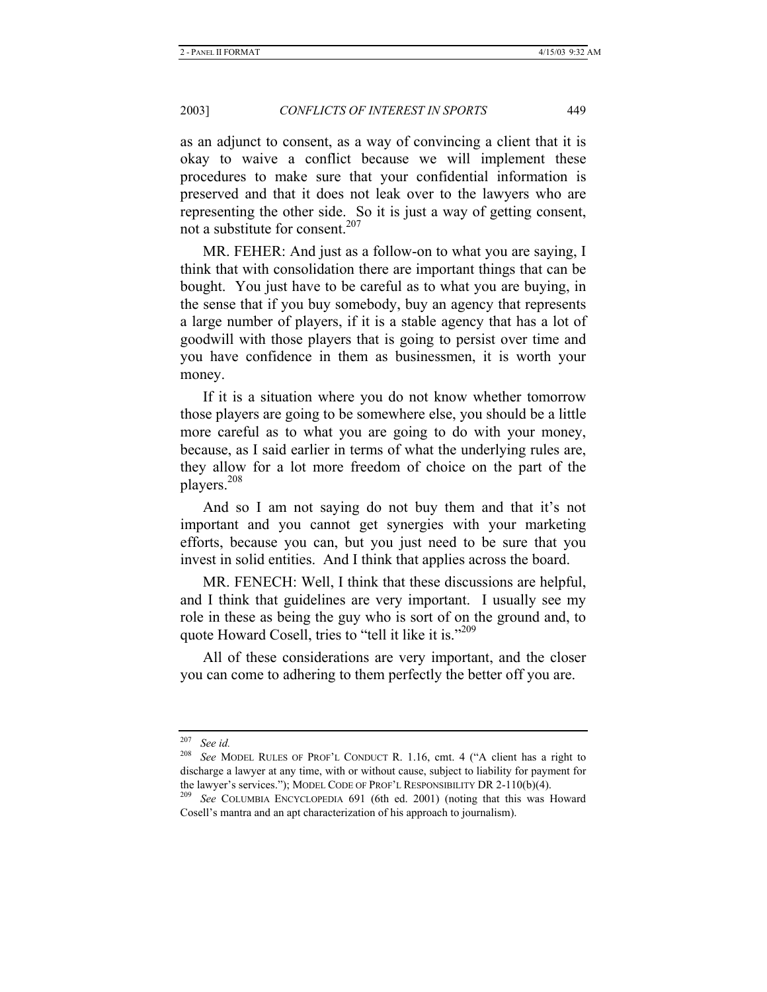as an adjunct to consent, as a way of convincing a client that it is okay to waive a conflict because we will implement these procedures to make sure that your confidential information is preserved and that it does not leak over to the lawyers who are representing the other side. So it is just a way of getting consent, not a substitute for consent.<sup>207</sup>

MR. FEHER: And just as a follow-on to what you are saying, I think that with consolidation there are important things that can be bought. You just have to be careful as to what you are buying, in the sense that if you buy somebody, buy an agency that represents a large number of players, if it is a stable agency that has a lot of goodwill with those players that is going to persist over time and you have confidence in them as businessmen, it is worth your money.

If it is a situation where you do not know whether tomorrow those players are going to be somewhere else, you should be a little more careful as to what you are going to do with your money, because, as I said earlier in terms of what the underlying rules are, they allow for a lot more freedom of choice on the part of the players.208

And so I am not saying do not buy them and that it's not important and you cannot get synergies with your marketing efforts, because you can, but you just need to be sure that you invest in solid entities. And I think that applies across the board.

MR. FENECH: Well, I think that these discussions are helpful, and I think that guidelines are very important. I usually see my role in these as being the guy who is sort of on the ground and, to quote Howard Cosell, tries to "tell it like it is."<sup>209</sup>

All of these considerations are very important, and the closer you can come to adhering to them perfectly the better off you are.

<sup>207</sup> *See id.*

<sup>208</sup> *See* MODEL RULES OF PROF'L CONDUCT R. 1.16, cmt. 4 ("A client has a right to discharge a lawyer at any time, with or without cause, subject to liability for payment for the lawyer's services."); MODEL CODE OF PROF'L RESPONSIBILITY DR 2-110(b)(4). 209 *See* COLUMBIA ENCYCLOPEDIA 691 (6th ed. 2001) (noting that this was Howard

Cosell's mantra and an apt characterization of his approach to journalism).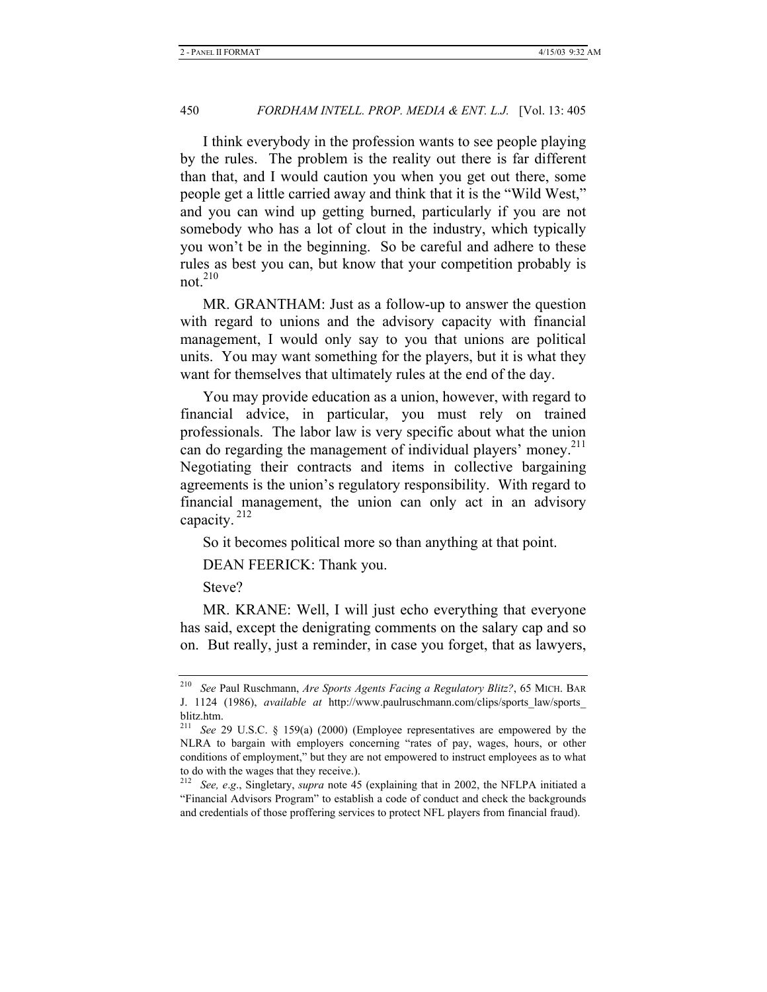I think everybody in the profession wants to see people playing by the rules. The problem is the reality out there is far different than that, and I would caution you when you get out there, some people get a little carried away and think that it is the "Wild West," and you can wind up getting burned, particularly if you are not somebody who has a lot of clout in the industry, which typically you won't be in the beginning. So be careful and adhere to these rules as best you can, but know that your competition probably is not. $210$ 

MR. GRANTHAM: Just as a follow-up to answer the question with regard to unions and the advisory capacity with financial management, I would only say to you that unions are political units. You may want something for the players, but it is what they want for themselves that ultimately rules at the end of the day.

You may provide education as a union, however, with regard to financial advice, in particular, you must rely on trained professionals. The labor law is very specific about what the union can do regarding the management of individual players' money.<sup>211</sup> Negotiating their contracts and items in collective bargaining agreements is the union's regulatory responsibility. With regard to financial management, the union can only act in an advisory capacity. 212

So it becomes political more so than anything at that point.

DEAN FEERICK: Thank you.

Steve?

MR. KRANE: Well, I will just echo everything that everyone has said, except the denigrating comments on the salary cap and so on. But really, just a reminder, in case you forget, that as lawyers,

<sup>210</sup> *See* Paul Ruschmann, *Are Sports Agents Facing a Regulatory Blitz?*, 65 MICH. BAR J. 1124 (1986), *available at* http://www.paulruschmann.com/clips/sports\_law/sports\_ blitz.htm.

<sup>211</sup> *See* 29 U.S.C. § 159(a) (2000) (Employee representatives are empowered by the NLRA to bargain with employers concerning "rates of pay, wages, hours, or other conditions of employment," but they are not empowered to instruct employees as to what to do with the wages that they receive.).

<sup>212</sup> *See, e*.*g*., Singletary, *supra* note 45 (explaining that in 2002, the NFLPA initiated a "Financial Advisors Program" to establish a code of conduct and check the backgrounds and credentials of those proffering services to protect NFL players from financial fraud).